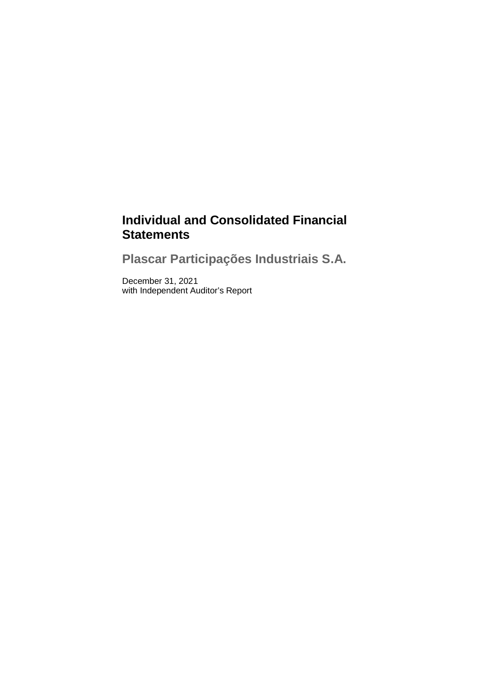# **Individual and Consolidated Financial Statements**

**Plascar Participações Industriais S.A.**

December 31, 2021 with Independent Auditor's Report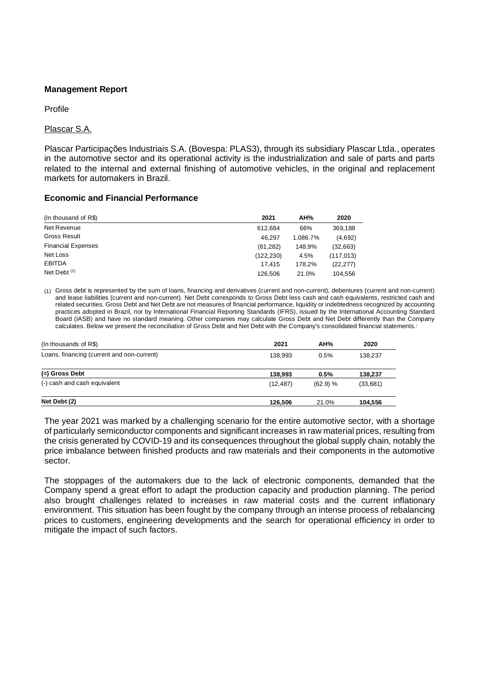### **Management Report**

#### Profile

### Plascar S.A.

Plascar Participações Industriais S.A. (Bovespa: PLAS3), through its subsidiary Plascar Ltda., operates in the automotive sector and its operational activity is the industrialization and sale of parts and parts related to the internal and external finishing of automotive vehicles, in the original and replacement markets for automakers in Brazil.

### **Economic and Financial Performance**

| (In thousand of R\$)      | 2021       | AH%      | 2020       |
|---------------------------|------------|----------|------------|
| Net Revenue               | 612.684    | 66%      | 369,188    |
| <b>Gross Result</b>       | 46.297     | 1.086.7% | (4,692)    |
| <b>Financial Expenses</b> | (81, 282)  | 148.9%   | (32,663)   |
| Net Loss                  | (122, 230) | 4.5%     | (117, 013) |
| <b>EBITDA</b>             | 17.415     | 178.2%   | (22, 277)  |
| Net Debt $(2)$            | 126.506    | 21.0%    | 104.556    |

(1) Gross debt is represented by the sum of loans, financing and derivatives (current and non-current), debentures (current and non-current) and lease liabilities (current and non-current). Net Debt corresponds to Gross Debt less cash and cash equivalents, restricted cash and related securities. Gross Debt and Net Debt are not measures of financial performance, liquidity or indebtedness recognized by accounting practices adopted in Brazil, nor by International Financial Reporting Standards (IFRS), issued by the International Accounting Standard Board (IASB) and have no standard meaning. Other companies may calculate Gross Debt and Net Debt differently than the Company calculates. Below we present the reconciliation of Gross Debt and Net Debt with the Company's consolidated financial statements.:

| (In thousands of R\$)                      | 2021      | AH%      | 2020     |
|--------------------------------------------|-----------|----------|----------|
| Loans, financing (current and non-current) | 138.993   | 0.5%     | 138.237  |
| (=) Gross Debt                             | 138.993   | 0.5%     | 138,237  |
| (-) cash and cash equivalent               | (12, 487) | (62.9) % | (33,681) |
| Net Debt (2)                               | 126.506   | 21.0%    | 104,556  |

The year 2021 was marked by a challenging scenario for the entire automotive sector, with a shortage of particularly semiconductor components and significant increases in raw material prices, resulting from the crisis generated by COVID-19 and its consequences throughout the global supply chain, notably the price imbalance between finished products and raw materials and their components in the automotive sector.

The stoppages of the automakers due to the lack of electronic components, demanded that the Company spend a great effort to adapt the production capacity and production planning. The period also brought challenges related to increases in raw material costs and the current inflationary environment. This situation has been fought by the company through an intense process of rebalancing prices to customers, engineering developments and the search for operational efficiency in order to mitigate the impact of such factors.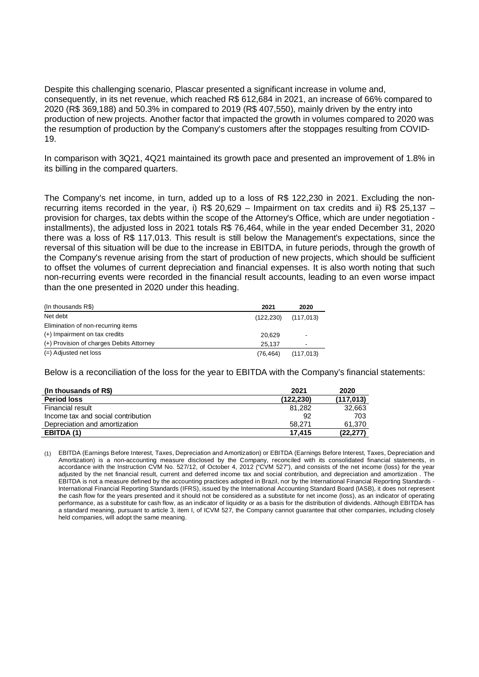Despite this challenging scenario, Plascar presented a significant increase in volume and, consequently, in its net revenue, which reached R\$ 612,684 in 2021, an increase of 66% compared to 2020 (R\$ 369,188) and 50.3% in compared to 2019 (R\$ 407,550), mainly driven by the entry into production of new projects. Another factor that impacted the growth in volumes compared to 2020 was the resumption of production by the Company's customers after the stoppages resulting from COVID-19.

In comparison with 3Q21, 4Q21 maintained its growth pace and presented an improvement of 1.8% in its billing in the compared quarters.

The Company's net income, in turn, added up to a loss of R\$ 122,230 in 2021. Excluding the nonrecurring items recorded in the year, i) R\$ 20,629 – Impairment on tax credits and ii) R\$ 25,137 – provision for charges, tax debts within the scope of the Attorney's Office, which are under negotiation installments), the adjusted loss in 2021 totals R\$ 76,464, while in the year ended December 31, 2020 there was a loss of R\$ 117,013. This result is still below the Management's expectations, since the reversal of this situation will be due to the increase in EBITDA, in future periods, through the growth of the Company's revenue arising from the start of production of new projects, which should be sufficient to offset the volumes of current depreciation and financial expenses. It is also worth noting that such non-recurring events were recorded in the financial result accounts, leading to an even worse impact than the one presented in 2020 under this heading.

| (In thousands R\$)                       | 2021       | 2020                     |
|------------------------------------------|------------|--------------------------|
| Net debt                                 | (122, 230) | (117, 013)               |
| Elimination of non-recurring items       |            |                          |
| (+) Impairment on tax credits            | 20,629     | $\overline{\phantom{a}}$ |
| (+) Provision of charges Debits Attorney | 25.137     | $\overline{\phantom{a}}$ |
| (=) Adjusted net loss                    | (76.464)   | (117, 013)               |

Below is a reconciliation of the loss for the year to EBITDA with the Company's financial statements:

| (In thousands of R\$)              | 2021      | 2020       |
|------------------------------------|-----------|------------|
| <b>Period loss</b>                 | (122.230) | (117, 013) |
| Financial result                   | 81.282    | 32,663     |
| Income tax and social contribution | 92        | 703        |
| Depreciation and amortization      | 58.271    | 61,370     |
| EBITDA (1)                         | 17.415    | (22,277)   |

(1) EBITDA (Earnings Before Interest, Taxes, Depreciation and Amortization) or EBITDA (Earnings Before Interest, Taxes, Depreciation and Amortization) is a non-accounting measure disclosed by the Company, reconciled with its consolidated financial statements, in accordance with the Instruction CVM No. 527/12, of October 4, 2012 ("CVM 527"), and consists of the net income (loss) for the year adjusted by the net financial result, current and deferred income tax and social contribution, and depreciation and amortization . The EBITDA is not a measure defined by the accounting practices adopted in Brazil, nor by the International Financial Reporting Standards - International Financial Reporting Standards (IFRS), issued by the International Accounting Standard Board (IASB), it does not represent the cash flow for the years presented and it should not be considered as a substitute for net income (loss), as an indicator of operating performance, as a substitute for cash flow, as an indicator of liquidity or as a basis for the distribution of dividends. Although EBITDA has a standard meaning, pursuant to article 3, item I, of ICVM 527, the Company cannot guarantee that other companies, including closely held companies, will adopt the same meaning.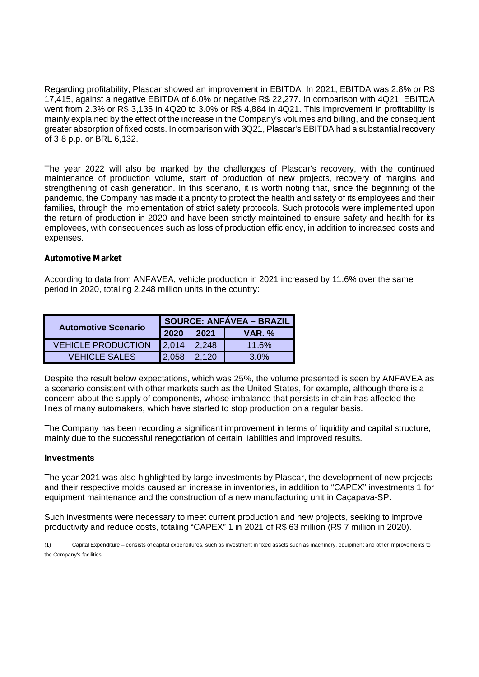Regarding profitability, Plascar showed an improvement in EBITDA. In 2021, EBITDA was 2.8% or R\$ 17,415, against a negative EBITDA of 6.0% or negative R\$ 22,277. In comparison with 4Q21, EBITDA went from 2.3% or R\$ 3,135 in 4Q20 to 3.0% or R\$ 4,884 in 4Q21. This improvement in profitability is mainly explained by the effect of the increase in the Company's volumes and billing, and the consequent greater absorption of fixed costs. In comparison with 3Q21, Plascar's EBITDA had a substantial recovery of 3.8 p.p. or BRL 6,132.

The year 2022 will also be marked by the challenges of Plascar's recovery, with the continued maintenance of production volume, start of production of new projects, recovery of margins and strengthening of cash generation. In this scenario, it is worth noting that, since the beginning of the pandemic, the Company has made it a priority to protect the health and safety of its employees and their families, through the implementation of strict safety protocols. Such protocols were implemented upon the return of production in 2020 and have been strictly maintained to ensure safety and health for its employees, with consequences such as loss of production efficiency, in addition to increased costs and expenses.

### **Automotive Market**

According to data from ANFAVEA, vehicle production in 2021 increased by 11.6% over the same period in 2020, totaling 2.248 million units in the country:

| <b>Automotive Scenario</b> | <b>SOURCE: ANFÁVEA - BRAZIL</b> |       |               |  |
|----------------------------|---------------------------------|-------|---------------|--|
|                            | 2020                            | 2021  | <b>VAR. %</b> |  |
| <b>VEHICLE PRODUCTION</b>  | 12.014                          | 2.248 | 11.6%         |  |
| VEHICLE SALES              | I 2.058                         | 2.120 | 3.0%          |  |

Despite the result below expectations, which was 25%, the volume presented is seen by ANFAVEA as a scenario consistent with other markets such as the United States, for example, although there is a concern about the supply of components, whose imbalance that persists in chain has affected the lines of many automakers, which have started to stop production on a regular basis.

The Company has been recording a significant improvement in terms of liquidity and capital structure, mainly due to the successful renegotiation of certain liabilities and improved results.

### **Investments**

The year 2021 was also highlighted by large investments by Plascar, the development of new projects and their respective molds caused an increase in inventories, in addition to "CAPEX" investments 1 for equipment maintenance and the construction of a new manufacturing unit in Caçapava-SP.

Such investments were necessary to meet current production and new projects, seeking to improve productivity and reduce costs, totaling "CAPEX" 1 in 2021 of R\$ 63 million (R\$ 7 million in 2020).

(1) Capital Expenditure – consists of capital expenditures, such as investment in fixed assets such as machinery, equipment and other improvements to the Company's facilities.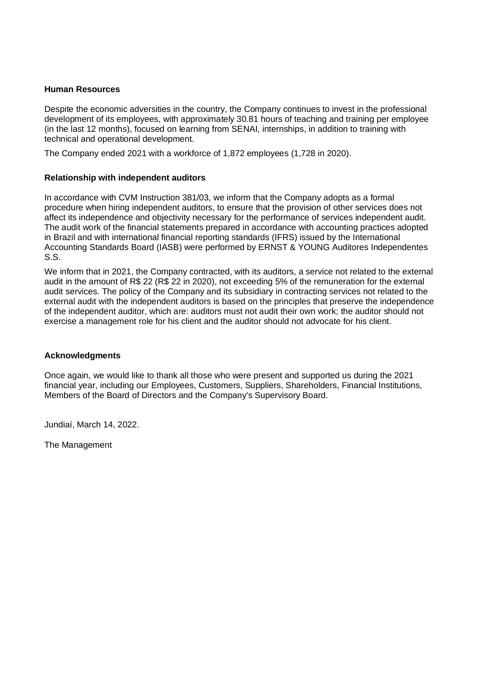### **Human Resources**

Despite the economic adversities in the country, the Company continues to invest in the professional development of its employees, with approximately 30.81 hours of teaching and training per employee (in the last 12 months), focused on learning from SENAI, internships, in addition to training with technical and operational development.

The Company ended 2021 with a workforce of 1,872 employees (1,728 in 2020).

### **Relationship with independent auditors**

In accordance with CVM Instruction 381/03, we inform that the Company adopts as a formal procedure when hiring independent auditors, to ensure that the provision of other services does not affect its independence and objectivity necessary for the performance of services independent audit. The audit work of the financial statements prepared in accordance with accounting practices adopted in Brazil and with international financial reporting standards (IFRS) issued by the International Accounting Standards Board (IASB) were performed by ERNST & YOUNG Auditores Independentes S.S.

We inform that in 2021, the Company contracted, with its auditors, a service not related to the external audit in the amount of R\$ 22 (R\$ 22 in 2020), not exceeding 5% of the remuneration for the external audit services. The policy of the Company and its subsidiary in contracting services not related to the external audit with the independent auditors is based on the principles that preserve the independence of the independent auditor, which are: auditors must not audit their own work; the auditor should not exercise a management role for his client and the auditor should not advocate for his client.

### **Acknowledgments**

Once again, we would like to thank all those who were present and supported us during the 2021 financial year, including our Employees, Customers, Suppliers, Shareholders, Financial Institutions, Members of the Board of Directors and the Company's Supervisory Board.

Jundiaí, March 14, 2022.

The Management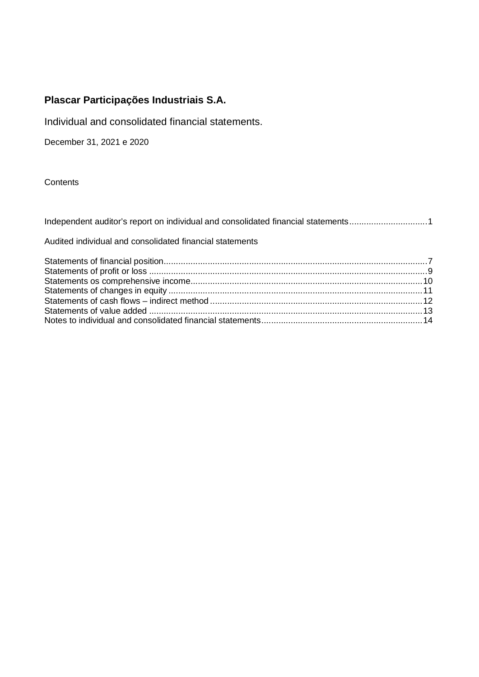Individual and consolidated financial statements.

December 31, 2021 e 2020

**Contents** 

Independent auditor's report on individual and consolidated financial statements..............................1

Audited individual and consolidated financial statements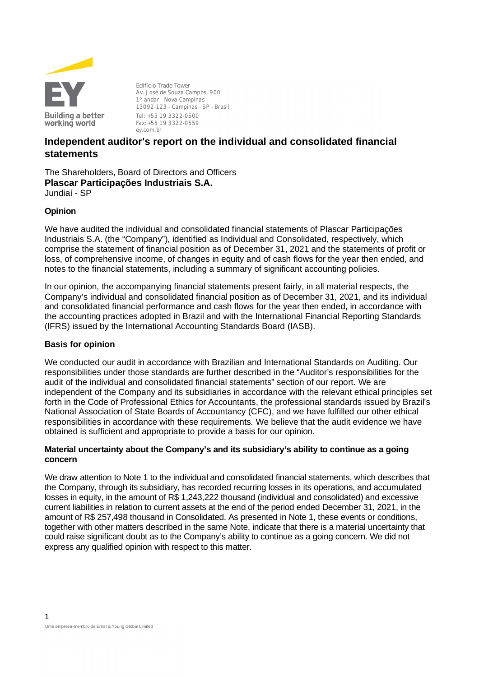

**Edifício Trade Tower** Av. José de Souza Campos, 900 1º andar - Nova Campinas 13092-123 - Campinas - SP - Brasil Tel: +55 19 3322-0500 Fax:+55 19 3322-0559 ey.com.br

# **Independent auditor's report on the individual and consolidated financial statements**

The Shareholders, Board of Directors and Officers **Plascar Participações Industriais S.A.** Jundiaí - SP

### **Opinion**

We have audited the individual and consolidated financial statements of Plascar Participações Industriais S.A. (the "Company"), identified as Individual and Consolidated, respectively, which comprise the statement of financial position as of December 31, 2021 and the statements of profit or loss, of comprehensive income, of changes in equity and of cash flows for the year then ended, and notes to the financial statements, including a summary of significant accounting policies.

In our opinion, the accompanying financial statements present fairly, in all material respects, the Company's individual and consolidated financial position as of December 31, 2021, and its individual and consolidated financial performance and cash flows for the year then ended, in accordance with the accounting practices adopted in Brazil and with the International Financial Reporting Standards (IFRS) issued by the International Accounting Standards Board (IASB).

### **Basis for opinion**

We conducted our audit in accordance with Brazilian and International Standards on Auditing. Our responsibilities under those standards are further described in the "Auditor's responsibilities for the audit of the individual and consolidated financial statements" section of our report. We are independent of the Company and its subsidiaries in accordance with the relevant ethical principles set forth in the Code of Professional Ethics for Accountants, the professional standards issued by Brazil's National Association of State Boards of Accountancy (CFC), and we have fulfilled our other ethical responsibilities in accordance with these requirements. We believe that the audit evidence we have obtained is sufficient and appropriate to provide a basis for our opinion.

### **Material uncertainty about the Company's and its subsidiary's ability to continue as a going concern**

We draw attention to Note 1 to the individual and consolidated financial statements, which describes that the Company, through its subsidiary, has recorded recurring losses in its operations, and accumulated losses in equity, in the amount of R\$ 1,243,222 thousand (individual and consolidated) and excessive current liabilities in relation to current assets at the end of the period ended December 31, 2021, in the amount of R\$ 257,498 thousand in Consolidated. As presented in Note 1, these events or conditions, together with other matters described in the same Note, indicate that there is a material uncertainty that could raise significant doubt as to the Company's ability to continue as a going concern. We did not express any qualified opinion with respect to this matter.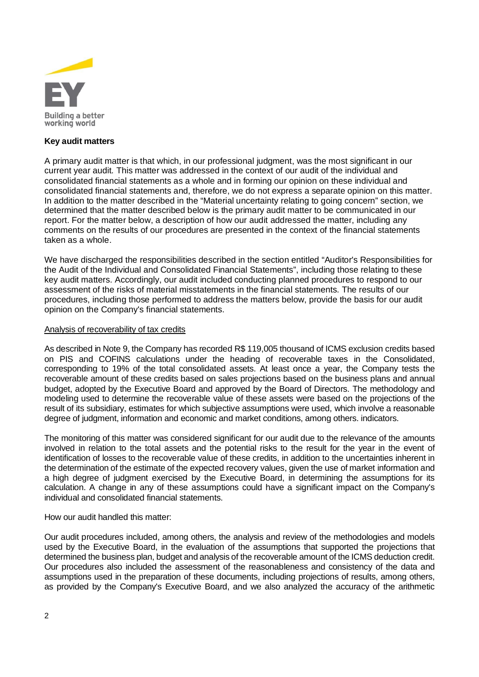

#### **Key audit matters**

A primary audit matter is that which, in our professional judgment, was the most significant in our current year audit. This matter was addressed in the context of our audit of the individual and consolidated financial statements as a whole and in forming our opinion on these individual and consolidated financial statements and, therefore, we do not express a separate opinion on this matter. In addition to the matter described in the "Material uncertainty relating to going concern" section, we determined that the matter described below is the primary audit matter to be communicated in our report. For the matter below, a description of how our audit addressed the matter, including any comments on the results of our procedures are presented in the context of the financial statements taken as a whole.

We have discharged the responsibilities described in the section entitled "Auditor's Responsibilities for the Audit of the Individual and Consolidated Financial Statements", including those relating to these key audit matters. Accordingly, our audit included conducting planned procedures to respond to our assessment of the risks of material misstatements in the financial statements. The results of our procedures, including those performed to address the matters below, provide the basis for our audit opinion on the Company's financial statements.

#### Analysis of recoverability of tax credits

As described in Note 9, the Company has recorded R\$ 119,005 thousand of ICMS exclusion credits based on PIS and COFINS calculations under the heading of recoverable taxes in the Consolidated, corresponding to 19% of the total consolidated assets. At least once a year, the Company tests the recoverable amount of these credits based on sales projections based on the business plans and annual budget, adopted by the Executive Board and approved by the Board of Directors. The methodology and modeling used to determine the recoverable value of these assets were based on the projections of the result of its subsidiary, estimates for which subjective assumptions were used, which involve a reasonable degree of judgment, information and economic and market conditions, among others. indicators.

The monitoring of this matter was considered significant for our audit due to the relevance of the amounts involved in relation to the total assets and the potential risks to the result for the year in the event of identification of losses to the recoverable value of these credits, in addition to the uncertainties inherent in the determination of the estimate of the expected recovery values, given the use of market information and a high degree of judgment exercised by the Executive Board, in determining the assumptions for its calculation. A change in any of these assumptions could have a significant impact on the Company's individual and consolidated financial statements.

How our audit handled this matter:

Our audit procedures included, among others, the analysis and review of the methodologies and models used by the Executive Board, in the evaluation of the assumptions that supported the projections that determined the business plan, budget and analysis of the recoverable amount of the ICMS deduction credit. Our procedures also included the assessment of the reasonableness and consistency of the data and assumptions used in the preparation of these documents, including projections of results, among others, as provided by the Company's Executive Board, and we also analyzed the accuracy of the arithmetic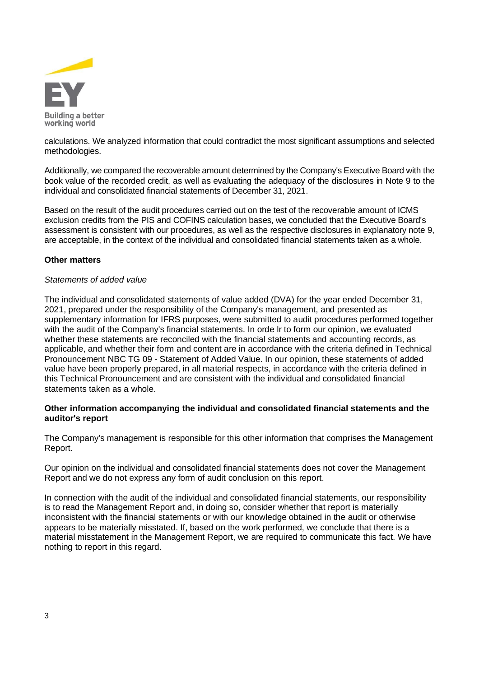

calculations. We analyzed information that could contradict the most significant assumptions and selected methodologies.

Additionally, we compared the recoverable amount determined by the Company's Executive Board with the book value of the recorded credit, as well as evaluating the adequacy of the disclosures in Note 9 to the individual and consolidated financial statements of December 31, 2021.

Based on the result of the audit procedures carried out on the test of the recoverable amount of ICMS exclusion credits from the PIS and COFINS calculation bases, we concluded that the Executive Board's assessment is consistent with our procedures, as well as the respective disclosures in explanatory note 9, are acceptable, in the context of the individual and consolidated financial statements taken as a whole.

### **Other matters**

### *Statements of added value*

The individual and consolidated statements of value added (DVA) for the year ended December 31, 2021, prepared under the responsibility of the Company's management, and presented as supplementary information for IFRS purposes, were submitted to audit procedures performed together with the audit of the Company's financial statements. In orde lr to form our opinion, we evaluated whether these statements are reconciled with the financial statements and accounting records, as applicable, and whether their form and content are in accordance with the criteria defined in Technical Pronouncement NBC TG 09 - Statement of Added Value. In our opinion, these statements of added value have been properly prepared, in all material respects, in accordance with the criteria defined in this Technical Pronouncement and are consistent with the individual and consolidated financial statements taken as a whole.

### **Other information accompanying the individual and consolidated financial statements and the auditor's report**

The Company's management is responsible for this other information that comprises the Management Report.

Our opinion on the individual and consolidated financial statements does not cover the Management Report and we do not express any form of audit conclusion on this report.

In connection with the audit of the individual and consolidated financial statements, our responsibility is to read the Management Report and, in doing so, consider whether that report is materially inconsistent with the financial statements or with our knowledge obtained in the audit or otherwise appears to be materially misstated. If, based on the work performed, we conclude that there is a material misstatement in the Management Report, we are required to communicate this fact. We have nothing to report in this regard.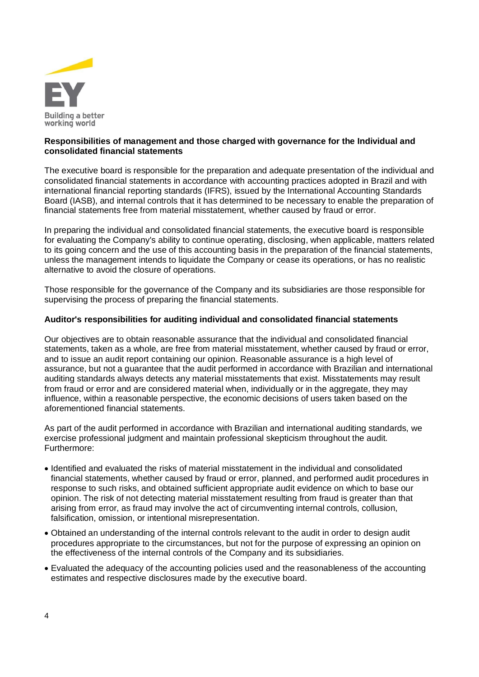

### **Responsibilities of management and those charged with governance for the Individual and consolidated financial statements**

The executive board is responsible for the preparation and adequate presentation of the individual and consolidated financial statements in accordance with accounting practices adopted in Brazil and with international financial reporting standards (IFRS), issued by the International Accounting Standards Board (IASB), and internal controls that it has determined to be necessary to enable the preparation of financial statements free from material misstatement, whether caused by fraud or error.

In preparing the individual and consolidated financial statements, the executive board is responsible for evaluating the Company's ability to continue operating, disclosing, when applicable, matters related to its going concern and the use of this accounting basis in the preparation of the financial statements, unless the management intends to liquidate the Company or cease its operations, or has no realistic alternative to avoid the closure of operations.

Those responsible for the governance of the Company and its subsidiaries are those responsible for supervising the process of preparing the financial statements.

### **Auditor's responsibilities for auditing individual and consolidated financial statements**

Our objectives are to obtain reasonable assurance that the individual and consolidated financial statements, taken as a whole, are free from material misstatement, whether caused by fraud or error, and to issue an audit report containing our opinion. Reasonable assurance is a high level of assurance, but not a guarantee that the audit performed in accordance with Brazilian and international auditing standards always detects any material misstatements that exist. Misstatements may result from fraud or error and are considered material when, individually or in the aggregate, they may influence, within a reasonable perspective, the economic decisions of users taken based on the aforementioned financial statements.

As part of the audit performed in accordance with Brazilian and international auditing standards, we exercise professional judgment and maintain professional skepticism throughout the audit. Furthermore:

- Identified and evaluated the risks of material misstatement in the individual and consolidated financial statements, whether caused by fraud or error, planned, and performed audit procedures in response to such risks, and obtained sufficient appropriate audit evidence on which to base our opinion. The risk of not detecting material misstatement resulting from fraud is greater than that arising from error, as fraud may involve the act of circumventing internal controls, collusion, falsification, omission, or intentional misrepresentation.
- Obtained an understanding of the internal controls relevant to the audit in order to design audit procedures appropriate to the circumstances, but not for the purpose of expressing an opinion on the effectiveness of the internal controls of the Company and its subsidiaries.
- Evaluated the adequacy of the accounting policies used and the reasonableness of the accounting estimates and respective disclosures made by the executive board.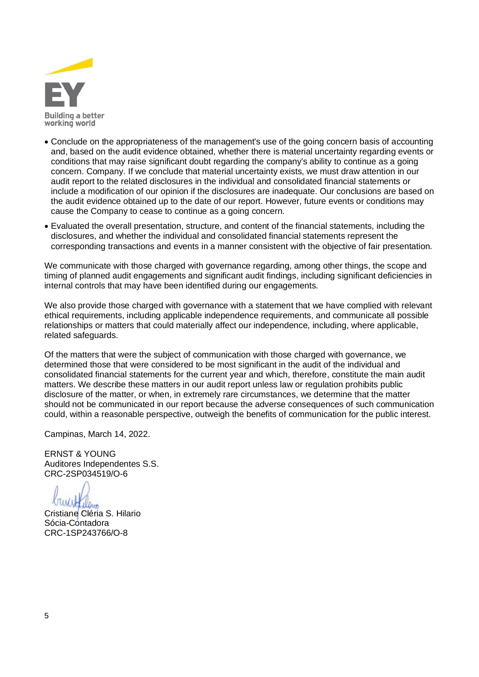

- Conclude on the appropriateness of the management's use of the going concern basis of accounting and, based on the audit evidence obtained, whether there is material uncertainty regarding events or conditions that may raise significant doubt regarding the company's ability to continue as a going concern. Company. If we conclude that material uncertainty exists, we must draw attention in our audit report to the related disclosures in the individual and consolidated financial statements or include a modification of our opinion if the disclosures are inadequate. Our conclusions are based on the audit evidence obtained up to the date of our report. However, future events or conditions may cause the Company to cease to continue as a going concern.
- Evaluated the overall presentation, structure, and content of the financial statements, including the disclosures, and whether the individual and consolidated financial statements represent the corresponding transactions and events in a manner consistent with the objective of fair presentation.

We communicate with those charged with governance regarding, among other things, the scope and timing of planned audit engagements and significant audit findings, including significant deficiencies in internal controls that may have been identified during our engagements.

We also provide those charged with governance with a statement that we have complied with relevant ethical requirements, including applicable independence requirements, and communicate all possible relationships or matters that could materially affect our independence, including, where applicable, related safeguards.

Of the matters that were the subject of communication with those charged with governance, we determined those that were considered to be most significant in the audit of the individual and consolidated financial statements for the current year and which, therefore, constitute the main audit matters. We describe these matters in our audit report unless law or regulation prohibits public disclosure of the matter, or when, in extremely rare circumstances, we determine that the matter should not be communicated in our report because the adverse consequences of such communication could, within a reasonable perspective, outweigh the benefits of communication for the public interest.

Campinas, March 14, 2022.

ERNST & YOUNG Auditores Independentes S.S. CRC-2SP034519/O-6

Cristiane Cléria S. Hilario Sócia-Contadora CRC-1SP243766/O-8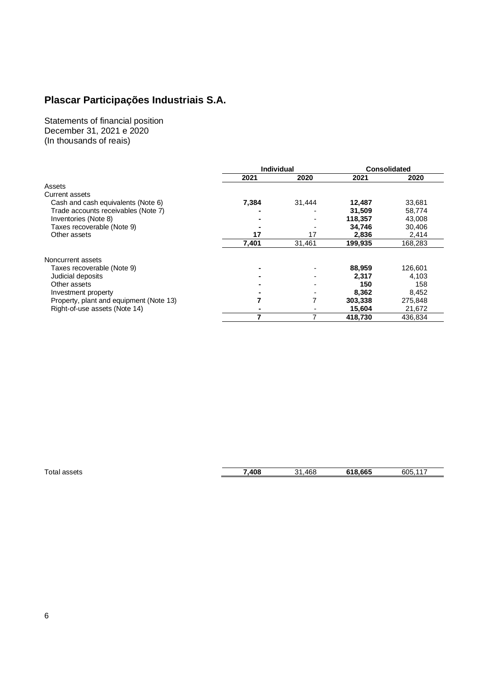Statements of financial position December 31, 2021 e 2020 (In thousands of reais)

|                                         | <b>Individual</b> |        | <b>Consolidated</b> |         |
|-----------------------------------------|-------------------|--------|---------------------|---------|
|                                         | 2021              | 2020   | 2021                | 2020    |
| Assets                                  |                   |        |                     |         |
| Current assets                          |                   |        |                     |         |
| Cash and cash equivalents (Note 6)      | 7,384             | 31,444 | 12,487              | 33,681  |
| Trade accounts receivables (Note 7)     |                   |        | 31,509              | 58,774  |
| Inventories (Note 8)                    | $\blacksquare$    |        | 118,357             | 43,008  |
| Taxes recoverable (Note 9)              |                   |        | 34,746              | 30,406  |
| Other assets                            | 17                | 17     | 2,836               | 2,414   |
|                                         | 7,401             | 31,461 | 199,935             | 168,283 |
| Noncurrent assets                       |                   |        |                     |         |
| Taxes recoverable (Note 9)              |                   |        | 88,959              | 126,601 |
| Judicial deposits                       |                   |        | 2.317               | 4,103   |
| Other assets                            |                   |        | 150                 | 158     |
| Investment property                     |                   |        | 8,362               | 8,452   |
| Property, plant and equipment (Note 13) | 7                 | 7      | 303,338             | 275,848 |
| Right-of-use assets (Note 14)           |                   |        | 15,604              | 21,672  |
|                                         |                   | 7      | 418,730             | 436,834 |

Total assets **7,408** 31,468 **618,665** 605,117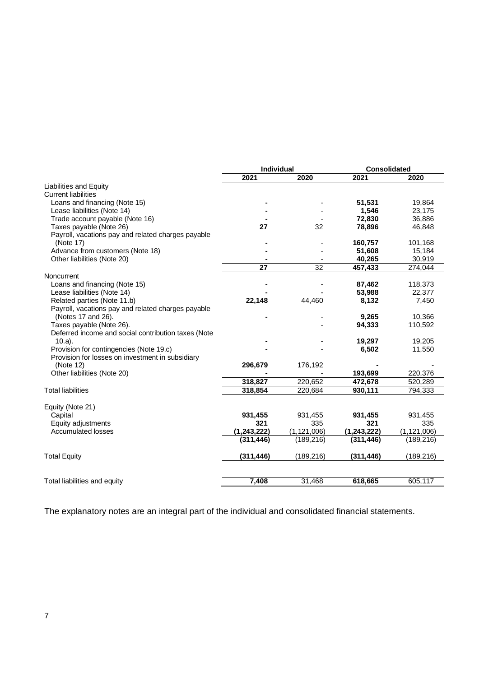|                                                     | Individual  |               |               | <b>Consolidated</b> |  |
|-----------------------------------------------------|-------------|---------------|---------------|---------------------|--|
|                                                     | 2021        | 2020          | 2021          | 2020                |  |
| Liabilities and Equity                              |             |               |               |                     |  |
| <b>Current liabilities</b>                          |             |               |               |                     |  |
| Loans and financing (Note 15)                       |             |               | 51,531        | 19,864              |  |
| Lease liabilities (Note 14)                         |             |               | 1,546         | 23,175              |  |
| Trade account payable (Note 16)                     |             |               | 72,830        | 36,886              |  |
| Taxes payable (Note 26)                             | 27          | 32            | 78,896        | 46,848              |  |
| Payroll, vacations pay and related charges payable  |             |               |               |                     |  |
| (Note 17)                                           |             |               | 160,757       | 101,168             |  |
| Advance from customers (Note 18)                    |             |               | 51,608        | 15,184              |  |
| Other liabilities (Note 20)                         |             |               | 40,265        | 30,919              |  |
|                                                     | 27          | 32            | 457,433       | 274,044             |  |
| Noncurrent                                          |             |               |               |                     |  |
| Loans and financing (Note 15)                       |             |               | 87,462        | 118,373             |  |
| Lease liabilities (Note 14)                         |             |               | 53,988        | 22,377              |  |
| Related parties (Note 11.b)                         | 22,148      | 44,460        | 8,132         | 7,450               |  |
| Payroll, vacations pay and related charges payable  |             |               |               |                     |  |
| (Notes 17 and 26).                                  |             |               | 9,265         | 10,366              |  |
| Taxes payable (Note 26).                            |             |               | 94,333        | 110,592             |  |
| Deferred income and social contribution taxes (Note |             |               |               |                     |  |
| $10.a$ .                                            |             |               | 19,297        | 19,205              |  |
| Provision for contingencies (Note 19.c)             |             |               | 6,502         | 11,550              |  |
| Provision for losses on investment in subsidiary    |             |               |               |                     |  |
| (Note 12)                                           | 296,679     | 176,192       |               |                     |  |
| Other liabilities (Note 20)                         |             |               | 193,699       | 220,376             |  |
|                                                     | 318,827     | 220,652       | 472,678       | 520,289             |  |
| <b>Total liabilities</b>                            | 318,854     | 220,684       | 930,111       | 794,333             |  |
|                                                     |             |               |               |                     |  |
| Equity (Note 21)                                    |             |               |               |                     |  |
| Capital                                             | 931,455     | 931,455       | 931,455       | 931,455             |  |
| Equity adjustments                                  | 321         | 335           | 321           | 335                 |  |
| <b>Accumulated losses</b>                           | (1,243,222) | (1, 121, 006) | (1, 243, 222) | (1, 121, 006)       |  |
|                                                     | (311, 446)  | (189, 216)    | (311, 446)    | (189, 216)          |  |
| <b>Total Equity</b>                                 | (311, 446)  | (189, 216)    | (311, 446)    | (189, 216)          |  |
|                                                     |             |               |               |                     |  |
| Total liabilities and equity                        | 7,408       | 31,468        | 618,665       | 605,117             |  |
|                                                     |             |               |               |                     |  |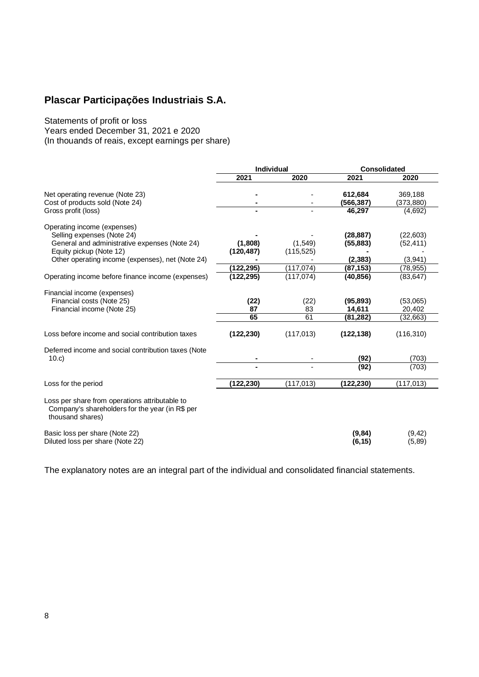Statements of profit or loss Years ended December 31, 2021 e 2020 (In thouands of reais, except earnings per share)

|                                                                                                                       | <b>Individual</b> |            | Consolidated       |                    |
|-----------------------------------------------------------------------------------------------------------------------|-------------------|------------|--------------------|--------------------|
|                                                                                                                       | 2021              | 2020       | 2021               | 2020               |
| Net operating revenue (Note 23)                                                                                       |                   |            | 612,684            | 369,188            |
| Cost of products sold (Note 24)                                                                                       |                   |            | (566, 387)         | (373, 880)         |
| Gross profit (loss)                                                                                                   |                   |            | 46,297             | (4,692)            |
| Operating income (expenses)                                                                                           |                   |            |                    |                    |
| Selling expenses (Note 24)                                                                                            |                   |            | (28, 887)          | (22,603)           |
| General and administrative expenses (Note 24)                                                                         | (1,808)           | (1, 549)   | (55, 883)          | (52, 411)          |
| Equity pickup (Note 12)                                                                                               | (120, 487)        | (115, 525) |                    |                    |
| Other operating income (expenses), net (Note 24)                                                                      |                   |            | (2, 383)           | (3,941)            |
|                                                                                                                       | (122, 295)        | (117, 074) | (87, 153)          | (78, 955)          |
| Operating income before finance income (expenses)                                                                     | (122, 295)        | (117, 074) | (40, 856)          | (83, 647)          |
| Financial income (expenses)                                                                                           |                   |            |                    |                    |
| Financial costs (Note 25)                                                                                             | (22)              | (22)       | (95, 893)          | (53,065)           |
| Financial income (Note 25)                                                                                            | 87                | 83         | 14,611             | 20,402             |
|                                                                                                                       | 65                | 61         | (81,282)           | (32,663)           |
| Loss before income and social contribution taxes                                                                      | (122, 230)        | (117, 013) | (122, 138)         | (116, 310)         |
| Deferred income and social contribution taxes (Note                                                                   |                   |            |                    |                    |
| 10.c                                                                                                                  |                   |            | (92)               | (703)              |
|                                                                                                                       |                   |            | (92)               | (703)              |
| Loss for the period                                                                                                   | (122,230)         | (117, 013) | (122, 230)         | (117, 013)         |
| Loss per share from operations attributable to<br>Company's shareholders for the year (in R\$ per<br>thousand shares) |                   |            |                    |                    |
| Basic loss per share (Note 22)<br>Diluted loss per share (Note 22)                                                    |                   |            | (9, 84)<br>(6, 15) | (9, 42)<br>(5, 89) |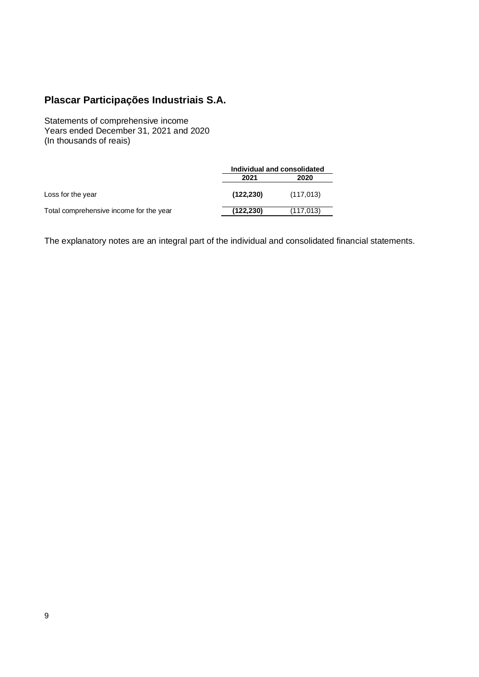Statements of comprehensive income Years ended December 31, 2021 and 2020 (In thousands of reais)

|                                         | Individual and consolidated |            |  |
|-----------------------------------------|-----------------------------|------------|--|
|                                         | 2021<br>2020                |            |  |
| Loss for the year                       | (122, 230)                  | (117, 013) |  |
| Total comprehensive income for the year | (122,230)                   | (117, 013) |  |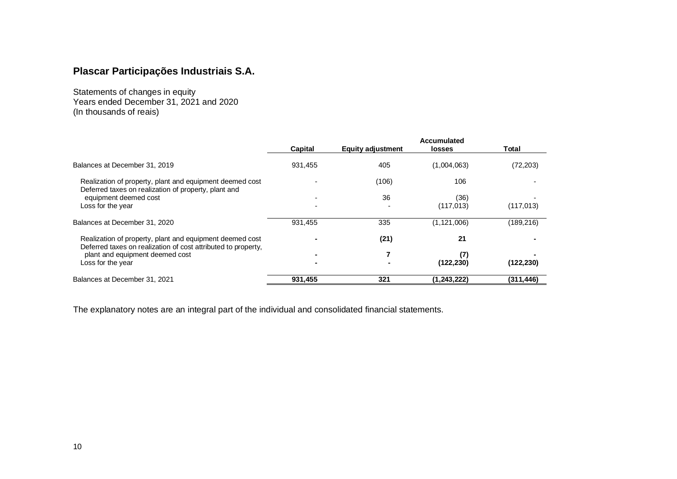Statements of changes in equity Years ended December 31, 2021 and 2020 (In thousands of reais)

|                                                                                                                           | <b>Accumulated</b>       |                          |               |            |  |
|---------------------------------------------------------------------------------------------------------------------------|--------------------------|--------------------------|---------------|------------|--|
|                                                                                                                           | Capital                  | <b>Equity adjustment</b> | <b>losses</b> | Total      |  |
| Balances at December 31, 2019                                                                                             | 931.455                  | 405                      | (1,004,063)   | (72, 203)  |  |
| Realization of property, plant and equipment deemed cost<br>Deferred taxes on realization of property, plant and          |                          | (106)                    | 106           |            |  |
| equipment deemed cost                                                                                                     | $\overline{\phantom{a}}$ | 36                       | (36)          |            |  |
| Loss for the year                                                                                                         | $\overline{\phantom{a}}$ |                          | (117, 013)    | (117, 013) |  |
| Balances at December 31, 2020                                                                                             | 931,455                  | 335                      | (1, 121, 006) | (189,216)  |  |
| Realization of property, plant and equipment deemed cost<br>Deferred taxes on realization of cost attributed to property, | $\blacksquare$           | (21)                     | 21            |            |  |
| plant and equipment deemed cost                                                                                           | ж.                       |                          | (7)           |            |  |
| Loss for the year                                                                                                         | $\blacksquare$           |                          | (122, 230)    | (122, 230) |  |
| Balances at December 31, 2021                                                                                             | 931,455                  | 321                      | (1, 243, 222) | (311,446)  |  |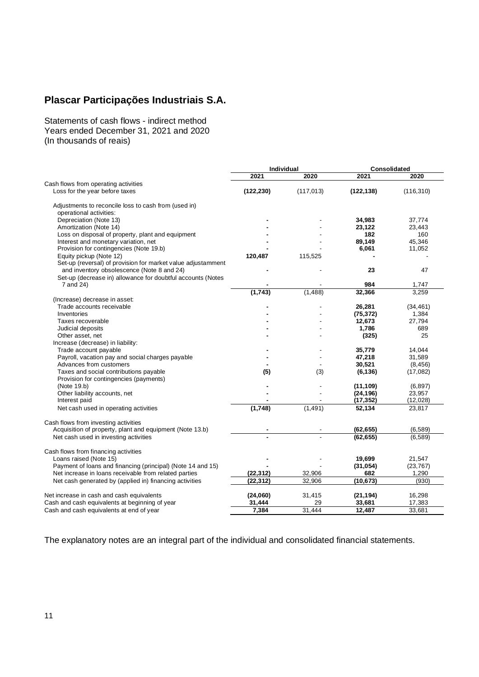Statements of cash flows - indirect method Years ended December 31, 2021 and 2020 (In thousands of reais)

|                                                              | Individual |            | Consolidated |            |
|--------------------------------------------------------------|------------|------------|--------------|------------|
|                                                              | 2021       | 2020       | 2021         | 2020       |
| Cash flows from operating activities                         |            |            |              |            |
| Loss for the year before taxes                               | (122, 230) | (117, 013) | (122, 138)   | (116, 310) |
| Adjustments to reconcile loss to cash from (used in)         |            |            |              |            |
| operational activities:                                      |            |            |              |            |
| Depreciation (Note 13)                                       |            |            | 34,983       | 37,774     |
| Amortization (Note 14)                                       |            |            | 23,122       | 23,443     |
| Loss on disposal of property, plant and equipment            |            |            | 182          | 160        |
| Interest and monetary variation, net                         |            |            | 89,149       | 45,346     |
| Provision for contingencies (Note 19.b)                      |            |            | 6,061        | 11,052     |
| Equity pickup (Note 12)                                      | 120,487    | 115,525    |              |            |
| Set-up (reversal) of provision for market value adjustamment |            |            |              |            |
| and inventory obsolescence (Note 8 and 24)                   |            |            | 23           | 47         |
| Set-up (decrease in) allowance for doubtful accounts (Notes  |            |            |              |            |
| 7 and 24)                                                    |            |            | 984          | 1,747      |
|                                                              | (1,743)    | (1, 488)   | 32,366       | 3,259      |
| (Increase) decrease in asset:                                |            |            |              |            |
| Trade accounts receivable                                    |            |            | 26,281       | (34, 461)  |
| Inventories                                                  |            |            | (75, 372)    | 1,384      |
| Taxes recoverable                                            |            |            | 12,673       | 27,794     |
| Judicial deposits                                            |            |            | 1,786        | 689        |
| Other asset, net                                             |            |            | (325)        | 25         |
| Increase (decrease) in liability:                            |            |            |              |            |
| Trade account payable                                        |            |            | 35,779       | 14.044     |
| Payroll, vacation pay and social charges payable             |            |            | 47,218       | 31,589     |
| Advances from customers                                      |            |            | 30,521       | (8, 456)   |
| Taxes and social contributions payable                       | (5)        | (3)        | (6, 136)     | (17,082)   |
| Provision for contingencies (payments)                       |            |            |              |            |
| (Note 19.b)                                                  |            |            | (11, 109)    | (6,897)    |
| Other liability accounts, net                                |            |            | (24, 196)    | 23,957     |
| Interest paid                                                |            |            | (17, 352)    | (12,028)   |
| Net cash used in operating activities                        | (1,748)    | (1, 491)   | 52,134       | 23,817     |
| Cash flows from investing activities                         |            |            |              |            |
| Acquisition of property, plant and equipment (Note 13.b)     |            |            | (62, 655)    | (6, 589)   |
| Net cash used in investing activities                        |            |            | (62, 655)    | (6,589)    |
| Cash flows from financing activities                         |            |            |              |            |
| Loans raised (Note 15)                                       |            |            | 19,699       | 21,547     |
| Payment of loans and financing (principal) (Note 14 and 15)  |            |            | (31, 054)    | (23, 767)  |
| Net increase in loans receivable from related parties        | (22, 312)  | 32,906     | 682          | 1,290      |
| Net cash generated by (applied in) financing activities      | (22, 312)  | 32,906     | (10, 673)    | (930)      |
| Net increase in cash and cash equivalents                    | (24,060)   | 31,415     | (21, 194)    | 16,298     |
| Cash and cash equivalents at beginning of year               | 31,444     | 29         | 33,681       | 17,383     |
| Cash and cash equivalents at end of year                     | 7,384      | 31.444     | 12.487       | 33,681     |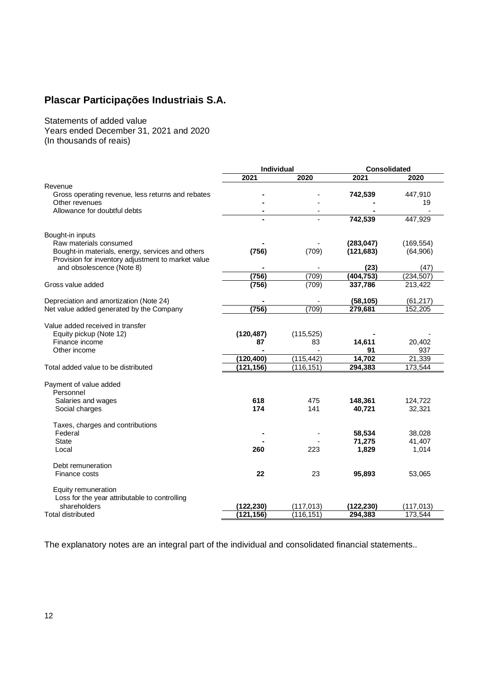Statements of added value Years ended December 31, 2021 and 2020 (In thousands of reais)

|                                                    | <b>Individual</b> |            | <b>Consolidated</b> |            |
|----------------------------------------------------|-------------------|------------|---------------------|------------|
|                                                    | 2021              | 2020       | 2021                | 2020       |
| Revenue                                            |                   |            |                     |            |
| Gross operating revenue, less returns and rebates  |                   |            | 742,539             | 447,910    |
| Other revenues                                     |                   |            |                     | 19         |
| Allowance for doubtful debts                       | $\blacksquare$    |            |                     |            |
|                                                    |                   |            | 742,539             | 447,929    |
| Bought-in inputs                                   |                   |            |                     |            |
| Raw materials consumed                             |                   |            | (283, 047)          | (169, 554) |
| Bought-in materials, energy, services and others   | (756)             | (709)      | (121, 683)          | (64,906)   |
| Provision for inventory adjustment to market value |                   |            |                     |            |
| and obsolescence (Note 8)                          |                   |            | (23)                | (47)       |
|                                                    | (756)             | (709)      | (404, 753)          | (234, 507) |
| Gross value added                                  | (756)             | (709)      | 337,786             | 213,422    |
| Depreciation and amortization (Note 24)            |                   |            | (58, 105)           | (61, 217)  |
| Net value added generated by the Company           | (756)             | (709)      | 279,681             | 152,205    |
|                                                    |                   |            |                     |            |
| Value added received in transfer                   |                   |            |                     |            |
| Equity pickup (Note 12)                            | (120, 487)        | (115, 525) |                     |            |
| Finance income                                     | 87                | 83         | 14,611              | 20,402     |
| Other income                                       |                   |            | 91                  | 937        |
|                                                    | (120, 400)        | (115, 442) | 14,702              | 21,339     |
| Total added value to be distributed                | (121, 156)        | (116, 151) | 294,383             | 173,544    |
| Payment of value added                             |                   |            |                     |            |
| Personnel                                          |                   |            |                     |            |
| Salaries and wages                                 | 618               | 475        | 148,361             | 124,722    |
| Social charges                                     | 174               | 141        | 40.721              | 32,321     |
| Taxes, charges and contributions                   |                   |            |                     |            |
| Federal                                            |                   |            | 58,534              | 38,028     |
| <b>State</b>                                       |                   |            | 71,275              | 41,407     |
| Local                                              | 260               | 223        | 1,829               | 1,014      |
| Debt remuneration                                  |                   |            |                     |            |
| Finance costs                                      | 22                | 23         | 95,893              | 53,065     |
| Equity remuneration                                |                   |            |                     |            |
| Loss for the year attributable to controlling      |                   |            |                     |            |
| shareholders                                       | (122, 230)        | (117, 013) | (122, 230)          | (117, 013) |
| Total distributed                                  | (121, 156)        | (116, 151) | 294,383             | 173,544    |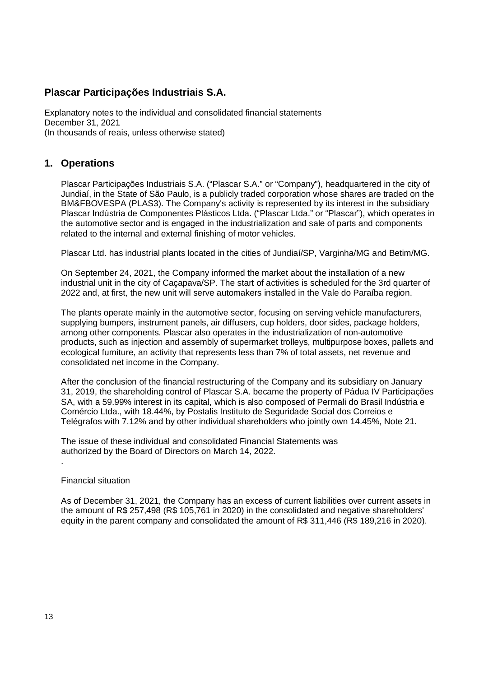Explanatory notes to the individual and consolidated financial statements December 31, 2021 (In thousands of reais, unless otherwise stated)

### **1. Operations**

Plascar Participações Industriais S.A. ("Plascar S.A." or "Company"), headquartered in the city of Jundiaí, in the State of São Paulo, is a publicly traded corporation whose shares are traded on the BM&FBOVESPA (PLAS3). The Company's activity is represented by its interest in the subsidiary Plascar Indústria de Componentes Plásticos Ltda. ("Plascar Ltda." or "Plascar"), which operates in the automotive sector and is engaged in the industrialization and sale of parts and components related to the internal and external finishing of motor vehicles.

Plascar Ltd. has industrial plants located in the cities of Jundiaí/SP, Varginha/MG and Betim/MG.

On September 24, 2021, the Company informed the market about the installation of a new industrial unit in the city of Caçapava/SP. The start of activities is scheduled for the 3rd quarter of 2022 and, at first, the new unit will serve automakers installed in the Vale do Paraíba region.

The plants operate mainly in the automotive sector, focusing on serving vehicle manufacturers, supplying bumpers, instrument panels, air diffusers, cup holders, door sides, package holders, among other components. Plascar also operates in the industrialization of non-automotive products, such as injection and assembly of supermarket trolleys, multipurpose boxes, pallets and ecological furniture, an activity that represents less than 7% of total assets, net revenue and consolidated net income in the Company.

After the conclusion of the financial restructuring of the Company and its subsidiary on January 31, 2019, the shareholding control of Plascar S.A. became the property of Pádua IV Participações SA, with a 59.99% interest in its capital, which is also composed of Permali do Brasil Indústria e Comércio Ltda., with 18.44%, by Postalis Instituto de Seguridade Social dos Correios e Telégrafos with 7.12% and by other individual shareholders who jointly own 14.45%, Note 21.

 The issue of these individual and consolidated Financial Statements was authorized by the Board of Directors on March 14, 2022.

### Financial situation

.

As of December 31, 2021, the Company has an excess of current liabilities over current assets in the amount of R\$ 257,498 (R\$ 105,761 in 2020) in the consolidated and negative shareholders' equity in the parent company and consolidated the amount of R\$ 311,446 (R\$ 189,216 in 2020).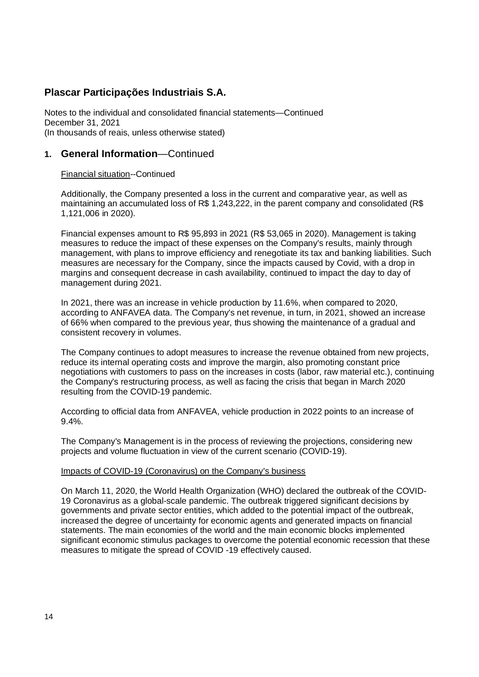Notes to the individual and consolidated financial statements—Continued December 31, 2021 (In thousands of reais, unless otherwise stated)

### **1. General Information**—Continued

### Financial situation--Continued

Additionally, the Company presented a loss in the current and comparative year, as well as maintaining an accumulated loss of R\$ 1,243,222, in the parent company and consolidated (R\$ 1,121,006 in 2020).

Financial expenses amount to R\$ 95,893 in 2021 (R\$ 53,065 in 2020). Management is taking measures to reduce the impact of these expenses on the Company's results, mainly through management, with plans to improve efficiency and renegotiate its tax and banking liabilities. Such measures are necessary for the Company, since the impacts caused by Covid, with a drop in margins and consequent decrease in cash availability, continued to impact the day to day of management during 2021.

In 2021, there was an increase in vehicle production by 11.6%, when compared to 2020, according to ANFAVEA data. The Company's net revenue, in turn, in 2021, showed an increase of 66% when compared to the previous year, thus showing the maintenance of a gradual and consistent recovery in volumes.

The Company continues to adopt measures to increase the revenue obtained from new projects, reduce its internal operating costs and improve the margin, also promoting constant price negotiations with customers to pass on the increases in costs (labor, raw material etc.), continuing the Company's restructuring process, as well as facing the crisis that began in March 2020 resulting from the COVID-19 pandemic.

According to official data from ANFAVEA, vehicle production in 2022 points to an increase of 9.4%.

The Company's Management is in the process of reviewing the projections, considering new projects and volume fluctuation in view of the current scenario (COVID-19).

### Impacts of COVID-19 (Coronavirus) on the Company's business

On March 11, 2020, the World Health Organization (WHO) declared the outbreak of the COVID-19 Coronavirus as a global-scale pandemic. The outbreak triggered significant decisions by governments and private sector entities, which added to the potential impact of the outbreak, increased the degree of uncertainty for economic agents and generated impacts on financial statements. The main economies of the world and the main economic blocks implemented significant economic stimulus packages to overcome the potential economic recession that these measures to mitigate the spread of COVID -19 effectively caused.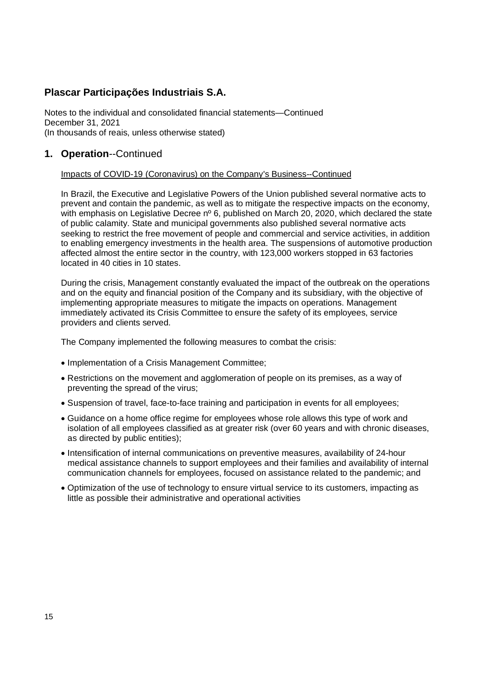Notes to the individual and consolidated financial statements—Continued December 31, 2021 (In thousands of reais, unless otherwise stated)

# **1. Operation**--Continued

### Impacts of COVID-19 (Coronavirus) on the Company's Business--Continued

In Brazil, the Executive and Legislative Powers of the Union published several normative acts to prevent and contain the pandemic, as well as to mitigate the respective impacts on the economy, with emphasis on Legislative Decree nº 6, published on March 20, 2020, which declared the state of public calamity. State and municipal governments also published several normative acts seeking to restrict the free movement of people and commercial and service activities, in addition to enabling emergency investments in the health area. The suspensions of automotive production affected almost the entire sector in the country, with 123,000 workers stopped in 63 factories located in 40 cities in 10 states.

During the crisis, Management constantly evaluated the impact of the outbreak on the operations and on the equity and financial position of the Company and its subsidiary, with the objective of implementing appropriate measures to mitigate the impacts on operations. Management immediately activated its Crisis Committee to ensure the safety of its employees, service providers and clients served.

The Company implemented the following measures to combat the crisis:

- Implementation of a Crisis Management Committee;
- Restrictions on the movement and agglomeration of people on its premises, as a way of preventing the spread of the virus;
- Suspension of travel, face-to-face training and participation in events for all employees;
- Guidance on a home office regime for employees whose role allows this type of work and isolation of all employees classified as at greater risk (over 60 years and with chronic diseases, as directed by public entities);
- Intensification of internal communications on preventive measures, availability of 24-hour medical assistance channels to support employees and their families and availability of internal communication channels for employees, focused on assistance related to the pandemic; and
- Optimization of the use of technology to ensure virtual service to its customers, impacting as little as possible their administrative and operational activities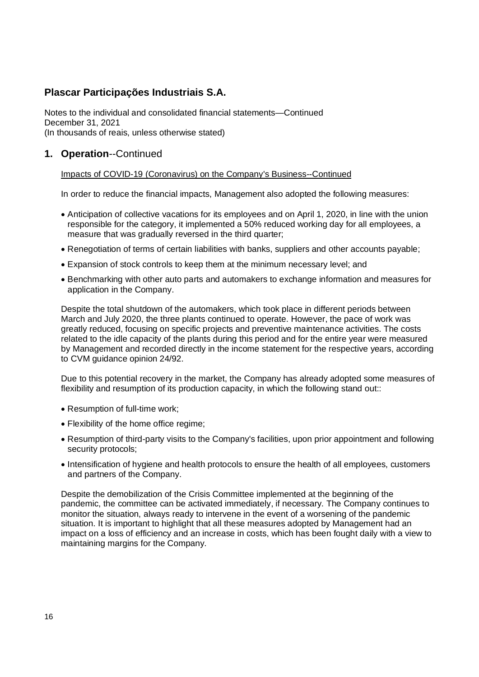Notes to the individual and consolidated financial statements—Continued December 31, 2021 (In thousands of reais, unless otherwise stated)

# **1. Operation**--Continued

Impacts of COVID-19 (Coronavirus) on the Company's Business--Continued

In order to reduce the financial impacts, Management also adopted the following measures:

- Anticipation of collective vacations for its employees and on April 1, 2020, in line with the union responsible for the category, it implemented a 50% reduced working day for all employees, a measure that was gradually reversed in the third quarter;
- Renegotiation of terms of certain liabilities with banks, suppliers and other accounts payable;
- Expansion of stock controls to keep them at the minimum necessary level; and
- Benchmarking with other auto parts and automakers to exchange information and measures for application in the Company.

Despite the total shutdown of the automakers, which took place in different periods between March and July 2020, the three plants continued to operate. However, the pace of work was greatly reduced, focusing on specific projects and preventive maintenance activities. The costs related to the idle capacity of the plants during this period and for the entire year were measured by Management and recorded directly in the income statement for the respective years, according to CVM guidance opinion 24/92.

Due to this potential recovery in the market, the Company has already adopted some measures of flexibility and resumption of its production capacity, in which the following stand out::

- Resumption of full-time work;
- Flexibility of the home office regime;
- Resumption of third-party visits to the Company's facilities, upon prior appointment and following security protocols;
- Intensification of hygiene and health protocols to ensure the health of all employees, customers and partners of the Company.

Despite the demobilization of the Crisis Committee implemented at the beginning of the pandemic, the committee can be activated immediately, if necessary. The Company continues to monitor the situation, always ready to intervene in the event of a worsening of the pandemic situation. It is important to highlight that all these measures adopted by Management had an impact on a loss of efficiency and an increase in costs, which has been fought daily with a view to maintaining margins for the Company.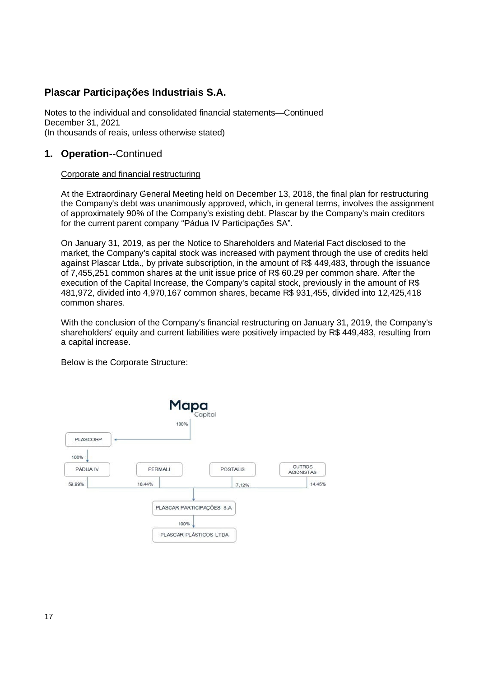Notes to the individual and consolidated financial statements—Continued December 31, 2021 (In thousands of reais, unless otherwise stated)

# **1. Operation**--Continued

### Corporate and financial restructuring

At the Extraordinary General Meeting held on December 13, 2018, the final plan for restructuring the Company's debt was unanimously approved, which, in general terms, involves the assignment of approximately 90% of the Company's existing debt. Plascar by the Company's main creditors for the current parent company "Pádua IV Participações SA".

On January 31, 2019, as per the Notice to Shareholders and Material Fact disclosed to the market, the Company's capital stock was increased with payment through the use of credits held against Plascar Ltda., by private subscription, in the amount of R\$ 449,483, through the issuance of 7,455,251 common shares at the unit issue price of R\$ 60.29 per common share. After the execution of the Capital Increase, the Company's capital stock, previously in the amount of R\$ 481,972, divided into 4,970,167 common shares, became R\$ 931,455, divided into 12,425,418 common shares.

With the conclusion of the Company's financial restructuring on January 31, 2019, the Company's shareholders' equity and current liabilities were positively impacted by R\$ 449,483, resulting from a capital increase.

Below is the Corporate Structure:

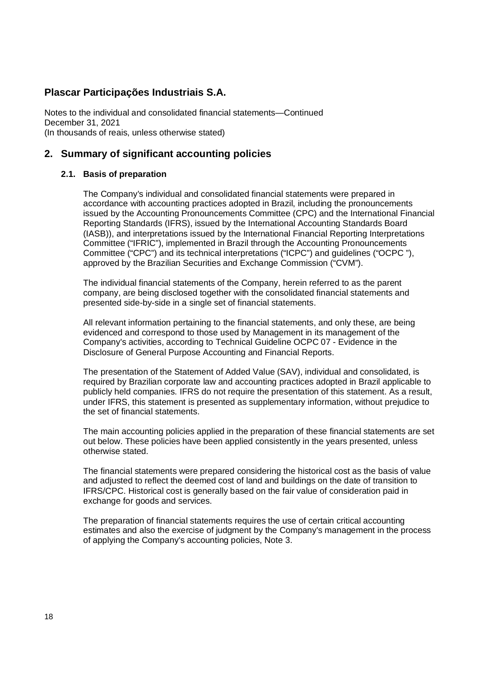Notes to the individual and consolidated financial statements—Continued December 31, 2021 (In thousands of reais, unless otherwise stated)

# **2. Summary of significant accounting policies**

### **2.1. Basis of preparation**

The Company's individual and consolidated financial statements were prepared in accordance with accounting practices adopted in Brazil, including the pronouncements issued by the Accounting Pronouncements Committee (CPC) and the International Financial Reporting Standards (IFRS), issued by the International Accounting Standards Board (IASB)), and interpretations issued by the International Financial Reporting Interpretations Committee ("IFRIC"), implemented in Brazil through the Accounting Pronouncements Committee ("CPC") and its technical interpretations ("ICPC") and guidelines ("OCPC "), approved by the Brazilian Securities and Exchange Commission ("CVM").

The individual financial statements of the Company, herein referred to as the parent company, are being disclosed together with the consolidated financial statements and presented side-by-side in a single set of financial statements.

All relevant information pertaining to the financial statements, and only these, are being evidenced and correspond to those used by Management in its management of the Company's activities, according to Technical Guideline OCPC 07 - Evidence in the Disclosure of General Purpose Accounting and Financial Reports.

The presentation of the Statement of Added Value (SAV), individual and consolidated, is required by Brazilian corporate law and accounting practices adopted in Brazil applicable to publicly held companies. IFRS do not require the presentation of this statement. As a result, under IFRS, this statement is presented as supplementary information, without prejudice to the set of financial statements.

The main accounting policies applied in the preparation of these financial statements are set out below. These policies have been applied consistently in the years presented, unless otherwise stated.

The financial statements were prepared considering the historical cost as the basis of value and adjusted to reflect the deemed cost of land and buildings on the date of transition to IFRS/CPC. Historical cost is generally based on the fair value of consideration paid in exchange for goods and services.

The preparation of financial statements requires the use of certain critical accounting estimates and also the exercise of judgment by the Company's management in the process of applying the Company's accounting policies, Note 3.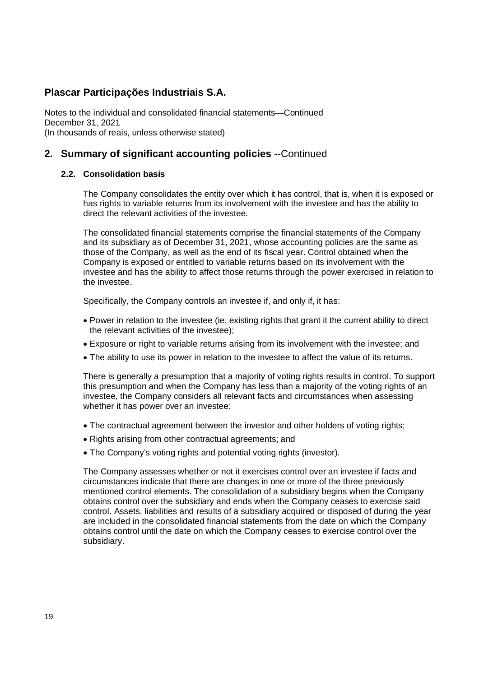Notes to the individual and consolidated financial statements—Continued December 31, 2021 (In thousands of reais, unless otherwise stated)

# **2. Summary of significant accounting policies** --Continued

### **2.2. Consolidation basis**

The Company consolidates the entity over which it has control, that is, when it is exposed or has rights to variable returns from its involvement with the investee and has the ability to direct the relevant activities of the investee.

The consolidated financial statements comprise the financial statements of the Company and its subsidiary as of December 31, 2021, whose accounting policies are the same as those of the Company, as well as the end of its fiscal year. Control obtained when the Company is exposed or entitled to variable returns based on its involvement with the investee and has the ability to affect those returns through the power exercised in relation to the investee.

Specifically, the Company controls an investee if, and only if, it has:

- Power in relation to the investee (ie, existing rights that grant it the current ability to direct the relevant activities of the investee);
- Exposure or right to variable returns arising from its involvement with the investee; and
- The ability to use its power in relation to the investee to affect the value of its returns.

There is generally a presumption that a majority of voting rights results in control. To support this presumption and when the Company has less than a majority of the voting rights of an investee, the Company considers all relevant facts and circumstances when assessing whether it has power over an investee:

- The contractual agreement between the investor and other holders of voting rights;
- Rights arising from other contractual agreements; and
- The Company's voting rights and potential voting rights (investor).

The Company assesses whether or not it exercises control over an investee if facts and circumstances indicate that there are changes in one or more of the three previously mentioned control elements. The consolidation of a subsidiary begins when the Company obtains control over the subsidiary and ends when the Company ceases to exercise said control. Assets, liabilities and results of a subsidiary acquired or disposed of during the year are included in the consolidated financial statements from the date on which the Company obtains control until the date on which the Company ceases to exercise control over the subsidiary.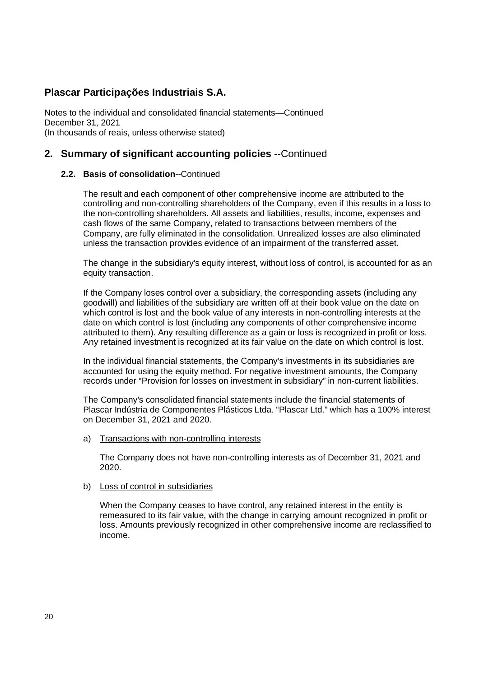Notes to the individual and consolidated financial statements—Continued December 31, 2021 (In thousands of reais, unless otherwise stated)

# **2. Summary of significant accounting policies** --Continued

### **2.2. Basis of consolidation**--Continued

The result and each component of other comprehensive income are attributed to the controlling and non-controlling shareholders of the Company, even if this results in a loss to the non-controlling shareholders. All assets and liabilities, results, income, expenses and cash flows of the same Company, related to transactions between members of the Company, are fully eliminated in the consolidation. Unrealized losses are also eliminated unless the transaction provides evidence of an impairment of the transferred asset.

The change in the subsidiary's equity interest, without loss of control, is accounted for as an equity transaction.

If the Company loses control over a subsidiary, the corresponding assets (including any goodwill) and liabilities of the subsidiary are written off at their book value on the date on which control is lost and the book value of any interests in non-controlling interests at the date on which control is lost (including any components of other comprehensive income attributed to them). Any resulting difference as a gain or loss is recognized in profit or loss. Any retained investment is recognized at its fair value on the date on which control is lost.

In the individual financial statements, the Company's investments in its subsidiaries are accounted for using the equity method. For negative investment amounts, the Company records under "Provision for losses on investment in subsidiary" in non-current liabilities.

The Company's consolidated financial statements include the financial statements of Plascar Indústria de Componentes Plásticos Ltda. "Plascar Ltd." which has a 100% interest on December 31, 2021 and 2020.

a) Transactions with non-controlling interests

The Company does not have non-controlling interests as of December 31, 2021 and 2020.

### b) Loss of control in subsidiaries

When the Company ceases to have control, any retained interest in the entity is remeasured to its fair value, with the change in carrying amount recognized in profit or loss. Amounts previously recognized in other comprehensive income are reclassified to income.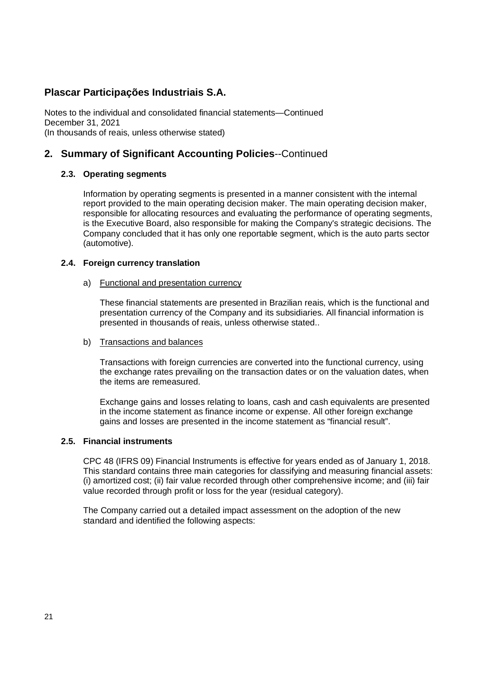Notes to the individual and consolidated financial statements—Continued December 31, 2021 (In thousands of reais, unless otherwise stated)

# **2. Summary of Significant Accounting Policies**--Continued

### **2.3. Operating segments**

Information by operating segments is presented in a manner consistent with the internal report provided to the main operating decision maker. The main operating decision maker, responsible for allocating resources and evaluating the performance of operating segments, is the Executive Board, also responsible for making the Company's strategic decisions. The Company concluded that it has only one reportable segment, which is the auto parts sector (automotive).

### **2.4. Foreign currency translation**

### a) Functional and presentation currency

These financial statements are presented in Brazilian reais, which is the functional and presentation currency of the Company and its subsidiaries. All financial information is presented in thousands of reais, unless otherwise stated..

### b) Transactions and balances

Transactions with foreign currencies are converted into the functional currency, using the exchange rates prevailing on the transaction dates or on the valuation dates, when the items are remeasured.

Exchange gains and losses relating to loans, cash and cash equivalents are presented in the income statement as finance income or expense. All other foreign exchange gains and losses are presented in the income statement as "financial result".

### **2.5. Financial instruments**

CPC 48 (IFRS 09) Financial Instruments is effective for years ended as of January 1, 2018. This standard contains three main categories for classifying and measuring financial assets: (i) amortized cost; (ii) fair value recorded through other comprehensive income; and (iii) fair value recorded through profit or loss for the year (residual category).

The Company carried out a detailed impact assessment on the adoption of the new standard and identified the following aspects: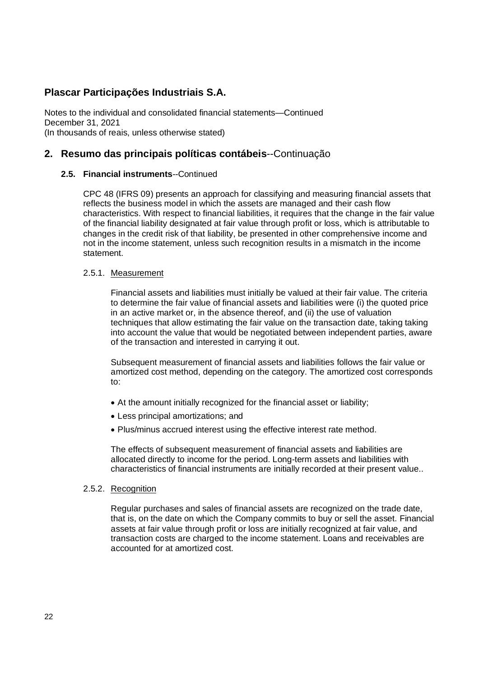Notes to the individual and consolidated financial statements—Continued December 31, 2021 (In thousands of reais, unless otherwise stated)

### **2. Resumo das principais políticas contábeis**--Continuação

### **2.5. Financial instruments**--Continued

CPC 48 (IFRS 09) presents an approach for classifying and measuring financial assets that reflects the business model in which the assets are managed and their cash flow characteristics. With respect to financial liabilities, it requires that the change in the fair value of the financial liability designated at fair value through profit or loss, which is attributable to changes in the credit risk of that liability, be presented in other comprehensive income and not in the income statement, unless such recognition results in a mismatch in the income statement.

### 2.5.1. Measurement

Financial assets and liabilities must initially be valued at their fair value. The criteria to determine the fair value of financial assets and liabilities were (i) the quoted price in an active market or, in the absence thereof, and (ii) the use of valuation techniques that allow estimating the fair value on the transaction date, taking taking into account the value that would be negotiated between independent parties, aware of the transaction and interested in carrying it out.

Subsequent measurement of financial assets and liabilities follows the fair value or amortized cost method, depending on the category. The amortized cost corresponds to:

- At the amount initially recognized for the financial asset or liability;
- Less principal amortizations; and
- Plus/minus accrued interest using the effective interest rate method.

The effects of subsequent measurement of financial assets and liabilities are allocated directly to income for the period. Long-term assets and liabilities with characteristics of financial instruments are initially recorded at their present value..

### 2.5.2. Recognition

Regular purchases and sales of financial assets are recognized on the trade date, that is, on the date on which the Company commits to buy or sell the asset. Financial assets at fair value through profit or loss are initially recognized at fair value, and transaction costs are charged to the income statement. Loans and receivables are accounted for at amortized cost.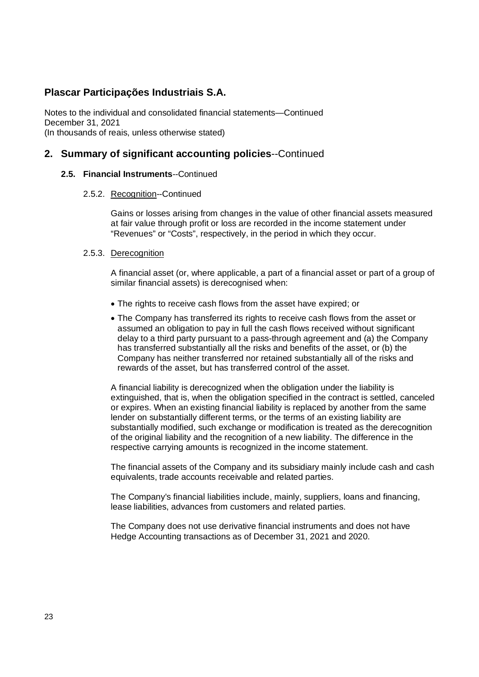Notes to the individual and consolidated financial statements—Continued December 31, 2021 (In thousands of reais, unless otherwise stated)

### **2. Summary of significant accounting policies**--Continued

### **2.5. Financial Instruments**--Continued

### 2.5.2. Recognition--Continued

Gains or losses arising from changes in the value of other financial assets measured at fair value through profit or loss are recorded in the income statement under "Revenues" or "Costs", respectively, in the period in which they occur.

### 2.5.3. Derecognition

A financial asset (or, where applicable, a part of a financial asset or part of a group of similar financial assets) is derecognised when:

- The rights to receive cash flows from the asset have expired; or
- The Company has transferred its rights to receive cash flows from the asset or assumed an obligation to pay in full the cash flows received without significant delay to a third party pursuant to a pass-through agreement and (a) the Company has transferred substantially all the risks and benefits of the asset, or (b) the Company has neither transferred nor retained substantially all of the risks and rewards of the asset, but has transferred control of the asset.

A financial liability is derecognized when the obligation under the liability is extinguished, that is, when the obligation specified in the contract is settled, canceled or expires. When an existing financial liability is replaced by another from the same lender on substantially different terms, or the terms of an existing liability are substantially modified, such exchange or modification is treated as the derecognition of the original liability and the recognition of a new liability. The difference in the respective carrying amounts is recognized in the income statement.

The financial assets of the Company and its subsidiary mainly include cash and cash equivalents, trade accounts receivable and related parties.

The Company's financial liabilities include, mainly, suppliers, loans and financing, lease liabilities, advances from customers and related parties.

The Company does not use derivative financial instruments and does not have Hedge Accounting transactions as of December 31, 2021 and 2020.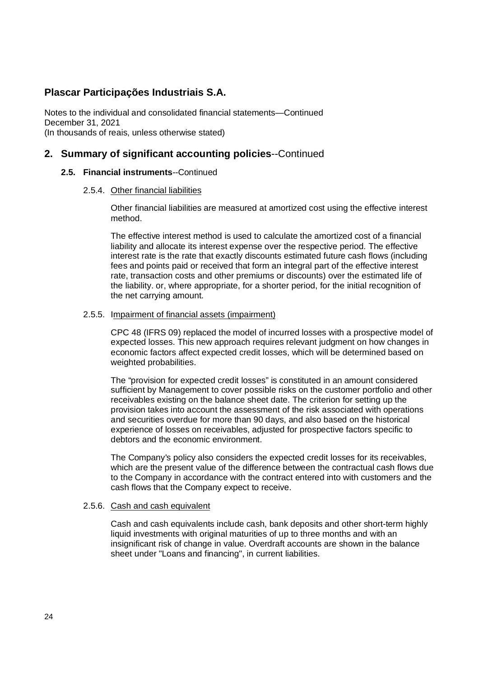Notes to the individual and consolidated financial statements—Continued December 31, 2021 (In thousands of reais, unless otherwise stated)

### **2. Summary of significant accounting policies**--Continued

### **2.5. Financial instruments**--Continued

### 2.5.4. Other financial liabilities

Other financial liabilities are measured at amortized cost using the effective interest method.

The effective interest method is used to calculate the amortized cost of a financial liability and allocate its interest expense over the respective period. The effective interest rate is the rate that exactly discounts estimated future cash flows (including fees and points paid or received that form an integral part of the effective interest rate, transaction costs and other premiums or discounts) over the estimated life of the liability. or, where appropriate, for a shorter period, for the initial recognition of the net carrying amount.

### 2.5.5. Impairment of financial assets (impairment)

CPC 48 (IFRS 09) replaced the model of incurred losses with a prospective model of expected losses. This new approach requires relevant judgment on how changes in economic factors affect expected credit losses, which will be determined based on weighted probabilities.

The "provision for expected credit losses" is constituted in an amount considered sufficient by Management to cover possible risks on the customer portfolio and other receivables existing on the balance sheet date. The criterion for setting up the provision takes into account the assessment of the risk associated with operations and securities overdue for more than 90 days, and also based on the historical experience of losses on receivables, adjusted for prospective factors specific to debtors and the economic environment.

The Company's policy also considers the expected credit losses for its receivables, which are the present value of the difference between the contractual cash flows due to the Company in accordance with the contract entered into with customers and the cash flows that the Company expect to receive.

### 2.5.6. Cash and cash equivalent

Cash and cash equivalents include cash, bank deposits and other short-term highly liquid investments with original maturities of up to three months and with an insignificant risk of change in value. Overdraft accounts are shown in the balance sheet under "Loans and financing", in current liabilities.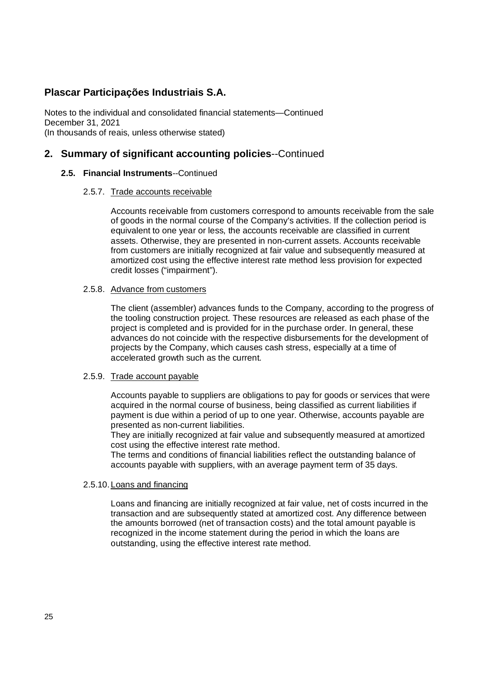Notes to the individual and consolidated financial statements—Continued December 31, 2021 (In thousands of reais, unless otherwise stated)

### **2. Summary of significant accounting policies**--Continued

### **2.5. Financial Instruments**--Continued

### 2.5.7. Trade accounts receivable

Accounts receivable from customers correspond to amounts receivable from the sale of goods in the normal course of the Company's activities. If the collection period is equivalent to one year or less, the accounts receivable are classified in current assets. Otherwise, they are presented in non-current assets. Accounts receivable from customers are initially recognized at fair value and subsequently measured at amortized cost using the effective interest rate method less provision for expected credit losses ("impairment").

### 2.5.8. Advance from customers

The client (assembler) advances funds to the Company, according to the progress of the tooling construction project. These resources are released as each phase of the project is completed and is provided for in the purchase order. In general, these advances do not coincide with the respective disbursements for the development of projects by the Company, which causes cash stress, especially at a time of accelerated growth such as the current.

### 2.5.9. Trade account payable

Accounts payable to suppliers are obligations to pay for goods or services that were acquired in the normal course of business, being classified as current liabilities if payment is due within a period of up to one year. Otherwise, accounts payable are presented as non-current liabilities.

They are initially recognized at fair value and subsequently measured at amortized cost using the effective interest rate method.

The terms and conditions of financial liabilities reflect the outstanding balance of accounts payable with suppliers, with an average payment term of 35 days.

### 2.5.10. Loans and financing

Loans and financing are initially recognized at fair value, net of costs incurred in the transaction and are subsequently stated at amortized cost. Any difference between the amounts borrowed (net of transaction costs) and the total amount payable is recognized in the income statement during the period in which the loans are outstanding, using the effective interest rate method.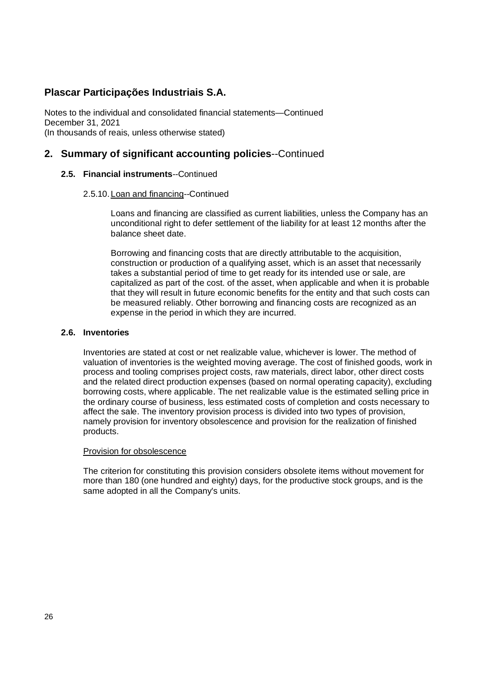Notes to the individual and consolidated financial statements—Continued December 31, 2021 (In thousands of reais, unless otherwise stated)

# **2. Summary of significant accounting policies**--Continued

### **2.5. Financial instruments**--Continued

### 2.5.10. Loan and financing--Continued

Loans and financing are classified as current liabilities, unless the Company has an unconditional right to defer settlement of the liability for at least 12 months after the balance sheet date.

Borrowing and financing costs that are directly attributable to the acquisition, construction or production of a qualifying asset, which is an asset that necessarily takes a substantial period of time to get ready for its intended use or sale, are capitalized as part of the cost. of the asset, when applicable and when it is probable that they will result in future economic benefits for the entity and that such costs can be measured reliably. Other borrowing and financing costs are recognized as an expense in the period in which they are incurred.

### **2.6. Inventories**

Inventories are stated at cost or net realizable value, whichever is lower. The method of valuation of inventories is the weighted moving average. The cost of finished goods, work in process and tooling comprises project costs, raw materials, direct labor, other direct costs and the related direct production expenses (based on normal operating capacity), excluding borrowing costs, where applicable. The net realizable value is the estimated selling price in the ordinary course of business, less estimated costs of completion and costs necessary to affect the sale. The inventory provision process is divided into two types of provision, namely provision for inventory obsolescence and provision for the realization of finished products.

### Provision for obsolescence

The criterion for constituting this provision considers obsolete items without movement for more than 180 (one hundred and eighty) days, for the productive stock groups, and is the same adopted in all the Company's units.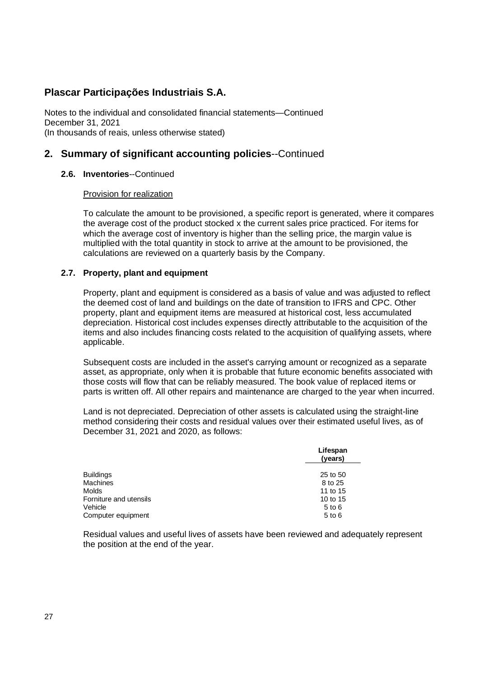Notes to the individual and consolidated financial statements—Continued December 31, 2021 (In thousands of reais, unless otherwise stated)

# **2. Summary of significant accounting policies**--Continued

### **2.6. Inventories**--Continued

### Provision for realization

To calculate the amount to be provisioned, a specific report is generated, where it compares the average cost of the product stocked x the current sales price practiced. For items for which the average cost of inventory is higher than the selling price, the margin value is multiplied with the total quantity in stock to arrive at the amount to be provisioned, the calculations are reviewed on a quarterly basis by the Company.

### **2.7. Property, plant and equipment**

Property, plant and equipment is considered as a basis of value and was adjusted to reflect the deemed cost of land and buildings on the date of transition to IFRS and CPC. Other property, plant and equipment items are measured at historical cost, less accumulated depreciation. Historical cost includes expenses directly attributable to the acquisition of the items and also includes financing costs related to the acquisition of qualifying assets, where applicable.

Subsequent costs are included in the asset's carrying amount or recognized as a separate asset, as appropriate, only when it is probable that future economic benefits associated with those costs will flow that can be reliably measured. The book value of replaced items or parts is written off. All other repairs and maintenance are charged to the year when incurred.

Land is not depreciated. Depreciation of other assets is calculated using the straight-line method considering their costs and residual values over their estimated useful lives, as of December 31, 2021 and 2020, as follows:

|                        | Lifespan<br>(years) |  |  |
|------------------------|---------------------|--|--|
| Buildings              | 25 to 50            |  |  |
| Machines               | 8 to 25             |  |  |
| Molds                  | 11 to 15            |  |  |
| Forniture and utensils | 10 to 15            |  |  |
| Vehicle                | $5$ to $6$          |  |  |
| Computer equipment     | $5$ to $6$          |  |  |

Residual values and useful lives of assets have been reviewed and adequately represent the position at the end of the year.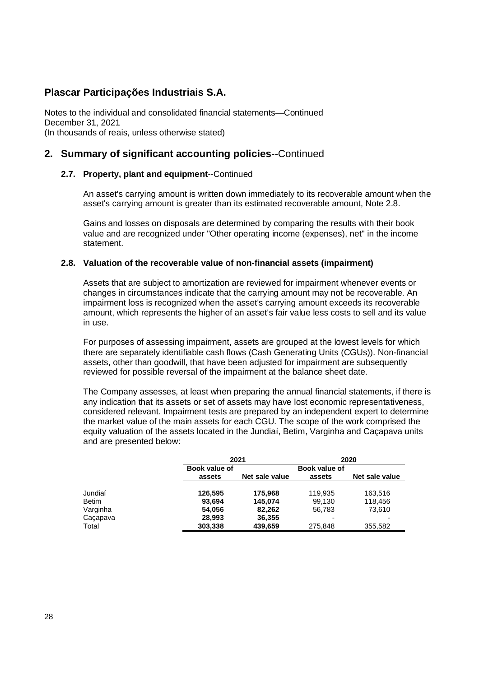Notes to the individual and consolidated financial statements—Continued December 31, 2021 (In thousands of reais, unless otherwise stated)

# **2. Summary of significant accounting policies**--Continued

### **2.7. Property, plant and equipment**--Continued

An asset's carrying amount is written down immediately to its recoverable amount when the asset's carrying amount is greater than its estimated recoverable amount, Note 2.8.

Gains and losses on disposals are determined by comparing the results with their book value and are recognized under "Other operating income (expenses), net" in the income statement.

### **2.8. Valuation of the recoverable value of non-financial assets (impairment)**

Assets that are subject to amortization are reviewed for impairment whenever events or changes in circumstances indicate that the carrying amount may not be recoverable. An impairment loss is recognized when the asset's carrying amount exceeds its recoverable amount, which represents the higher of an asset's fair value less costs to sell and its value in use.

For purposes of assessing impairment, assets are grouped at the lowest levels for which there are separately identifiable cash flows (Cash Generating Units (CGUs)). Non-financial assets, other than goodwill, that have been adjusted for impairment are subsequently reviewed for possible reversal of the impairment at the balance sheet date.

The Company assesses, at least when preparing the annual financial statements, if there is any indication that its assets or set of assets may have lost economic representativeness, considered relevant. Impairment tests are prepared by an independent expert to determine the market value of the main assets for each CGU. The scope of the work comprised the equity valuation of the assets located in the Jundiaí, Betim, Varginha and Caçapava units and are presented below:

|              | 2021          |                |               | 2020           |
|--------------|---------------|----------------|---------------|----------------|
|              | Book value of |                | Book value of |                |
|              | assets        | Net sale value | assets        | Net sale value |
|              |               |                |               |                |
| Jundiaí      | 126,595       | 175.968        | 119,935       | 163,516        |
| <b>Betim</b> | 93,694        | 145.074        | 99,130        | 118.456        |
| Varginha     | 54,056        | 82,262         | 56,783        | 73.610         |
| Caçapava     | 28,993        | 36,355         | ٠             |                |
| Total        | 303,338       | 439,659        | 275,848       | 355,582        |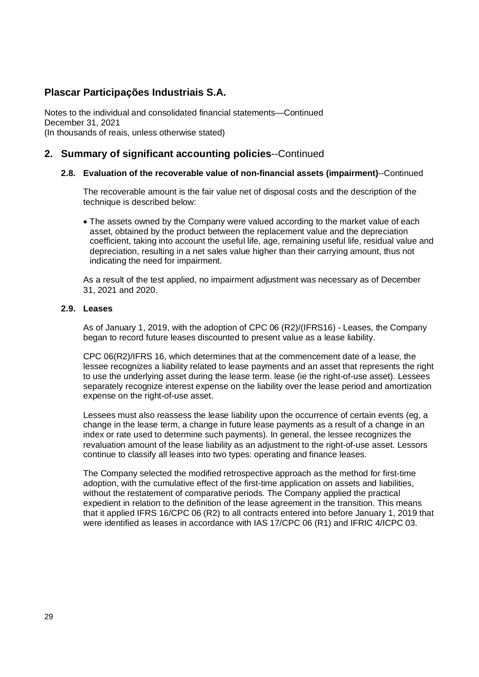Notes to the individual and consolidated financial statements—Continued December 31, 2021 (In thousands of reais, unless otherwise stated)

# **2. Summary of significant accounting policies**--Continued

### **2.8. Evaluation of the recoverable value of non-financial assets (impairment)**--Continued

The recoverable amount is the fair value net of disposal costs and the description of the technique is described below:

• The assets owned by the Company were valued according to the market value of each asset, obtained by the product between the replacement value and the depreciation coefficient, taking into account the useful life, age, remaining useful life, residual value and depreciation, resulting in a net sales value higher than their carrying amount, thus not indicating the need for impairment.

As a result of the test applied, no impairment adjustment was necessary as of December 31, 2021 and 2020.

#### **2.9. Leases**

As of January 1, 2019, with the adoption of CPC 06 (R2)/(IFRS16) - Leases, the Company began to record future leases discounted to present value as a lease liability.

CPC 06(R2)/IFRS 16, which determines that at the commencement date of a lease, the lessee recognizes a liability related to lease payments and an asset that represents the right to use the underlying asset during the lease term. lease (ie the right-of-use asset). Lessees separately recognize interest expense on the liability over the lease period and amortization expense on the right-of-use asset.

Lessees must also reassess the lease liability upon the occurrence of certain events (eg, a change in the lease term, a change in future lease payments as a result of a change in an index or rate used to determine such payments). In general, the lessee recognizes the revaluation amount of the lease liability as an adjustment to the right-of-use asset. Lessors continue to classify all leases into two types: operating and finance leases.

The Company selected the modified retrospective approach as the method for first-time adoption, with the cumulative effect of the first-time application on assets and liabilities, without the restatement of comparative periods. The Company applied the practical expedient in relation to the definition of the lease agreement in the transition. This means that it applied IFRS 16/CPC 06 (R2) to all contracts entered into before January 1, 2019 that were identified as leases in accordance with IAS 17/CPC 06 (R1) and IFRIC 4/ICPC 03.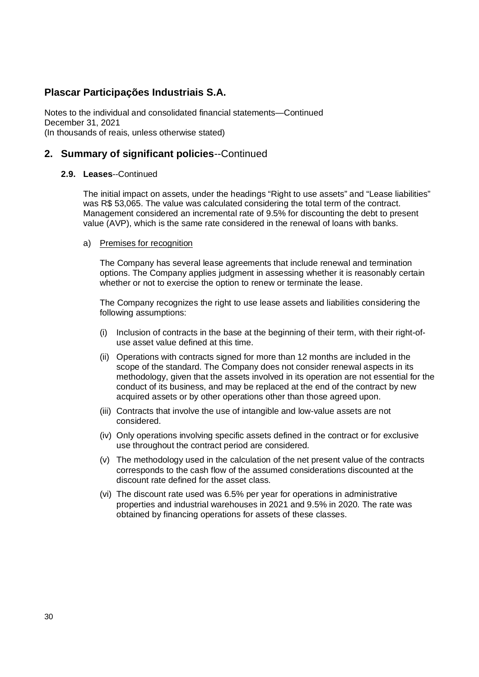Notes to the individual and consolidated financial statements—Continued December 31, 2021 (In thousands of reais, unless otherwise stated)

# **2. Summary of significant policies**--Continued

### **2.9. Leases**--Continued

The initial impact on assets, under the headings "Right to use assets" and "Lease liabilities" was R\$ 53,065. The value was calculated considering the total term of the contract. Management considered an incremental rate of 9.5% for discounting the debt to present value (AVP), which is the same rate considered in the renewal of loans with banks.

### a) Premises for recognition

The Company has several lease agreements that include renewal and termination options. The Company applies judgment in assessing whether it is reasonably certain whether or not to exercise the option to renew or terminate the lease.

The Company recognizes the right to use lease assets and liabilities considering the following assumptions:

- (i) Inclusion of contracts in the base at the beginning of their term, with their right-ofuse asset value defined at this time.
- (ii) Operations with contracts signed for more than 12 months are included in the scope of the standard. The Company does not consider renewal aspects in its methodology, given that the assets involved in its operation are not essential for the conduct of its business, and may be replaced at the end of the contract by new acquired assets or by other operations other than those agreed upon.
- (iii) Contracts that involve the use of intangible and low-value assets are not considered.
- (iv) Only operations involving specific assets defined in the contract or for exclusive use throughout the contract period are considered.
- (v) The methodology used in the calculation of the net present value of the contracts corresponds to the cash flow of the assumed considerations discounted at the discount rate defined for the asset class.
- (vi) The discount rate used was 6.5% per year for operations in administrative properties and industrial warehouses in 2021 and 9.5% in 2020. The rate was obtained by financing operations for assets of these classes.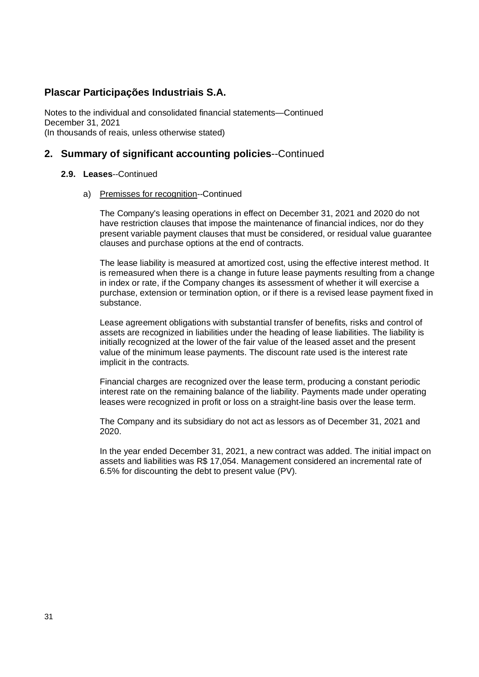Notes to the individual and consolidated financial statements—Continued December 31, 2021 (In thousands of reais, unless otherwise stated)

# **2. Summary of significant accounting policies**--Continued

#### **2.9. Leases**--Continued

a) Premisses for recognition--Continued

The Company's leasing operations in effect on December 31, 2021 and 2020 do not have restriction clauses that impose the maintenance of financial indices, nor do they present variable payment clauses that must be considered, or residual value guarantee clauses and purchase options at the end of contracts.

The lease liability is measured at amortized cost, using the effective interest method. It is remeasured when there is a change in future lease payments resulting from a change in index or rate, if the Company changes its assessment of whether it will exercise a purchase, extension or termination option, or if there is a revised lease payment fixed in substance.

Lease agreement obligations with substantial transfer of benefits, risks and control of assets are recognized in liabilities under the heading of lease liabilities. The liability is initially recognized at the lower of the fair value of the leased asset and the present value of the minimum lease payments. The discount rate used is the interest rate implicit in the contracts.

Financial charges are recognized over the lease term, producing a constant periodic interest rate on the remaining balance of the liability. Payments made under operating leases were recognized in profit or loss on a straight-line basis over the lease term.

The Company and its subsidiary do not act as lessors as of December 31, 2021 and 2020.

In the year ended December 31, 2021, a new contract was added. The initial impact on assets and liabilities was R\$ 17,054. Management considered an incremental rate of 6.5% for discounting the debt to present value (PV).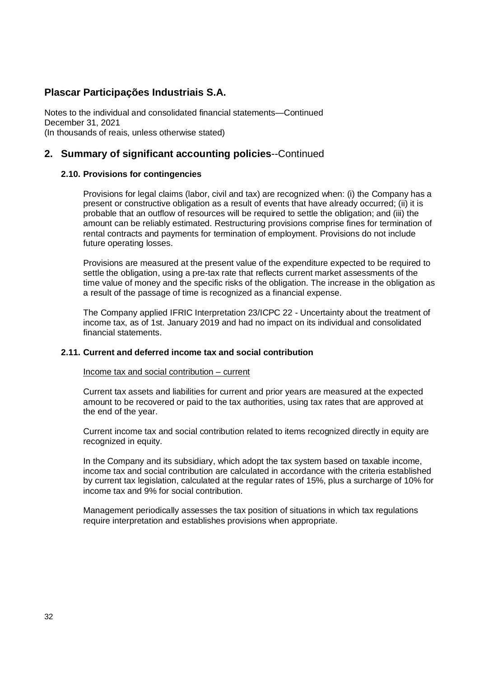Notes to the individual and consolidated financial statements—Continued December 31, 2021 (In thousands of reais, unless otherwise stated)

### **2. Summary of significant accounting policies**--Continued

#### **2.10. Provisions for contingencies**

Provisions for legal claims (labor, civil and tax) are recognized when: (i) the Company has a present or constructive obligation as a result of events that have already occurred; (ii) it is probable that an outflow of resources will be required to settle the obligation; and (iii) the amount can be reliably estimated. Restructuring provisions comprise fines for termination of rental contracts and payments for termination of employment. Provisions do not include future operating losses.

Provisions are measured at the present value of the expenditure expected to be required to settle the obligation, using a pre-tax rate that reflects current market assessments of the time value of money and the specific risks of the obligation. The increase in the obligation as a result of the passage of time is recognized as a financial expense.

The Company applied IFRIC Interpretation 23/ICPC 22 - Uncertainty about the treatment of income tax, as of 1st. January 2019 and had no impact on its individual and consolidated financial statements.

#### **2.11. Current and deferred income tax and social contribution**

#### Income tax and social contribution – current

Current tax assets and liabilities for current and prior years are measured at the expected amount to be recovered or paid to the tax authorities, using tax rates that are approved at the end of the year.

Current income tax and social contribution related to items recognized directly in equity are recognized in equity.

In the Company and its subsidiary, which adopt the tax system based on taxable income, income tax and social contribution are calculated in accordance with the criteria established by current tax legislation, calculated at the regular rates of 15%, plus a surcharge of 10% for income tax and 9% for social contribution.

Management periodically assesses the tax position of situations in which tax regulations require interpretation and establishes provisions when appropriate.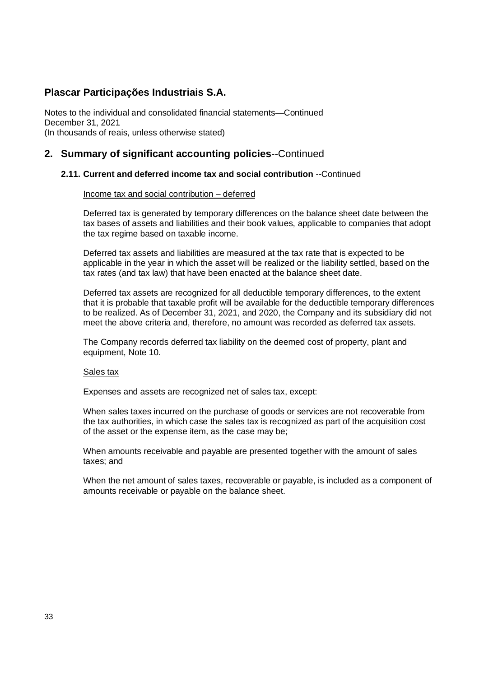Notes to the individual and consolidated financial statements—Continued December 31, 2021 (In thousands of reais, unless otherwise stated)

### **2. Summary of significant accounting policies**--Continued

#### **2.11. Current and deferred income tax and social contribution** --Continued

#### Income tax and social contribution – deferred

Deferred tax is generated by temporary differences on the balance sheet date between the tax bases of assets and liabilities and their book values, applicable to companies that adopt the tax regime based on taxable income.

Deferred tax assets and liabilities are measured at the tax rate that is expected to be applicable in the year in which the asset will be realized or the liability settled, based on the tax rates (and tax law) that have been enacted at the balance sheet date.

Deferred tax assets are recognized for all deductible temporary differences, to the extent that it is probable that taxable profit will be available for the deductible temporary differences to be realized. As of December 31, 2021, and 2020, the Company and its subsidiary did not meet the above criteria and, therefore, no amount was recorded as deferred tax assets.

The Company records deferred tax liability on the deemed cost of property, plant and equipment, Note 10.

#### Sales tax

Expenses and assets are recognized net of sales tax, except:

When sales taxes incurred on the purchase of goods or services are not recoverable from the tax authorities, in which case the sales tax is recognized as part of the acquisition cost of the asset or the expense item, as the case may be;

When amounts receivable and payable are presented together with the amount of sales taxes; and

When the net amount of sales taxes, recoverable or payable, is included as a component of amounts receivable or payable on the balance sheet.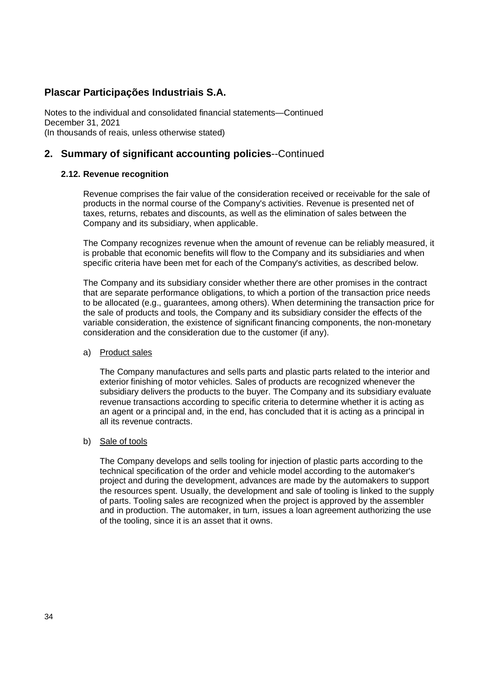Notes to the individual and consolidated financial statements—Continued December 31, 2021 (In thousands of reais, unless otherwise stated)

# **2. Summary of significant accounting policies**--Continued

### **2.12. Revenue recognition**

Revenue comprises the fair value of the consideration received or receivable for the sale of products in the normal course of the Company's activities. Revenue is presented net of taxes, returns, rebates and discounts, as well as the elimination of sales between the Company and its subsidiary, when applicable.

The Company recognizes revenue when the amount of revenue can be reliably measured, it is probable that economic benefits will flow to the Company and its subsidiaries and when specific criteria have been met for each of the Company's activities, as described below.

The Company and its subsidiary consider whether there are other promises in the contract that are separate performance obligations, to which a portion of the transaction price needs to be allocated (e.g., guarantees, among others). When determining the transaction price for the sale of products and tools, the Company and its subsidiary consider the effects of the variable consideration, the existence of significant financing components, the non-monetary consideration and the consideration due to the customer (if any).

#### a) Product sales

The Company manufactures and sells parts and plastic parts related to the interior and exterior finishing of motor vehicles. Sales of products are recognized whenever the subsidiary delivers the products to the buyer. The Company and its subsidiary evaluate revenue transactions according to specific criteria to determine whether it is acting as an agent or a principal and, in the end, has concluded that it is acting as a principal in all its revenue contracts.

#### b) Sale of tools

The Company develops and sells tooling for injection of plastic parts according to the technical specification of the order and vehicle model according to the automaker's project and during the development, advances are made by the automakers to support the resources spent. Usually, the development and sale of tooling is linked to the supply of parts. Tooling sales are recognized when the project is approved by the assembler and in production. The automaker, in turn, issues a loan agreement authorizing the use of the tooling, since it is an asset that it owns.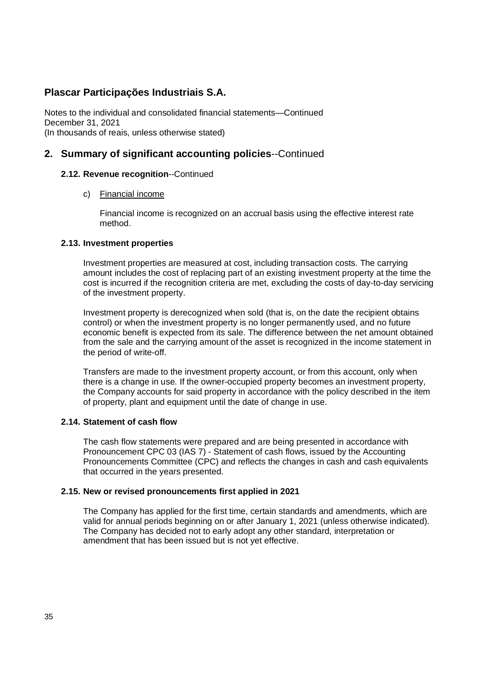Notes to the individual and consolidated financial statements—Continued December 31, 2021 (In thousands of reais, unless otherwise stated)

### **2. Summary of significant accounting policies**--Continued

#### **2.12. Revenue recognition**--Continued

#### c) Financial income

Financial income is recognized on an accrual basis using the effective interest rate method.

#### **2.13. Investment properties**

Investment properties are measured at cost, including transaction costs. The carrying amount includes the cost of replacing part of an existing investment property at the time the cost is incurred if the recognition criteria are met, excluding the costs of day-to-day servicing of the investment property.

Investment property is derecognized when sold (that is, on the date the recipient obtains control) or when the investment property is no longer permanently used, and no future economic benefit is expected from its sale. The difference between the net amount obtained from the sale and the carrying amount of the asset is recognized in the income statement in the period of write-off.

Transfers are made to the investment property account, or from this account, only when there is a change in use. If the owner-occupied property becomes an investment property, the Company accounts for said property in accordance with the policy described in the item of property, plant and equipment until the date of change in use.

#### **2.14. Statement of cash flow**

The cash flow statements were prepared and are being presented in accordance with Pronouncement CPC 03 (IAS 7) - Statement of cash flows, issued by the Accounting Pronouncements Committee (CPC) and reflects the changes in cash and cash equivalents that occurred in the years presented.

#### **2.15. New or revised pronouncements first applied in 2021**

The Company has applied for the first time, certain standards and amendments, which are valid for annual periods beginning on or after January 1, 2021 (unless otherwise indicated). The Company has decided not to early adopt any other standard, interpretation or amendment that has been issued but is not yet effective.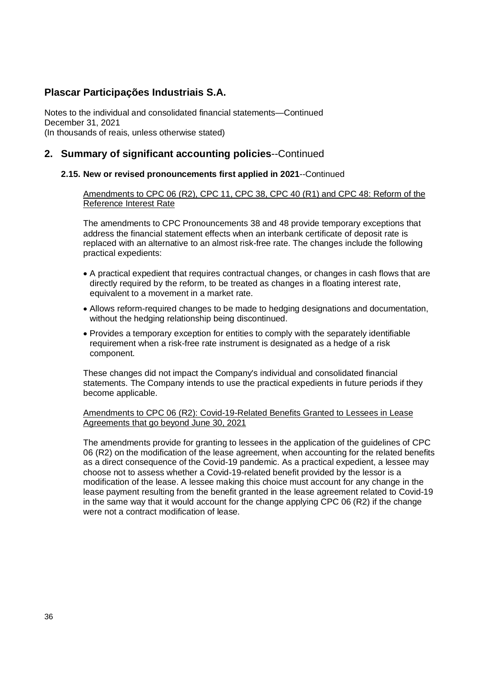Notes to the individual and consolidated financial statements—Continued December 31, 2021 (In thousands of reais, unless otherwise stated)

## **2. Summary of significant accounting policies**--Continued

#### **2.15. New or revised pronouncements first applied in 2021**--Continued

Amendments to CPC 06 (R2), CPC 11, CPC 38, CPC 40 (R1) and CPC 48: Reform of the Reference Interest Rate

The amendments to CPC Pronouncements 38 and 48 provide temporary exceptions that address the financial statement effects when an interbank certificate of deposit rate is replaced with an alternative to an almost risk-free rate. The changes include the following practical expedients:

- A practical expedient that requires contractual changes, or changes in cash flows that are directly required by the reform, to be treated as changes in a floating interest rate, equivalent to a movement in a market rate.
- Allows reform-required changes to be made to hedging designations and documentation, without the hedging relationship being discontinued.
- Provides a temporary exception for entities to comply with the separately identifiable requirement when a risk-free rate instrument is designated as a hedge of a risk component.

These changes did not impact the Company's individual and consolidated financial statements. The Company intends to use the practical expedients in future periods if they become applicable.

Amendments to CPC 06 (R2): Covid-19-Related Benefits Granted to Lessees in Lease Agreements that go beyond June 30, 2021

The amendments provide for granting to lessees in the application of the guidelines of CPC 06 (R2) on the modification of the lease agreement, when accounting for the related benefits as a direct consequence of the Covid-19 pandemic. As a practical expedient, a lessee may choose not to assess whether a Covid-19-related benefit provided by the lessor is a modification of the lease. A lessee making this choice must account for any change in the lease payment resulting from the benefit granted in the lease agreement related to Covid-19 in the same way that it would account for the change applying CPC 06 (R2) if the change were not a contract modification of lease.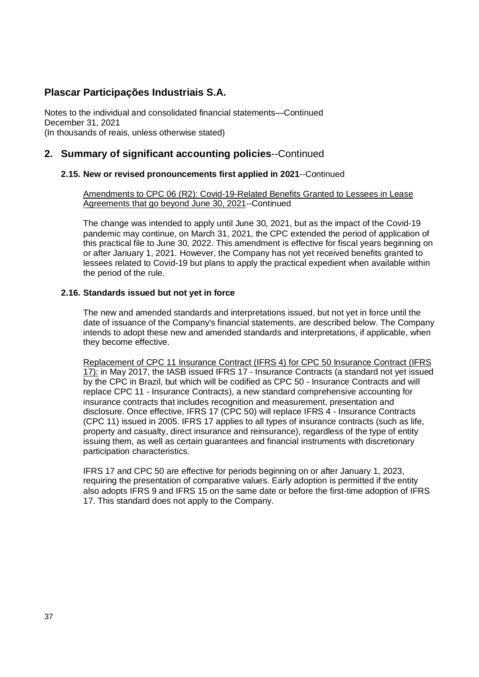Notes to the individual and consolidated financial statements—Continued December 31, 2021 (In thousands of reais, unless otherwise stated)

## **2. Summary of significant accounting policies**--Continued

### **2.15. New or revised pronouncements first applied in 2021**--Continued

Amendments to CPC 06 (R2): Covid-19-Related Benefits Granted to Lessees in Lease Agreements that go beyond June 30, 2021--Continued

The change was intended to apply until June 30, 2021, but as the impact of the Covid-19 pandemic may continue, on March 31, 2021, the CPC extended the period of application of this practical file to June 30, 2022. This amendment is effective for fiscal years beginning on or after January 1, 2021. However, the Company has not yet received benefits granted to lessees related to Covid-19 but plans to apply the practical expedient when available within the period of the rule.

#### **2.16. Standards issued but not yet in force**

The new and amended standards and interpretations issued, but not yet in force until the date of issuance of the Company's financial statements, are described below. The Company intends to adopt these new and amended standards and interpretations, if applicable, when they become effective.

Replacement of CPC 11 Insurance Contract (IFRS 4) for CPC 50 Insurance Contract (IFRS 17): in May 2017, the IASB issued IFRS 17 - Insurance Contracts (a standard not yet issued by the CPC in Brazil, but which will be codified as CPC 50 - Insurance Contracts and will replace CPC 11 - Insurance Contracts), a new standard comprehensive accounting for insurance contracts that includes recognition and measurement, presentation and disclosure. Once effective, IFRS 17 (CPC 50) will replace IFRS 4 - Insurance Contracts (CPC 11) issued in 2005. IFRS 17 applies to all types of insurance contracts (such as life, property and casualty, direct insurance and reinsurance), regardless of the type of entity issuing them, as well as certain guarantees and financial instruments with discretionary participation characteristics.

IFRS 17 and CPC 50 are effective for periods beginning on or after January 1, 2023, requiring the presentation of comparative values. Early adoption is permitted if the entity also adopts IFRS 9 and IFRS 15 on the same date or before the first-time adoption of IFRS 17. This standard does not apply to the Company.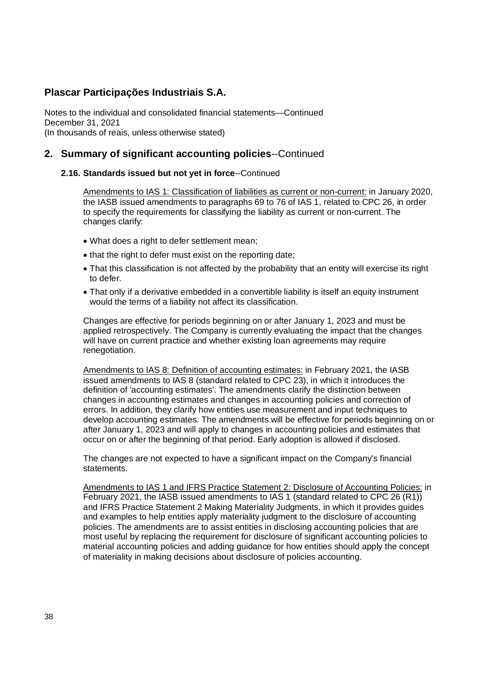Notes to the individual and consolidated financial statements—Continued December 31, 2021 (In thousands of reais, unless otherwise stated)

## **2. Summary of significant accounting policies**--Continued

#### **2.16. Standards issued but not yet in force**--Continued

Amendments to IAS 1: Classification of liabilities as current or non-current: in January 2020, the IASB issued amendments to paragraphs 69 to 76 of IAS 1, related to CPC 26, in order to specify the requirements for classifying the liability as current or non-current. The changes clarify:

- What does a right to defer settlement mean;
- that the right to defer must exist on the reporting date;
- That this classification is not affected by the probability that an entity will exercise its right to defer.
- That only if a derivative embedded in a convertible liability is itself an equity instrument would the terms of a liability not affect its classification.

Changes are effective for periods beginning on or after January 1, 2023 and must be applied retrospectively. The Company is currently evaluating the impact that the changes will have on current practice and whether existing loan agreements may require renegotiation.

Amendments to IAS 8: Definition of accounting estimates: in February 2021, the IASB issued amendments to IAS 8 (standard related to CPC 23), in which it introduces the definition of 'accounting estimates'. The amendments clarify the distinction between changes in accounting estimates and changes in accounting policies and correction of errors. In addition, they clarify how entities use measurement and input techniques to develop accounting estimates. The amendments will be effective for periods beginning on or after January 1, 2023 and will apply to changes in accounting policies and estimates that occur on or after the beginning of that period. Early adoption is allowed if disclosed.

The changes are not expected to have a significant impact on the Company's financial statements.

Amendments to IAS 1 and IFRS Practice Statement 2: Disclosure of Accounting Policies: in February 2021, the IASB issued amendments to IAS 1 (standard related to CPC 26 (R1)) and IFRS Practice Statement 2 Making Materiality Judgments, in which it provides guides and examples to help entities apply materiality judgment to the disclosure of accounting policies. The amendments are to assist entities in disclosing accounting policies that are most useful by replacing the requirement for disclosure of significant accounting policies to material accounting policies and adding guidance for how entities should apply the concept of materiality in making decisions about disclosure of policies accounting.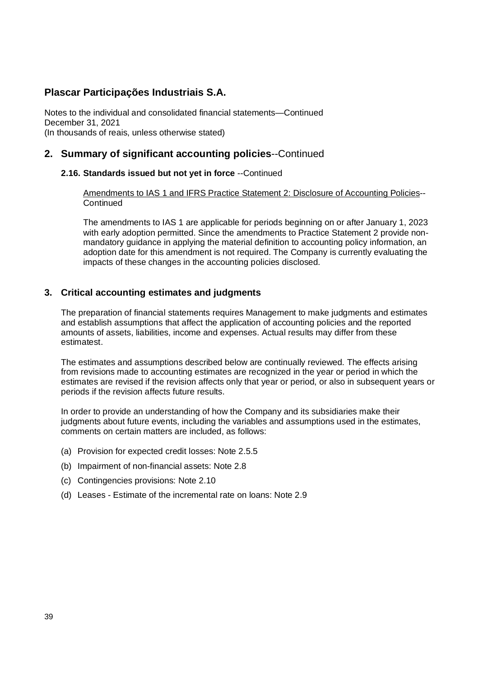Notes to the individual and consolidated financial statements—Continued December 31, 2021 (In thousands of reais, unless otherwise stated)

### **2. Summary of significant accounting policies**--Continued

#### **2.16. Standards issued but not yet in force** --Continued

Amendments to IAS 1 and IFRS Practice Statement 2: Disclosure of Accounting Policies-- **Continued** 

The amendments to IAS 1 are applicable for periods beginning on or after January 1, 2023 with early adoption permitted. Since the amendments to Practice Statement 2 provide nonmandatory guidance in applying the material definition to accounting policy information, an adoption date for this amendment is not required. The Company is currently evaluating the impacts of these changes in the accounting policies disclosed.

### **3. Critical accounting estimates and judgments**

The preparation of financial statements requires Management to make judgments and estimates and establish assumptions that affect the application of accounting policies and the reported amounts of assets, liabilities, income and expenses. Actual results may differ from these estimatest.

The estimates and assumptions described below are continually reviewed. The effects arising from revisions made to accounting estimates are recognized in the year or period in which the estimates are revised if the revision affects only that year or period, or also in subsequent years or periods if the revision affects future results.

In order to provide an understanding of how the Company and its subsidiaries make their judgments about future events, including the variables and assumptions used in the estimates, comments on certain matters are included, as follows:

- (a) Provision for expected credit losses: Note 2.5.5
- (b) Impairment of non-financial assets: Note 2.8
- (c) Contingencies provisions: Note 2.10
- (d) Leases Estimate of the incremental rate on loans: Note 2.9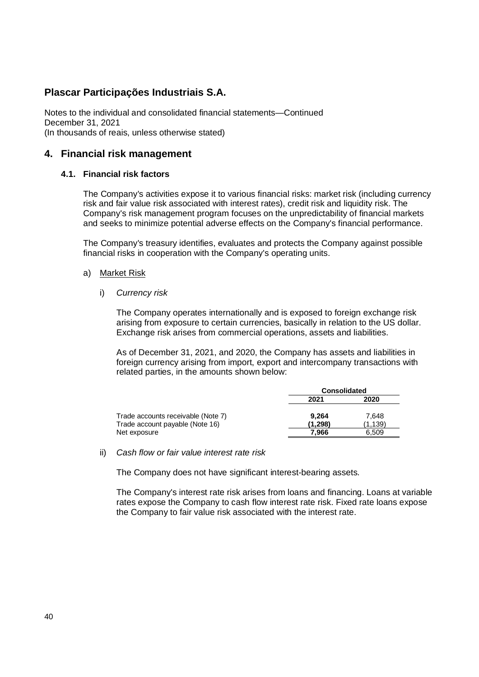Notes to the individual and consolidated financial statements—Continued December 31, 2021 (In thousands of reais, unless otherwise stated)

### **4. Financial risk management**

#### **4.1. Financial risk factors**

The Company's activities expose it to various financial risks: market risk (including currency risk and fair value risk associated with interest rates), credit risk and liquidity risk. The Company's risk management program focuses on the unpredictability of financial markets and seeks to minimize potential adverse effects on the Company's financial performance.

The Company's treasury identifies, evaluates and protects the Company against possible financial risks in cooperation with the Company's operating units.

- a) Market Risk
	- i) *Currency risk*

The Company operates internationally and is exposed to foreign exchange risk arising from exposure to certain currencies, basically in relation to the US dollar. Exchange risk arises from commercial operations, assets and liabilities.

As of December 31, 2021, and 2020, the Company has assets and liabilities in foreign currency arising from import, export and intercompany transactions with related parties, in the amounts shown below:

|                                    | <b>Consolidated</b> |         |  |
|------------------------------------|---------------------|---------|--|
|                                    | 2021                | 2020    |  |
| Trade accounts receivable (Note 7) | 9.264               | 7.648   |  |
| Trade account payable (Note 16)    | (1.298)             | (1.139) |  |
| Net exposure                       | 7.966               | 6.509   |  |

#### ii) *Cash flow or fair value interest rate risk*

The Company does not have significant interest-bearing assets.

The Company's interest rate risk arises from loans and financing. Loans at variable rates expose the Company to cash flow interest rate risk. Fixed rate loans expose the Company to fair value risk associated with the interest rate.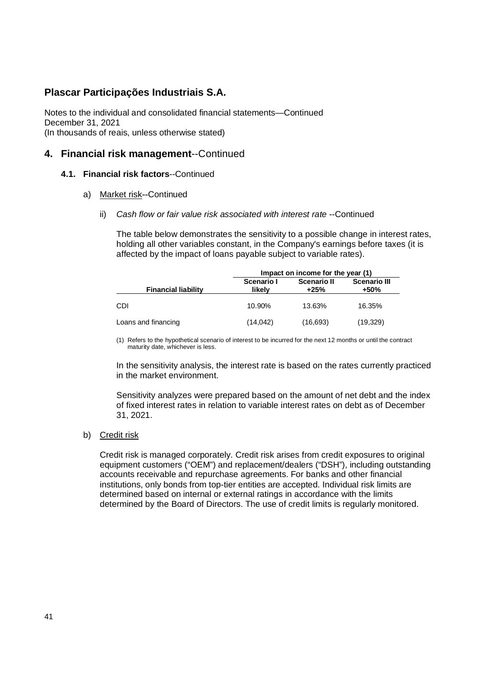Notes to the individual and consolidated financial statements—Continued December 31, 2021 (In thousands of reais, unless otherwise stated)

### **4. Financial risk management**--Continued

#### **4.1. Financial risk factors**--Continued

- a) Market risk--Continued
	- ii) *Cash flow or fair value risk associated with interest rate* --Continued

The table below demonstrates the sensitivity to a possible change in interest rates, holding all other variables constant, in the Company's earnings before taxes (it is affected by the impact of loans payable subject to variable rates).

|                            | Impact on income for the year (1) |                            |                             |  |
|----------------------------|-----------------------------------|----------------------------|-----------------------------|--|
| <b>Financial liability</b> | Scenario I<br>likelv              | <b>Scenario II</b><br>+25% | <b>Scenario III</b><br>+50% |  |
| CDI                        | 10.90%                            | 13.63%                     | 16.35%                      |  |
| Loans and financing        | (14, 042)                         | (16,693)                   | (19,329)                    |  |

(1) Refers to the hypothetical scenario of interest to be incurred for the next 12 months or until the contract maturity date, whichever is less.

In the sensitivity analysis, the interest rate is based on the rates currently practiced in the market environment.

Sensitivity analyzes were prepared based on the amount of net debt and the index of fixed interest rates in relation to variable interest rates on debt as of December 31, 2021.

#### b) Credit risk

Credit risk is managed corporately. Credit risk arises from credit exposures to original equipment customers ("OEM") and replacement/dealers ("DSH"), including outstanding accounts receivable and repurchase agreements. For banks and other financial institutions, only bonds from top-tier entities are accepted. Individual risk limits are determined based on internal or external ratings in accordance with the limits determined by the Board of Directors. The use of credit limits is regularly monitored.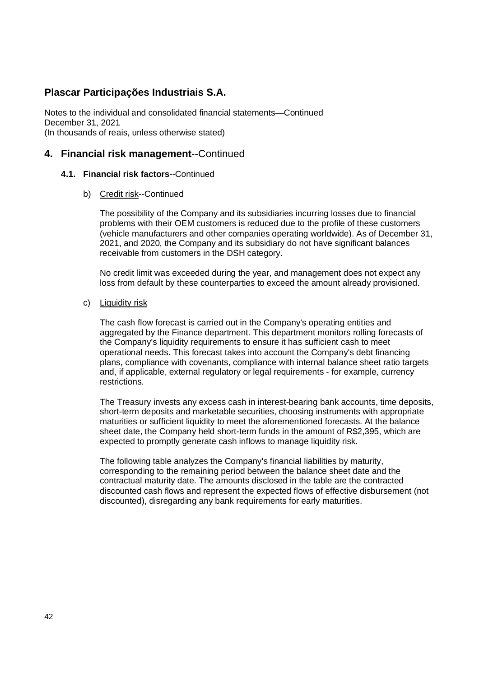Notes to the individual and consolidated financial statements—Continued December 31, 2021 (In thousands of reais, unless otherwise stated)

### **4. Financial risk management**--Continued

#### **4.1. Financial risk factors**--Continued

b) Credit risk--Continued

The possibility of the Company and its subsidiaries incurring losses due to financial problems with their OEM customers is reduced due to the profile of these customers (vehicle manufacturers and other companies operating worldwide). As of December 31, 2021, and 2020, the Company and its subsidiary do not have significant balances receivable from customers in the DSH category.

No credit limit was exceeded during the year, and management does not expect any loss from default by these counterparties to exceed the amount already provisioned.

#### c) Liquidity risk

The cash flow forecast is carried out in the Company's operating entities and aggregated by the Finance department. This department monitors rolling forecasts of the Company's liquidity requirements to ensure it has sufficient cash to meet operational needs. This forecast takes into account the Company's debt financing plans, compliance with covenants, compliance with internal balance sheet ratio targets and, if applicable, external regulatory or legal requirements - for example, currency restrictions.

The Treasury invests any excess cash in interest-bearing bank accounts, time deposits, short-term deposits and marketable securities, choosing instruments with appropriate maturities or sufficient liquidity to meet the aforementioned forecasts. At the balance sheet date, the Company held short-term funds in the amount of R\$2,395, which are expected to promptly generate cash inflows to manage liquidity risk.

The following table analyzes the Company's financial liabilities by maturity, corresponding to the remaining period between the balance sheet date and the contractual maturity date. The amounts disclosed in the table are the contracted discounted cash flows and represent the expected flows of effective disbursement (not discounted), disregarding any bank requirements for early maturities.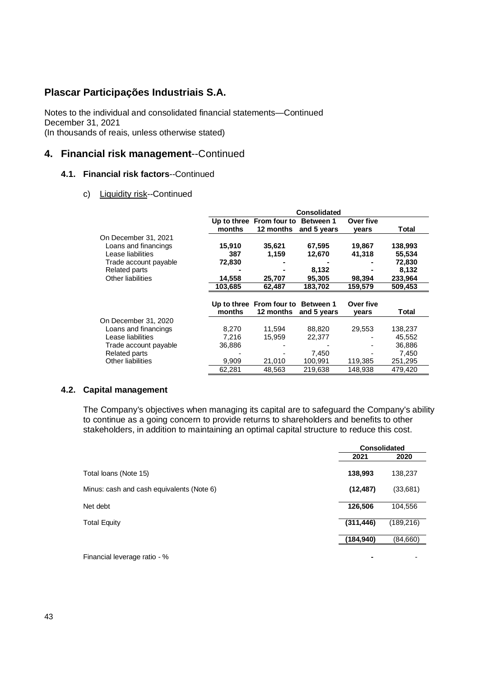Notes to the individual and consolidated financial statements—Continued December 31, 2021 (In thousands of reais, unless otherwise stated)

### **4. Financial risk management**--Continued

### **4.1. Financial risk factors**--Continued

#### c) Liquidity risk--Continued

|                          |         |                                    | <b>Consolidated</b> |           |         |
|--------------------------|---------|------------------------------------|---------------------|-----------|---------|
|                          |         | Up to three From four to Between 1 |                     | Over five |         |
|                          | months  | 12 months                          | and 5 years         | years     | Total   |
| On December 31, 2021     |         |                                    |                     |           |         |
| Loans and financings     | 15,910  | 35,621                             | 67,595              | 19,867    | 138,993 |
| Lease liabilities        | 387     | 1,159                              | 12,670              | 41,318    | 55,534  |
| Trade account payable    | 72,830  |                                    |                     |           | 72,830  |
| Related parts            |         |                                    | 8,132               |           | 8,132   |
| Other liabilities        | 14,558  | 25,707                             | 95,305              | 98,394    | 233,964 |
|                          | 103,685 | 62,487                             | 183,702             | 159,579   | 509,453 |
|                          |         | Up to three From four to           | <b>Between 1</b>    | Over five |         |
|                          | months  | 12 months                          | and 5 years         | vears     | Total   |
| On December 31, 2020     |         |                                    |                     |           |         |
| Loans and financings     | 8,270   | 11.594                             | 88,820              | 29.553    | 138,237 |
| Lease liabilities        | 7,216   | 15,959                             | 22,377              |           | 45,552  |
| Trade account payable    | 36,886  |                                    |                     |           | 36.886  |
| Related parts            |         |                                    | 7,450               |           | 7,450   |
| <b>Other liabilities</b> | 9,909   | 21,010                             | 100.991             | 119,385   | 251,295 |
|                          | 62,281  | 48,563                             | 219,638             | 148,938   | 479,420 |

#### **4.2. Capital management**

The Company's objectives when managing its capital are to safeguard the Company's ability to continue as a going concern to provide returns to shareholders and benefits to other stakeholders, in addition to maintaining an optimal capital structure to reduce this cost.

|                                           | <b>Consolidated</b> |            |
|-------------------------------------------|---------------------|------------|
|                                           | 2021                | 2020       |
| Total loans (Note 15)                     | 138,993             | 138,237    |
| Minus: cash and cash equivalents (Note 6) | (12, 487)           | (33,681)   |
| Net debt                                  | 126,506             | 104,556    |
| <b>Total Equity</b>                       | (311, 446)          | (189, 216) |
|                                           | (184, 940)          | (84,660)   |
| Financial leverage ratio - %              |                     |            |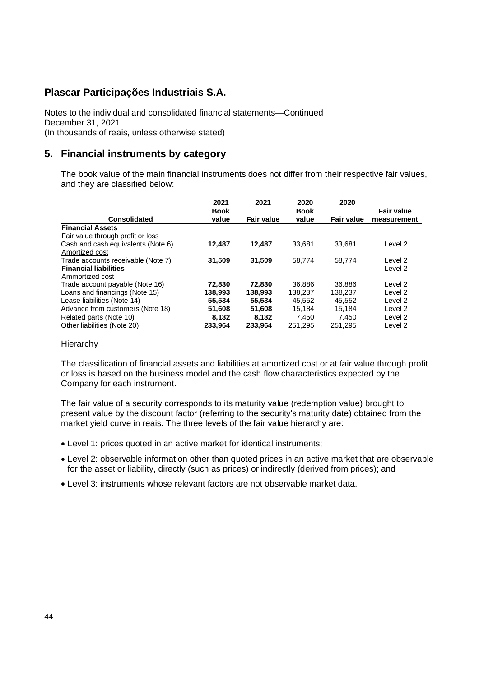Notes to the individual and consolidated financial statements—Continued December 31, 2021 (In thousands of reais, unless otherwise stated)

### **5. Financial instruments by category**

The book value of the main financial instruments does not differ from their respective fair values, and they are classified below:

|                                    | 2021        | 2021              | 2020        | 2020              |                   |
|------------------------------------|-------------|-------------------|-------------|-------------------|-------------------|
|                                    | <b>Book</b> |                   | <b>Book</b> |                   | <b>Fair value</b> |
| <b>Consolidated</b>                | value       | <b>Fair value</b> | value       | <b>Fair value</b> | measurement       |
| <b>Financial Assets</b>            |             |                   |             |                   |                   |
| Fair value through profit or loss  |             |                   |             |                   |                   |
| Cash and cash equivalents (Note 6) | 12.487      | 12.487            | 33.681      | 33.681            | Level 2           |
| Amortized cost                     |             |                   |             |                   |                   |
| Trade accounts receivable (Note 7) | 31.509      | 31.509            | 58.774      | 58.774            | Level 2           |
| <b>Financial liabilities</b>       |             |                   |             |                   | Level 2           |
| Ammortized cost                    |             |                   |             |                   |                   |
| Trade account payable (Note 16)    | 72,830      | 72,830            | 36.886      | 36.886            | Level 2           |
| Loans and financings (Note 15)     | 138,993     | 138.993           | 138.237     | 138.237           | Level 2           |
| Lease liabilities (Note 14)        | 55,534      | 55,534            | 45.552      | 45.552            | Level 2           |
| Advance from customers (Note 18)   | 51,608      | 51.608            | 15.184      | 15.184            | Level 2           |
| Related parts (Note 10)            | 8.132       | 8.132             | 7.450       | 7.450             | Level 2           |
| Other liabilities (Note 20)        | 233,964     | 233.964           | 251,295     | 251.295           | Level 2           |

#### **Hierarchy**

The classification of financial assets and liabilities at amortized cost or at fair value through profit or loss is based on the business model and the cash flow characteristics expected by the Company for each instrument.

The fair value of a security corresponds to its maturity value (redemption value) brought to present value by the discount factor (referring to the security's maturity date) obtained from the market yield curve in reais. The three levels of the fair value hierarchy are:

- Level 1: prices quoted in an active market for identical instruments;
- Level 2: observable information other than quoted prices in an active market that are observable for the asset or liability, directly (such as prices) or indirectly (derived from prices); and
- Level 3: instruments whose relevant factors are not observable market data.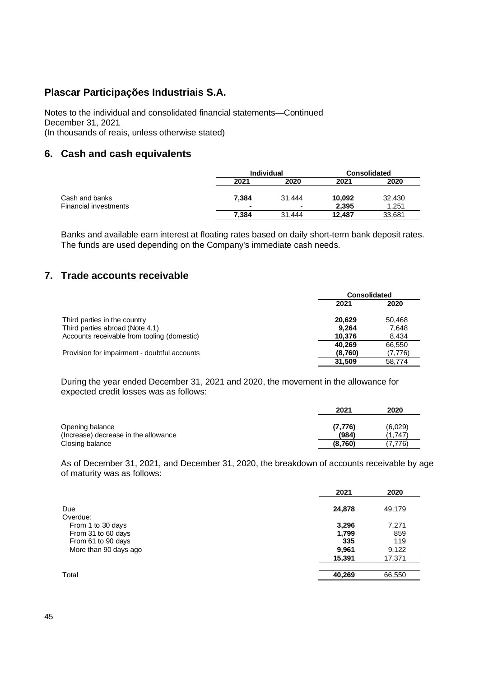Notes to the individual and consolidated financial statements—Continued December 31, 2021 (In thousands of reais, unless otherwise stated)

## **6. Cash and cash equivalents**

|                                                |       | <b>Individual</b>                  |                 | <b>Consolidated</b> |
|------------------------------------------------|-------|------------------------------------|-----------------|---------------------|
|                                                | 2021  | 2020                               | 2021            | 2020                |
| Cash and banks<br><b>Financial investments</b> | 7.384 | 31.444<br>$\overline{\phantom{0}}$ | 10,092<br>2.395 | 32,430<br>1.251     |
|                                                | 7.384 | 31.444                             | 12.487          | 33,681              |

Banks and available earn interest at floating rates based on daily short-term bank deposit rates. The funds are used depending on the Company's immediate cash needs.

# **7. Trade accounts receivable**

|                                              | <b>Consolidated</b> |         |
|----------------------------------------------|---------------------|---------|
|                                              | 2021                | 2020    |
| Third parties in the country                 | 20.629              | 50.468  |
| Third parties abroad (Note 4.1)              | 9.264               | 7.648   |
| Accounts receivable from tooling (domestic)  | 10.376              | 8.434   |
|                                              | 40.269              | 66.550  |
| Provision for impairment - doubtful accounts | (8,760)             | (7,776) |
|                                              | 31.509              | 58.774  |

During the year ended December 31, 2021 and 2020, the movement in the allowance for expected credit losses was as follows:

|                                                         | 2021              | 2020               |
|---------------------------------------------------------|-------------------|--------------------|
| Opening balance<br>(Increase) decrease in the allowance | (7, 776)<br>(984) | (6,029)<br>(1.747) |
| Closing balance                                         | (8,760)           | 7.776              |

As of December 31, 2021, and December 31, 2020, the breakdown of accounts receivable by age of maturity was as follows:

|                       | 2021   | 2020   |
|-----------------------|--------|--------|
| Due                   | 24,878 | 49,179 |
| Overdue:              |        |        |
| From 1 to 30 days     | 3,296  | 7,271  |
| From 31 to 60 days    | 1,799  | 859    |
| From 61 to 90 days    | 335    | 119    |
| More than 90 days ago | 9,961  | 9,122  |
|                       | 15,391 | 17,371 |
|                       |        |        |
| Total                 | 40,269 | 66,550 |
|                       |        |        |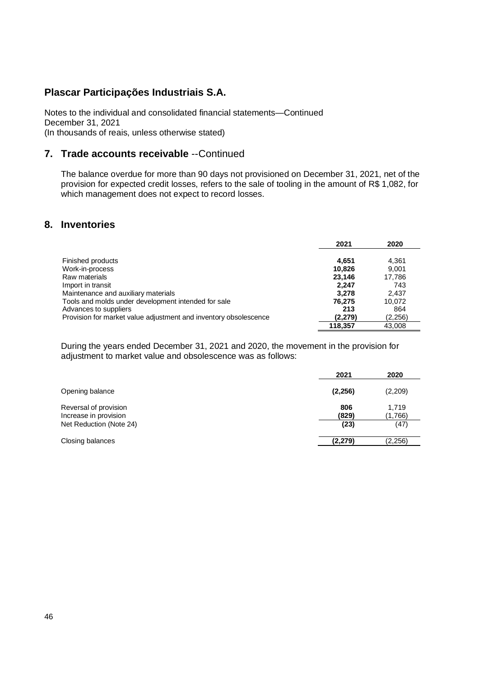Notes to the individual and consolidated financial statements—Continued December 31, 2021 (In thousands of reais, unless otherwise stated)

### **7. Trade accounts receivable** --Continued

The balance overdue for more than 90 days not provisioned on December 31, 2021, net of the provision for expected credit losses, refers to the sale of tooling in the amount of R\$ 1,082, for which management does not expect to record losses.

### **8. Inventories**

|                                                                  | 2021    | 2020    |
|------------------------------------------------------------------|---------|---------|
| Finished products                                                | 4.651   | 4.361   |
| Work-in-process                                                  | 10.826  | 9.001   |
| Raw materials                                                    | 23.146  | 17.786  |
| Import in transit                                                | 2.247   | 743     |
| Maintenance and auxiliary materials                              | 3.278   | 2.437   |
| Tools and molds under development intended for sale              | 76.275  | 10.072  |
| Advances to suppliers                                            | 213     | 864     |
| Provision for market value adjustment and inventory obsolescence | (2.279) | (2,256) |
|                                                                  | 118.357 | 43.008  |

During the years ended December 31, 2021 and 2020, the movement in the provision for adjustment to market value and obsolescence was as follows:

|                                                | 2021         | 2020             |
|------------------------------------------------|--------------|------------------|
| Opening balance                                | (2,256)      | (2,209)          |
| Reversal of provision<br>Increase in provision | 806<br>(829) | 1,719<br>(1,766) |
| Net Reduction (Note 24)                        | (23)         | (47)             |
| Closing balances                               | (2.279)      | (2,256)          |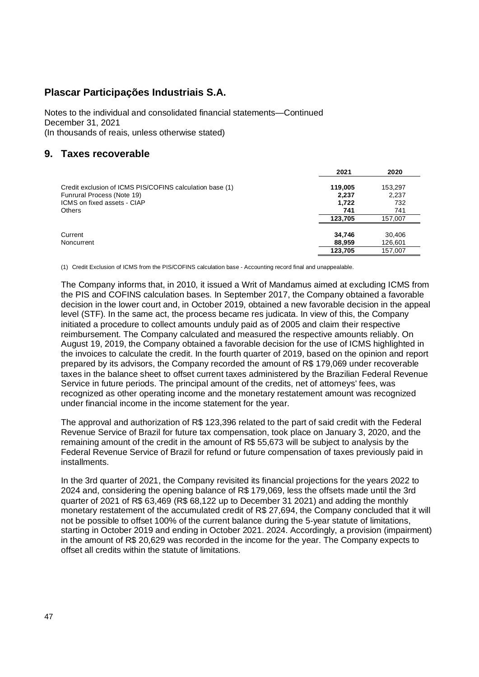Notes to the individual and consolidated financial statements—Continued December 31, 2021 (In thousands of reais, unless otherwise stated)

## **9. Taxes recoverable**

|                                                          | 2021    | 2020    |
|----------------------------------------------------------|---------|---------|
| Credit exclusion of ICMS PIS/COFINS calculation base (1) | 119,005 | 153,297 |
| Funrural Process (Note 19)                               | 2,237   | 2,237   |
| ICMS on fixed assets - CIAP                              | 1.722   | 732     |
| <b>Others</b>                                            | 741     | 741     |
|                                                          | 123.705 | 157.007 |
| Current                                                  | 34.746  | 30.406  |
| Noncurrent                                               | 88,959  | 126,601 |
|                                                          | 123.705 | 157,007 |

(1) Credit Exclusion of ICMS from the PIS/COFINS calculation base - Accounting record final and unappealable.

The Company informs that, in 2010, it issued a Writ of Mandamus aimed at excluding ICMS from the PIS and COFINS calculation bases. In September 2017, the Company obtained a favorable decision in the lower court and, in October 2019, obtained a new favorable decision in the appeal level (STF). In the same act, the process became res judicata. In view of this, the Company initiated a procedure to collect amounts unduly paid as of 2005 and claim their respective reimbursement. The Company calculated and measured the respective amounts reliably. On August 19, 2019, the Company obtained a favorable decision for the use of ICMS highlighted in the invoices to calculate the credit. In the fourth quarter of 2019, based on the opinion and report prepared by its advisors, the Company recorded the amount of R\$ 179,069 under recoverable taxes in the balance sheet to offset current taxes administered by the Brazilian Federal Revenue Service in future periods. The principal amount of the credits, net of attorneys' fees, was recognized as other operating income and the monetary restatement amount was recognized under financial income in the income statement for the year.

The approval and authorization of R\$ 123,396 related to the part of said credit with the Federal Revenue Service of Brazil for future tax compensation, took place on January 3, 2020, and the remaining amount of the credit in the amount of R\$ 55,673 will be subject to analysis by the Federal Revenue Service of Brazil for refund or future compensation of taxes previously paid in installments.

In the 3rd quarter of 2021, the Company revisited its financial projections for the years 2022 to 2024 and, considering the opening balance of R\$ 179,069, less the offsets made until the 3rd quarter of 2021 of R\$ 63,469 (R\$ 68,122 up to December 31 2021) and adding the monthly monetary restatement of the accumulated credit of R\$ 27,694, the Company concluded that it will not be possible to offset 100% of the current balance during the 5-year statute of limitations, starting in October 2019 and ending in October 2021. 2024. Accordingly, a provision (impairment) in the amount of R\$ 20,629 was recorded in the income for the year. The Company expects to offset all credits within the statute of limitations.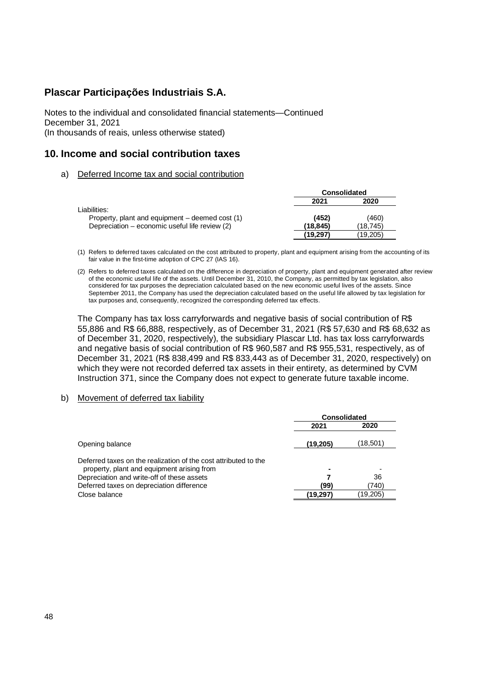Notes to the individual and consolidated financial statements—Continued December 31, 2021 (In thousands of reais, unless otherwise stated)

### **10. Income and social contribution taxes**

a) Deferred Income tax and social contribution

|                                                 | <b>Consolidated</b> |          |  |
|-------------------------------------------------|---------------------|----------|--|
|                                                 | 2021                | 2020     |  |
| Liabilities:                                    |                     |          |  |
| Property, plant and equipment – deemed cost (1) | (452)               | (460)    |  |
| Depreciation – economic useful life review (2)  | (18.845)            | (18.745) |  |
|                                                 | (19, 297)           | (19,205) |  |

- (1) Refers to deferred taxes calculated on the cost attributed to property, plant and equipment arising from the accounting of its fair value in the first-time adoption of CPC 27 (IAS 16).
- (2) Refers to deferred taxes calculated on the difference in depreciation of property, plant and equipment generated after review of the economic useful life of the assets. Until December 31, 2010, the Company, as permitted by tax legislation, also considered for tax purposes the depreciation calculated based on the new economic useful lives of the assets. Since September 2011, the Company has used the depreciation calculated based on the useful life allowed by tax legislation for tax purposes and, consequently, recognized the corresponding deferred tax effects.

The Company has tax loss carryforwards and negative basis of social contribution of R\$ 55,886 and R\$ 66,888, respectively, as of December 31, 2021 (R\$ 57,630 and R\$ 68,632 as of December 31, 2020, respectively), the subsidiary Plascar Ltd. has tax loss carryforwards and negative basis of social contribution of R\$ 960,587 and R\$ 955,531, respectively, as of December 31, 2021 (R\$ 838,499 and R\$ 833,443 as of December 31, 2020, respectively) on which they were not recorded deferred tax assets in their entirety, as determined by CVM Instruction 371, since the Company does not expect to generate future taxable income.

#### b) Movement of deferred tax liability

|                                                                                                               | <b>Consolidated</b> |          |  |
|---------------------------------------------------------------------------------------------------------------|---------------------|----------|--|
|                                                                                                               | 2021                | 2020     |  |
| Opening balance                                                                                               | (19,205)            | (18,501) |  |
| Deferred taxes on the realization of the cost attributed to the<br>property, plant and equipment arising from |                     |          |  |
| Depreciation and write-off of these assets                                                                    |                     | 36       |  |
| Deferred taxes on depreciation difference                                                                     | (99)                | (740)    |  |
| Close balance                                                                                                 | (19,297)            | (19,205) |  |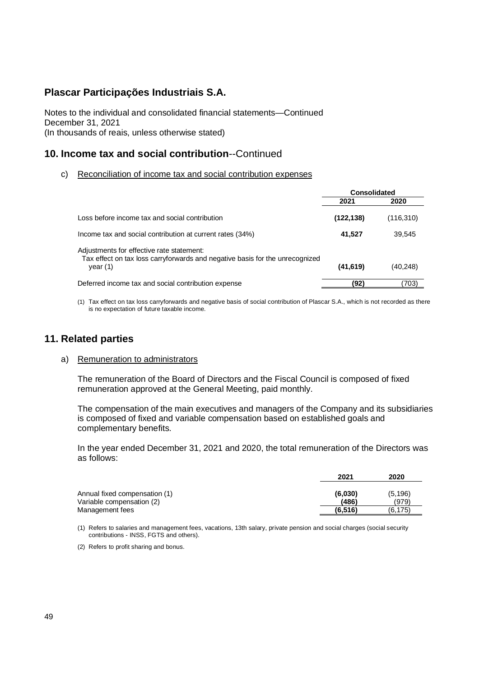Notes to the individual and consolidated financial statements—Continued December 31, 2021 (In thousands of reais, unless otherwise stated)

# **10. Income tax and social contribution**--Continued

c) Reconciliation of income tax and social contribution expenses

|                                                                                                                                         | Consolidated |            |
|-----------------------------------------------------------------------------------------------------------------------------------------|--------------|------------|
|                                                                                                                                         | 2021         | 2020       |
| Loss before income tax and social contribution                                                                                          | (122, 138)   | (116, 310) |
| Income tax and social contribution at current rates (34%)                                                                               | 41,527       | 39.545     |
| Adjustments for effective rate statement:<br>Tax effect on tax loss carryforwards and negative basis for the unrecognized<br>year $(1)$ | (41, 619)    | (40,248)   |
| Deferred income tax and social contribution expense                                                                                     | (92)         | (703)      |

(1) Tax effect on tax loss carryforwards and negative basis of social contribution of Plascar S.A., which is not recorded as there is no expectation of future taxable income.

### **11. Related parties**

#### a) Remuneration to administrators

The remuneration of the Board of Directors and the Fiscal Council is composed of fixed remuneration approved at the General Meeting, paid monthly.

The compensation of the main executives and managers of the Company and its subsidiaries is composed of fixed and variable compensation based on established goals and complementary benefits.

In the year ended December 31, 2021 and 2020, the total remuneration of the Directors was as follows:

|                                                            | 2021             | 2020              |
|------------------------------------------------------------|------------------|-------------------|
| Annual fixed compensation (1)<br>Variable compensation (2) | (6.030)<br>(486) | (5, 196)<br>(979) |
| Management fees                                            | (6, 516)         | (6,175)           |

(1) Refers to salaries and management fees, vacations, 13th salary, private pension and social charges (social security contributions - INSS, FGTS and others).

(2) Refers to profit sharing and bonus.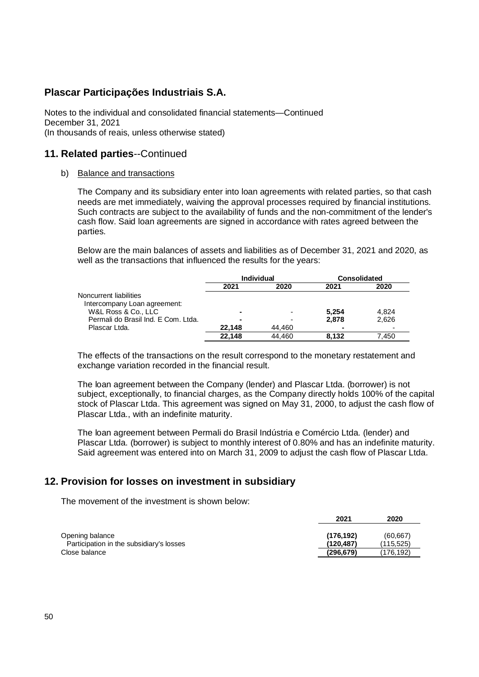Notes to the individual and consolidated financial statements—Continued December 31, 2021 (In thousands of reais, unless otherwise stated)

### **11. Related parties**--Continued

#### b) Balance and transactions

The Company and its subsidiary enter into loan agreements with related parties, so that cash needs are met immediately, waiving the approval processes required by financial institutions. Such contracts are subject to the availability of funds and the non-commitment of the lender's cash flow. Said loan agreements are signed in accordance with rates agreed between the parties.

Below are the main balances of assets and liabilities as of December 31, 2021 and 2020, as well as the transactions that influenced the results for the years:

|                                     | <b>Individual</b>        |                          | <b>Consolidated</b> |       |
|-------------------------------------|--------------------------|--------------------------|---------------------|-------|
|                                     | 2021                     | 2020                     | 2021                | 2020  |
| Noncurrent liabilities              |                          |                          |                     |       |
| Intercompany Loan agreement:        |                          |                          |                     |       |
| W&L Ross & Co., LLC                 |                          | $\overline{\phantom{0}}$ | 5.254               | 4.824 |
| Permali do Brasil Ind. E Com. Ltda. | $\overline{\phantom{0}}$ | -                        | 2.878               | 2.626 |
| Plascar Ltda.                       | 22.148                   | 44.460                   |                     |       |
|                                     | 22.148                   | 44.460                   | 8.132               | 7.450 |

The effects of the transactions on the result correspond to the monetary restatement and exchange variation recorded in the financial result.

The loan agreement between the Company (lender) and Plascar Ltda. (borrower) is not subject, exceptionally, to financial charges, as the Company directly holds 100% of the capital stock of Plascar Ltda. This agreement was signed on May 31, 2000, to adjust the cash flow of Plascar Ltda., with an indefinite maturity.

The loan agreement between Permali do Brasil Indústria e Comércio Ltda. (lender) and Plascar Ltda. (borrower) is subject to monthly interest of 0.80% and has an indefinite maturity. Said agreement was entered into on March 31, 2009 to adjust the cash flow of Plascar Ltda.

### **12. Provision for losses on investment in subsidiary**

The movement of the investment is shown below:

|                                          | 2021      | 2020      |
|------------------------------------------|-----------|-----------|
| Opening balance                          | (176.192) | (60, 667) |
| Participation in the subsidiary's losses | (120.487) | (115.525) |
| Close balance                            | (296,679) | (176,192) |
|                                          |           |           |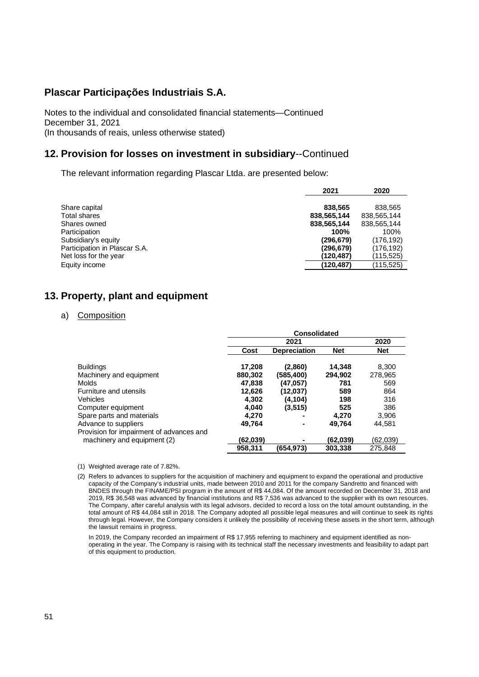Notes to the individual and consolidated financial statements—Continued December 31, 2021 (In thousands of reais, unless otherwise stated)

### **12. Provision for losses on investment in subsidiary**--Continued

The relevant information regarding Plascar Ltda. are presented below:

|                               | 2021        | 2020        |
|-------------------------------|-------------|-------------|
|                               |             |             |
| Share capital                 | 838,565     | 838,565     |
| Total shares                  | 838,565,144 | 838,565,144 |
| Shares owned                  | 838,565,144 | 838,565,144 |
| Participation                 | 100%        | 100%        |
| Subsidiary's equity           | (296, 679)  | (176,192)   |
| Participation in Plascar S.A. | (296, 679)  | (176,192)   |
| Net loss for the year         | (120,487)   | (115,525)   |
| Equity income                 | (120,487)   | (115,525)   |

# **13. Property, plant and equipment**

#### a) Composition

|                                          | <b>Consolidated</b> |                     |            |            |  |
|------------------------------------------|---------------------|---------------------|------------|------------|--|
|                                          |                     | 2021                |            | 2020       |  |
|                                          | Cost                | <b>Depreciation</b> | <b>Net</b> | <b>Net</b> |  |
| <b>Buildings</b>                         | 17,208              | (2,860)             | 14,348     | 8,300      |  |
| Machinery and equipment                  | 880.302             | (585,400)           | 294.902    | 278,965    |  |
| Molds                                    | 47,838              | (47,057)            | 781        | 569        |  |
| Furniture and utensils                   | 12,626              | (12,037)            | 589        | 864        |  |
| Vehicles                                 | 4.302               | (4, 104)            | 198        | 316        |  |
| Computer equipment                       | 4.040               | (3, 515)            | 525        | 386        |  |
| Spare parts and materials                | 4.270               |                     | 4.270      | 3,906      |  |
| Advance to suppliers                     | 49.764              |                     | 49.764     | 44.581     |  |
| Provision for impairment of advances and |                     |                     |            |            |  |
| machinery and equipment (2)              | (62,039)            |                     | (62,039)   | (62, 039)  |  |
|                                          | 958.311             | (654.973)           | 303.338    | 275.848    |  |

(1) Weighted average rate of 7.82%.

<sup>(2)</sup> Refers to advances to suppliers for the acquisition of machinery and equipment to expand the operational and productive capacity of the Company's industrial units, made between 2010 and 2011 for the company Sandretto and financed with BNDES through the FINAME/PSI program in the amount of R\$ 44,084. Of the amount recorded on December 31, 2018 and 2019, R\$ 36,548 was advanced by financial institutions and R\$ 7,536 was advanced to the supplier with its own resources. The Company, after careful analysis with its legal advisors, decided to record a loss on the total amount outstanding, in the total amount of R\$ 44,084 still in 2018. The Company adopted all possible legal measures and will continue to seek its rights through legal. However, the Company considers it unlikely the possibility of receiving these assets in the short term, although the lawsuit remains in progress.

In 2019, the Company recorded an impairment of R\$ 17,955 referring to machinery and equipment identified as nonoperating in the year. The Company is raising with its technical staff the necessary investments and feasibility to adapt part of this equipment to production.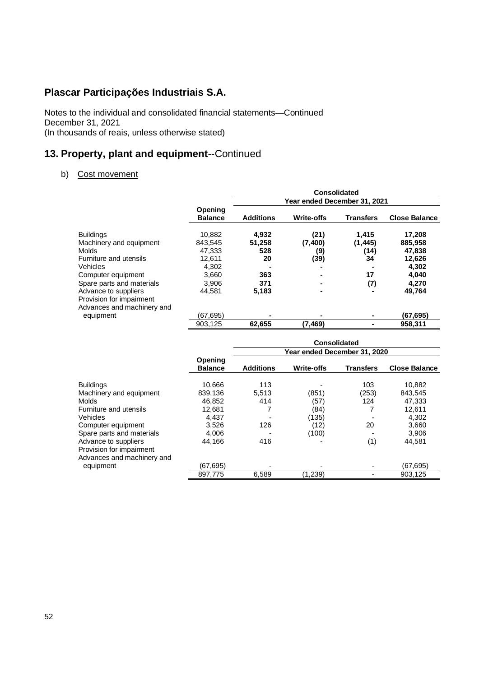Notes to the individual and consolidated financial statements—Continued December 31, 2021 (In thousands of reais, unless otherwise stated)

# **13. Property, plant and equipment**--Continued

### b) Cost movement

|                            | Opening<br><b>Balance</b> | <b>Consolidated</b><br>Year ended December 31, 2021 |                   |                  |                      |
|----------------------------|---------------------------|-----------------------------------------------------|-------------------|------------------|----------------------|
|                            |                           | <b>Additions</b>                                    | <b>Write-offs</b> | <b>Transfers</b> | <b>Close Balance</b> |
| <b>Buildings</b>           | 10,882                    | 4,932                                               | (21)              | 1,415            | 17,208               |
| Machinery and equipment    | 843.545                   | 51,258                                              | (7,400)           | (1, 445)         | 885,958              |
| <b>Molds</b>               | 47.333                    | 528                                                 | (9)               | (14)             | 47,838               |
| Furniture and utensils     | 12.611                    | 20                                                  | (39)              | 34               | 12,626               |
| Vehicles                   | 4.302                     |                                                     |                   |                  | 4,302                |
| Computer equipment         | 3,660                     | 363                                                 |                   | 17               | 4,040                |
| Spare parts and materials  | 3,906                     | 371                                                 |                   | (7)              | 4,270                |
| Advance to suppliers       | 44.581                    | 5,183                                               |                   |                  | 49,764               |
| Provision for impairment   |                           |                                                     |                   |                  |                      |
| Advances and machinery and |                           |                                                     |                   |                  |                      |
| equipment                  | (67.695)                  |                                                     |                   |                  | (67,695)             |
|                            | 903,125                   | 62,655                                              | (7,469)           |                  | 958,311              |

|                            |                           | <b>Consolidated</b><br>Year ended December 31, 2020 |                   |                  |                      |
|----------------------------|---------------------------|-----------------------------------------------------|-------------------|------------------|----------------------|
|                            | Opening<br><b>Balance</b> | <b>Additions</b>                                    | <b>Write-offs</b> | <b>Transfers</b> | <b>Close Balance</b> |
| <b>Buildings</b>           | 10.666                    | 113                                                 |                   | 103              | 10,882               |
| Machinery and equipment    | 839,136                   | 5.513                                               | (851)             | (253)            | 843,545              |
| Molds                      | 46.852                    | 414                                                 | (57)              | 124              | 47,333               |
| Furniture and utensils     | 12.681                    |                                                     | (84)              |                  | 12.611               |
| Vehicles                   | 4,437                     |                                                     | (135)             |                  | 4,302                |
| Computer equipment         | 3,526                     | 126                                                 | (12)              | 20               | 3,660                |
| Spare parts and materials  | 4,006                     |                                                     | (100)             |                  | 3,906                |
| Advance to suppliers       | 44.166                    | 416                                                 |                   | (1)              | 44.581               |
| Provision for impairment   |                           |                                                     |                   |                  |                      |
| Advances and machinery and |                           |                                                     |                   |                  |                      |
| equipment                  | (67.695)                  |                                                     | ۰                 |                  | (67,695)             |
|                            | 897,775                   | 6,589                                               | (1,239)           |                  | 903,125              |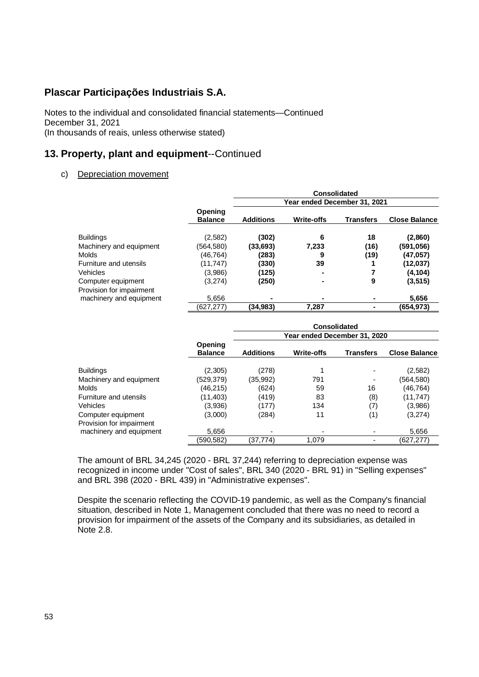Notes to the individual and consolidated financial statements—Continued December 31, 2021 (In thousands of reais, unless otherwise stated)

# **13. Property, plant and equipment**--Continued

#### c) Depreciation movement

|                                                     |                           | Consolidated     |                              |                  |                      |
|-----------------------------------------------------|---------------------------|------------------|------------------------------|------------------|----------------------|
|                                                     |                           |                  | Year ended December 31, 2021 |                  |                      |
|                                                     | Opening<br><b>Balance</b> | <b>Additions</b> | <b>Write-offs</b>            | <b>Transfers</b> | <b>Close Balance</b> |
| <b>Buildings</b>                                    | (2,582)                   | (302)            | 6                            | 18               | (2,860)              |
| Machinery and equipment                             | (564,580)                 | (33,693)         | 7,233                        | (16)             | (591,056)            |
| <b>Molds</b>                                        | (46,764)                  | (283)            | 9                            | (19)             | (47.057)             |
| Furniture and utensils                              | (11,747)                  | (330)            | 39                           |                  | (12, 037)            |
| <b>Vehicles</b>                                     | (3,986)                   | (125)            |                              |                  | (4, 104)             |
| Computer equipment                                  | (3,274)                   | (250)            |                              | 9                | (3, 515)             |
| Provision for impairment<br>machinery and equipment | 5.656                     |                  |                              | ۰                | 5,656                |
|                                                     | (627, 277)                | (34,983)         | 7,287                        | ۰.               | (654,973)            |

|                          |                           |                  |                              | <b>Consolidated</b> |                      |
|--------------------------|---------------------------|------------------|------------------------------|---------------------|----------------------|
|                          |                           |                  | Year ended December 31, 2020 |                     |                      |
|                          | Opening<br><b>Balance</b> | <b>Additions</b> | <b>Write-offs</b>            | <b>Transfers</b>    | <b>Close Balance</b> |
| <b>Buildings</b>         | (2,305)                   | (278)            |                              | ٠                   | (2,582)              |
| Machinery and equipment  | (529,379)                 | (35,992)         | 791                          | ٠                   | (564,580)            |
| <b>Molds</b>             | (46, 215)                 | (624)            | 59                           | 16                  | (46,764)             |
| Furniture and utensils   | (11, 403)                 | (419)            | 83                           | (8)                 | (11, 747)            |
| Vehicles                 | (3,936)                   | (177)            | 134                          | (7)                 | (3,986)              |
| Computer equipment       | (3,000)                   | (284)            | 11                           | (1)                 | (3,274)              |
| Provision for impairment |                           |                  |                              |                     |                      |
| machinery and equipment  | 5,656                     | ٠                |                              |                     | 5,656                |
|                          | (590.582)                 | (37.774)         | 1.079                        |                     | (627.277)            |

The amount of BRL 34,245 (2020 - BRL 37,244) referring to depreciation expense was recognized in income under "Cost of sales", BRL 340 (2020 - BRL 91) in "Selling expenses" and BRL 398 (2020 - BRL 439) in "Administrative expenses".

Despite the scenario reflecting the COVID-19 pandemic, as well as the Company's financial situation, described in Note 1, Management concluded that there was no need to record a provision for impairment of the assets of the Company and its subsidiaries, as detailed in Note 2.8.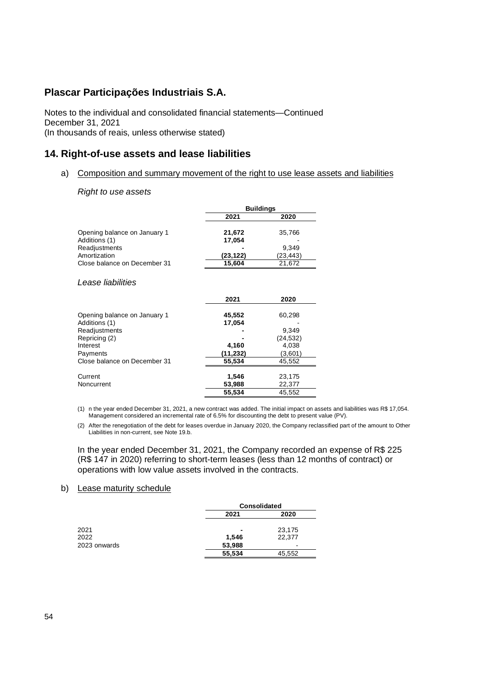Notes to the individual and consolidated financial statements—Continued December 31, 2021 (In thousands of reais, unless otherwise stated)

### **14. Right-of-use assets and lease liabilities**

a) Composition and summary movement of the right to use lease assets and liabilities

#### *Right to use assets*

|                                                                                                                                         |                                                 | <b>Buildings</b>                                          |
|-----------------------------------------------------------------------------------------------------------------------------------------|-------------------------------------------------|-----------------------------------------------------------|
|                                                                                                                                         | 2021                                            | 2020                                                      |
| Opening balance on January 1<br>Additions (1)                                                                                           | 21,672<br>17,054                                | 35,766                                                    |
| Readjustments<br>Amortization                                                                                                           | (23,122)                                        | 9,349<br>(23,443)                                         |
| Close balance on December 31                                                                                                            | 15,604                                          | 21,672                                                    |
| Lease liabilities                                                                                                                       | 2021                                            | 2020                                                      |
| Opening balance on January 1<br>Additions (1)<br>Readjustments<br>Repricing (2)<br>Interest<br>Payments<br>Close balance on December 31 | 45,552<br>17,054<br>4,160<br>(11,232)<br>55,534 | 60,298<br>9,349<br>(24,532)<br>4,038<br>(3,601)<br>45,552 |
| Current<br>Noncurrent                                                                                                                   | 1,546<br>53,988                                 | 23,175<br>22,377                                          |
|                                                                                                                                         | 55,534                                          | 45,552                                                    |

(1) n the year ended December 31, 2021, a new contract was added. The initial impact on assets and liabilities was R\$ 17,054. Management considered an incremental rate of 6.5% for discounting the debt to present value (PV).

(2) After the renegotiation of the debt for leases overdue in January 2020, the Company reclassified part of the amount to Other Liabilities in non-current, see Note 19.b.

In the year ended December 31, 2021, the Company recorded an expense of R\$ 225 (R\$ 147 in 2020) referring to short-term leases (less than 12 months of contract) or operations with low value assets involved in the contracts.

#### b) Lease maturity schedule

|              |        | <b>Consolidated</b> |  |  |
|--------------|--------|---------------------|--|--|
|              | 2021   | 2020                |  |  |
| 2021         |        | 23,175              |  |  |
| 2022         | 1,546  | 22,377              |  |  |
| 2023 onwards | 53,988 | -                   |  |  |
|              | 55,534 | 45,552              |  |  |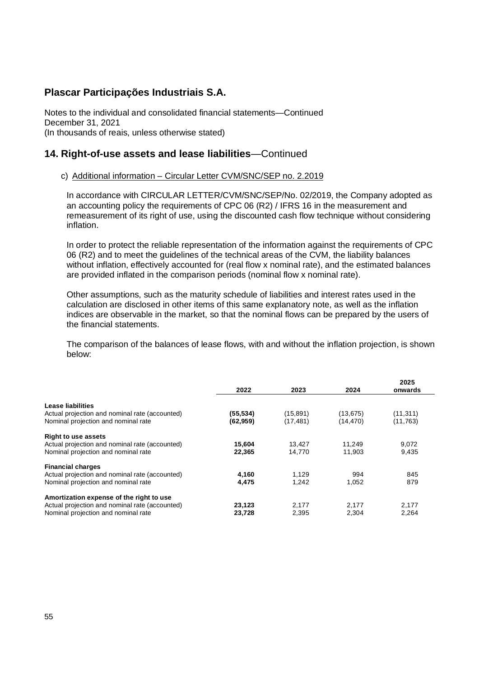Notes to the individual and consolidated financial statements—Continued December 31, 2021 (In thousands of reais, unless otherwise stated)

### **14. Right-of-use assets and lease liabilities**—Continued

### c) Additional information – Circular Letter CVM/SNC/SEP no. 2.2019

In accordance with CIRCULAR LETTER/CVM/SNC/SEP/No. 02/2019, the Company adopted as an accounting policy the requirements of CPC 06 (R2) / IFRS 16 in the measurement and remeasurement of its right of use, using the discounted cash flow technique without considering inflation.

In order to protect the reliable representation of the information against the requirements of CPC 06 (R2) and to meet the guidelines of the technical areas of the CVM, the liability balances without inflation, effectively accounted for (real flow x nominal rate), and the estimated balances are provided inflated in the comparison periods (nominal flow x nominal rate).

Other assumptions, such as the maturity schedule of liabilities and interest rates used in the calculation are disclosed in other items of this same explanatory note, as well as the inflation indices are observable in the market, so that the nominal flows can be prepared by the users of the financial statements.

The comparison of the balances of lease flows, with and without the inflation projection, is shown below:

|                                                                                       | 2022                   | 2023                   | 2024                 | 2025<br>onwards      |
|---------------------------------------------------------------------------------------|------------------------|------------------------|----------------------|----------------------|
| Lease liabilities                                                                     |                        |                        |                      |                      |
| Actual projection and nominal rate (accounted)<br>Nominal projection and nominal rate | (55, 534)<br>(62, 959) | (15, 891)<br>(17, 481) | (13,675)<br>(14,470) | (11,311)<br>(11,763) |
| <b>Right to use assets</b>                                                            |                        |                        |                      |                      |
| Actual projection and nominal rate (accounted)                                        | 15,604                 | 13.427                 | 11.249               | 9,072                |
| Nominal projection and nominal rate                                                   | 22,365                 | 14.770                 | 11.903               | 9,435                |
| <b>Financial charges</b>                                                              |                        |                        |                      |                      |
| Actual projection and nominal rate (accounted)                                        | 4,160                  | 1,129                  | 994                  | 845                  |
| Nominal projection and nominal rate                                                   | 4,475                  | 1.242                  | 1.052                | 879                  |
| Amortization expense of the right to use                                              |                        |                        |                      |                      |
| Actual projection and nominal rate (accounted)                                        | 23,123                 | 2.177                  | 2,177                | 2.177                |
| Nominal projection and nominal rate                                                   | 23,728                 | 2,395                  | 2,304                | 2.264                |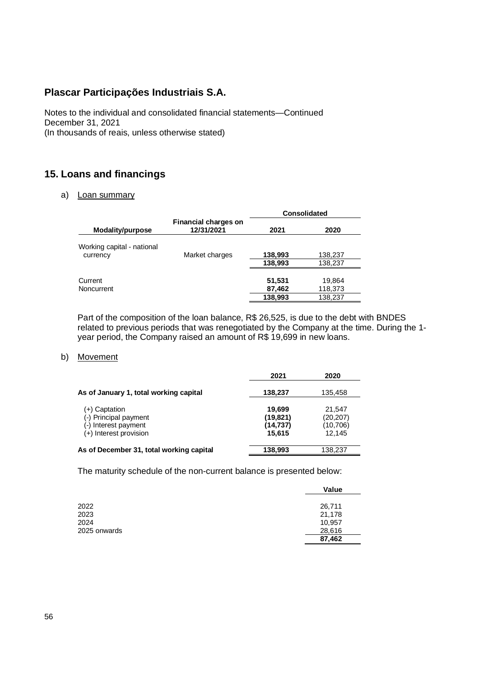Notes to the individual and consolidated financial statements—Continued December 31, 2021 (In thousands of reais, unless otherwise stated)

# **15. Loans and financings**

#### a) Loan summary

|                            |                                           | <b>Consolidated</b> |                    |  |
|----------------------------|-------------------------------------------|---------------------|--------------------|--|
| Modality/purpose           | <b>Financial charges on</b><br>12/31/2021 | 2021                | 2020               |  |
| Working capital - national |                                           |                     |                    |  |
| currency                   | Market charges                            | 138,993<br>138,993  | 138,237<br>138,237 |  |
| Current                    |                                           | 51,531              | 19,864             |  |
| <b>Noncurrent</b>          |                                           | 87,462              | 118,373            |  |
|                            |                                           | 138,993             | 138,237            |  |

Part of the composition of the loan balance, R\$ 26,525, is due to the debt with BNDES related to previous periods that was renegotiated by the Company at the time. During the 1 year period, the Company raised an amount of R\$ 19,699 in new loans.

### b) Movement

|                                                                                          | 2021                                       | 2020                                      |
|------------------------------------------------------------------------------------------|--------------------------------------------|-------------------------------------------|
| As of January 1, total working capital                                                   | 138,237                                    | 135,458                                   |
| (+) Captation<br>(-) Principal payment<br>(-) Interest payment<br>(+) Interest provision | 19.699<br>(19, 821)<br>(14, 737)<br>15.615 | 21.547<br>(20, 207)<br>(10,706)<br>12.145 |
| As of December 31, total working capital                                                 | 138,993                                    | 138,237                                   |

The maturity schedule of the non-current balance is presented below:

|              | Value  |
|--------------|--------|
|              |        |
| 2022         | 26,711 |
| 2023         | 21,178 |
| 2024         | 10,957 |
| 2025 onwards | 28,616 |
|              | 87,462 |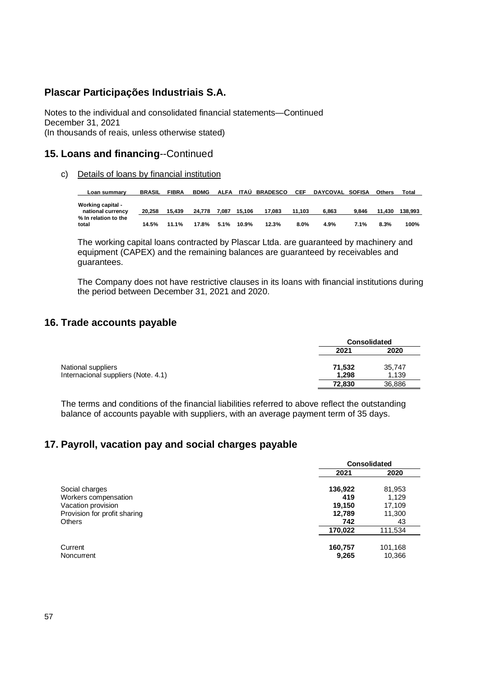Notes to the individual and consolidated financial statements—Continued December 31, 2021 (In thousands of reais, unless otherwise stated)

## **15. Loans and financing**--Continued

c) Details of loans by financial institution

| Loan summarv                                  | <b>BRASIL</b> | <b>FIBRA</b> | <b>BDMG</b> | ALFA  | ITAÙ   | <b>BRADESCO</b> | CEF     | DAYCOVAL SOFISA |       | <b>Others</b> | Total   |
|-----------------------------------------------|---------------|--------------|-------------|-------|--------|-----------------|---------|-----------------|-------|---------------|---------|
| <b>Working capital -</b><br>national currency | 20.258        | 15.439       | 24.778      | 7.087 | 15.106 | 17.083          | 11.103  | 6.863           | 9.846 | 11.430        | 138.993 |
| % In relation to the<br>total                 | 14.5%         | 11.1%        | 17.8%       | 5.1%  | 10.9%  | 12.3%           | $8.0\%$ | 4.9%            | 7.1%  | 8.3%          | 100%    |

The working capital loans contracted by Plascar Ltda. are guaranteed by machinery and equipment (CAPEX) and the remaining balances are guaranteed by receivables and guarantees.

The Company does not have restrictive clauses in its loans with financial institutions during the period between December 31, 2021 and 2020.

### **16. Trade accounts payable**

|                                     |        | <b>Consolidated</b> |  |  |
|-------------------------------------|--------|---------------------|--|--|
|                                     | 2021   | 2020                |  |  |
| National suppliers                  | 71,532 | 35,747              |  |  |
| Internacional suppliers (Note. 4.1) | 1.298  | 1,139               |  |  |
|                                     | 72.830 | 36,886              |  |  |

The terms and conditions of the financial liabilities referred to above reflect the outstanding balance of accounts payable with suppliers, with an average payment term of 35 days.

### **17. Payroll, vacation pay and social charges payable**

|                              |                  | <b>Consolidated</b> |  |  |
|------------------------------|------------------|---------------------|--|--|
|                              | 2021             | 2020                |  |  |
| Social charges               | 136,922          | 81,953              |  |  |
| Workers compensation         | 419              | 1.129               |  |  |
| Vacation provision           | 19,150           | 17,109              |  |  |
| Provision for profit sharing | 12.789           | 11,300              |  |  |
| Others                       | 742              | 43                  |  |  |
|                              | 170.022          | 111,534             |  |  |
| Current<br>Noncurrent        | 160,757<br>9,265 | 101,168<br>10,366   |  |  |
|                              |                  |                     |  |  |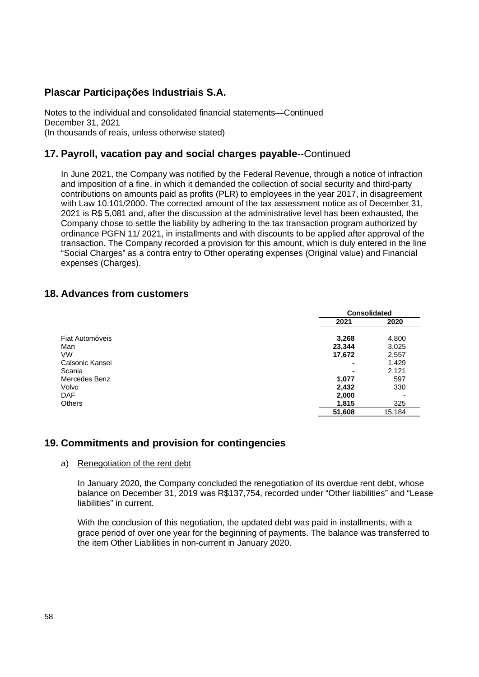Notes to the individual and consolidated financial statements—Continued December 31, 2021 (In thousands of reais, unless otherwise stated)

# **17. Payroll, vacation pay and social charges payable**--Continued

In June 2021, the Company was notified by the Federal Revenue, through a notice of infraction and imposition of a fine, in which it demanded the collection of social security and third-party contributions on amounts paid as profits (PLR) to employees in the year 2017, in disagreement with Law 10.101/2000. The corrected amount of the tax assessment notice as of December 31, 2021 is R\$ 5,081 and, after the discussion at the administrative level has been exhausted, the Company chose to settle the liability by adhering to the tax transaction program authorized by ordinance PGFN 11/ 2021, in installments and with discounts to be applied after approval of the transaction. The Company recorded a provision for this amount, which is duly entered in the line "Social Charges" as a contra entry to Other operating expenses (Original value) and Financial expenses (Charges).

### **18. Advances from customers**

|                 |        | <b>Consolidated</b> |
|-----------------|--------|---------------------|
|                 | 2021   | 2020                |
| Fiat Automóveis | 3,268  | 4,800               |
| Man             | 23,344 | 3,025               |
| <b>VW</b>       | 17,672 | 2,557               |
| Calsonic Kansei | ۰      | 1,429               |
| Scania          | ۰      | 2,121               |
| Mercedes Benz   | 1,077  | 597                 |
| Volvo           | 2,432  | 330                 |
| DAF.            | 2,000  |                     |
| <b>Others</b>   | 1,815  | 325                 |
|                 | 51,608 | 15,184              |

### **19. Commitments and provision for contingencies**

### a) Renegotiation of the rent debt

In January 2020, the Company concluded the renegotiation of its overdue rent debt, whose balance on December 31, 2019 was R\$137,754, recorded under "Other liabilities" and "Lease liabilities" in current.

With the conclusion of this negotiation, the updated debt was paid in installments, with a grace period of over one year for the beginning of payments. The balance was transferred to the item Other Liabilities in non-current in January 2020.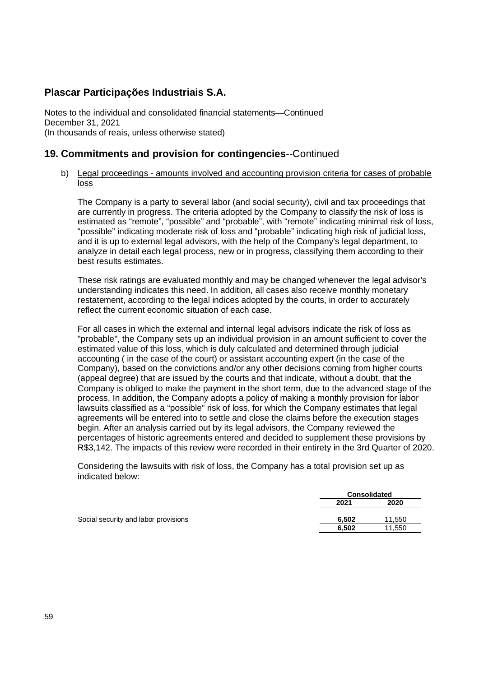Notes to the individual and consolidated financial statements—Continued December 31, 2021 (In thousands of reais, unless otherwise stated)

# **19. Commitments and provision for contingencies**--Continued

### b) Legal proceedings - amounts involved and accounting provision criteria for cases of probable loss

The Company is a party to several labor (and social security), civil and tax proceedings that are currently in progress. The criteria adopted by the Company to classify the risk of loss is estimated as "remote", "possible" and "probable", with "remote" indicating minimal risk of loss, "possible" indicating moderate risk of loss and "probable" indicating high risk of judicial loss, and it is up to external legal advisors, with the help of the Company's legal department, to analyze in detail each legal process, new or in progress, classifying them according to their best results estimates.

These risk ratings are evaluated monthly and may be changed whenever the legal advisor's understanding indicates this need. In addition, all cases also receive monthly monetary restatement, according to the legal indices adopted by the courts, in order to accurately reflect the current economic situation of each case.

For all cases in which the external and internal legal advisors indicate the risk of loss as "probable", the Company sets up an individual provision in an amount sufficient to cover the estimated value of this loss, which is duly calculated and determined through judicial accounting ( in the case of the court) or assistant accounting expert (in the case of the Company), based on the convictions and/or any other decisions coming from higher courts (appeal degree) that are issued by the courts and that indicate, without a doubt, that the Company is obliged to make the payment in the short term, due to the advanced stage of the process. In addition, the Company adopts a policy of making a monthly provision for labor lawsuits classified as a "possible" risk of loss, for which the Company estimates that legal agreements will be entered into to settle and close the claims before the execution stages begin. After an analysis carried out by its legal advisors, the Company reviewed the percentages of historic agreements entered and decided to supplement these provisions by R\$3,142. The impacts of this review were recorded in their entirety in the 3rd Quarter of 2020.

Considering the lawsuits with risk of loss, the Company has a total provision set up as indicated below:

|                                      | <b>Consolidated</b> |        |  |
|--------------------------------------|---------------------|--------|--|
|                                      | 2021                | 2020   |  |
| Social security and labor provisions | 6.502               | 11.550 |  |
|                                      | 6.502               | 11.550 |  |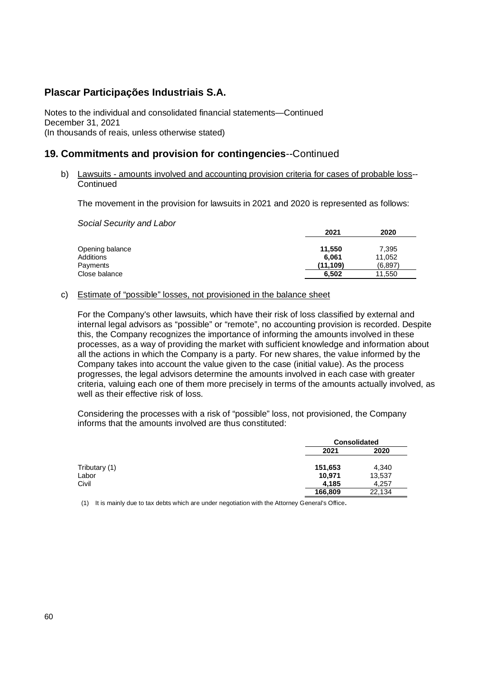Notes to the individual and consolidated financial statements—Continued December 31, 2021 (In thousands of reais, unless otherwise stated)

### **19. Commitments and provision for contingencies**--Continued

b) Lawsuits - amounts involved and accounting provision criteria for cases of probable loss--**Continued** 

The movement in the provision for lawsuits in 2021 and 2020 is represented as follows:

*Social Security and Labor*

|                 | 2021     | 2020     |
|-----------------|----------|----------|
| Opening balance | 11,550   | 7,395    |
| Additions       | 6.061    | 11,052   |
| Payments        | (11.109) | (6, 897) |
| Close balance   | 6,502    | 11.550   |

### c) Estimate of "possible" losses, not provisioned in the balance sheet

For the Company's other lawsuits, which have their risk of loss classified by external and internal legal advisors as "possible" or "remote", no accounting provision is recorded. Despite this, the Company recognizes the importance of informing the amounts involved in these processes, as a way of providing the market with sufficient knowledge and information about all the actions in which the Company is a party. For new shares, the value informed by the Company takes into account the value given to the case (initial value). As the process progresses, the legal advisors determine the amounts involved in each case with greater criteria, valuing each one of them more precisely in terms of the amounts actually involved, as well as their effective risk of loss.

Considering the processes with a risk of "possible" loss, not provisioned, the Company informs that the amounts involved are thus constituted:

|               |         | <b>Consolidated</b> |  |
|---------------|---------|---------------------|--|
|               | 2021    | 2020                |  |
| Tributary (1) | 151,653 | 4,340               |  |
| Labor         | 10,971  | 13,537              |  |
| Civil         | 4.185   | 4.257               |  |
|               | 166,809 | 22,134              |  |

(1) It is mainly due to tax debts which are under negotiation with the Attorney General's Office.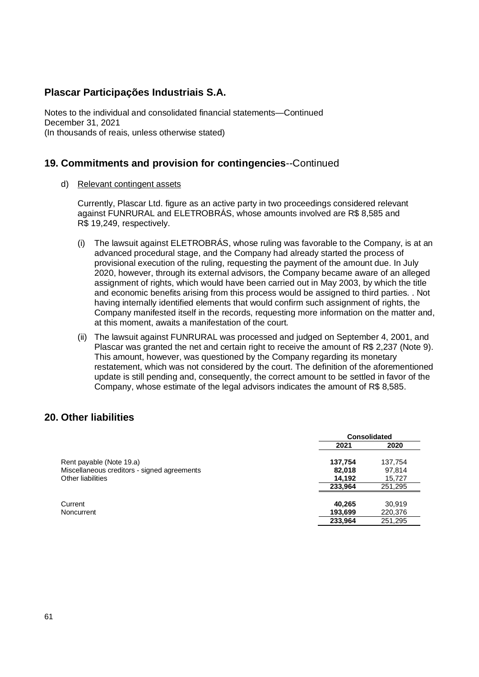Notes to the individual and consolidated financial statements—Continued December 31, 2021 (In thousands of reais, unless otherwise stated)

### **19. Commitments and provision for contingencies**--Continued

d) Relevant contingent assets

Currently, Plascar Ltd. figure as an active party in two proceedings considered relevant against FUNRURAL and ELETROBRÁS, whose amounts involved are R\$ 8,585 and R\$ 19,249, respectively.

- (i) The lawsuit against ELETROBRÁS, whose ruling was favorable to the Company, is at an advanced procedural stage, and the Company had already started the process of provisional execution of the ruling, requesting the payment of the amount due. In July 2020, however, through its external advisors, the Company became aware of an alleged assignment of rights, which would have been carried out in May 2003, by which the title and economic benefits arising from this process would be assigned to third parties. . Not having internally identified elements that would confirm such assignment of rights, the Company manifested itself in the records, requesting more information on the matter and, at this moment, awaits a manifestation of the court.
- (ii) The lawsuit against FUNRURAL was processed and judged on September 4, 2001, and Plascar was granted the net and certain right to receive the amount of R\$ 2,237 (Note 9). This amount, however, was questioned by the Company regarding its monetary restatement, which was not considered by the court. The definition of the aforementioned update is still pending and, consequently, the correct amount to be settled in favor of the Company, whose estimate of the legal advisors indicates the amount of R\$ 8,585.

### **20. Other liabilities**

|                                             | <b>Consolidated</b> |         |
|---------------------------------------------|---------------------|---------|
|                                             | 2021                | 2020    |
| Rent payable (Note 19.a)                    | 137,754             | 137,754 |
| Miscellaneous creditors - signed agreements | 82,018              | 97,814  |
| Other liabilities                           | 14.192              | 15,727  |
|                                             | 233.964             | 251,295 |
| Current                                     | 40,265              | 30.919  |
| Noncurrent                                  | 193,699             | 220,376 |
|                                             | 233,964             | 251,295 |
|                                             |                     |         |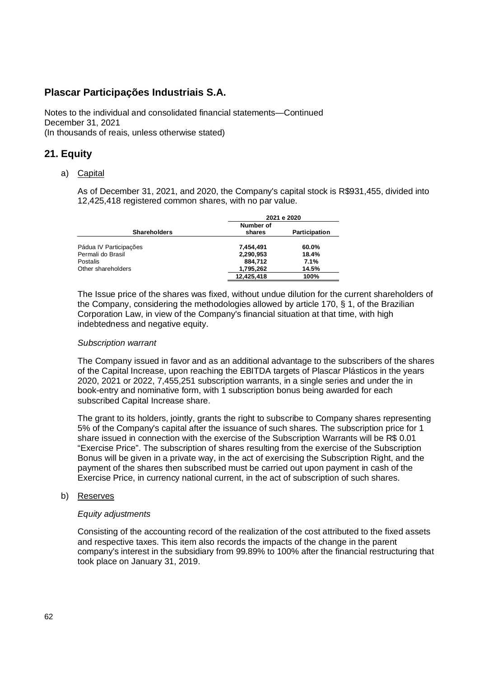Notes to the individual and consolidated financial statements—Continued December 31, 2021 (In thousands of reais, unless otherwise stated)

# **21. Equity**

#### a) Capital

As of December 31, 2021, and 2020, the Company's capital stock is R\$931,455, divided into 12,425,418 registered common shares, with no par value.

|                        |            | 2021 e 2020   |
|------------------------|------------|---------------|
|                        | Number of  |               |
| <b>Shareholders</b>    | shares     | Participation |
| Pádua IV Participações | 7,454,491  | 60.0%         |
| Permali do Brasil      | 2,290,953  | 18.4%         |
| Postalis               | 884.712    | 7.1%          |
| Other shareholders     | 1,795,262  | 14.5%         |
|                        | 12.425.418 | 100%          |

The Issue price of the shares was fixed, without undue dilution for the current shareholders of the Company, considering the methodologies allowed by article 170, § 1, of the Brazilian Corporation Law, in view of the Company's financial situation at that time, with high indebtedness and negative equity.

#### *Subscription warrant*

The Company issued in favor and as an additional advantage to the subscribers of the shares of the Capital Increase, upon reaching the EBITDA targets of Plascar Plásticos in the years 2020, 2021 or 2022, 7,455,251 subscription warrants, in a single series and under the in book-entry and nominative form, with 1 subscription bonus being awarded for each subscribed Capital Increase share.

The grant to its holders, jointly, grants the right to subscribe to Company shares representing 5% of the Company's capital after the issuance of such shares. The subscription price for 1 share issued in connection with the exercise of the Subscription Warrants will be R\$ 0.01 "Exercise Price". The subscription of shares resulting from the exercise of the Subscription Bonus will be given in a private way, in the act of exercising the Subscription Right, and the payment of the shares then subscribed must be carried out upon payment in cash of the Exercise Price, in currency national current, in the act of subscription of such shares.

#### b) Reserves

#### *Equity adjustments*

Consisting of the accounting record of the realization of the cost attributed to the fixed assets and respective taxes. This item also records the impacts of the change in the parent company's interest in the subsidiary from 99.89% to 100% after the financial restructuring that took place on January 31, 2019.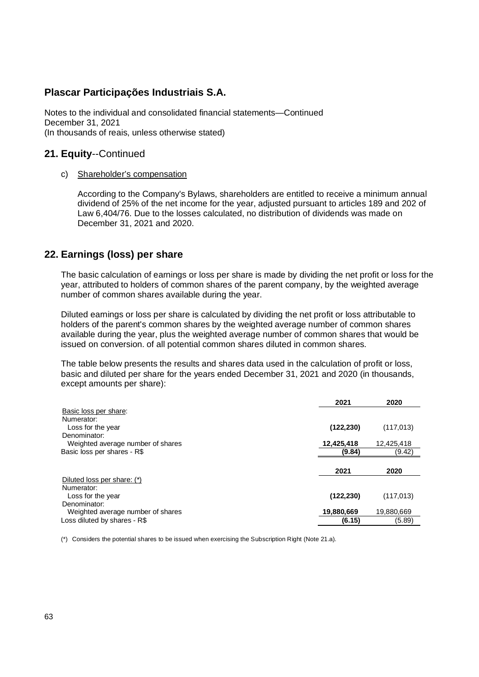Notes to the individual and consolidated financial statements—Continued December 31, 2021 (In thousands of reais, unless otherwise stated)

### **21. Equity**--Continued

#### c) Shareholder's compensation

According to the Company's Bylaws, shareholders are entitled to receive a minimum annual dividend of 25% of the net income for the year, adjusted pursuant to articles 189 and 202 of Law 6,404/76. Due to the losses calculated, no distribution of dividends was made on December 31, 2021 and 2020.

### **22. Earnings (loss) per share**

The basic calculation of earnings or loss per share is made by dividing the net profit or loss for the year, attributed to holders of common shares of the parent company, by the weighted average number of common shares available during the year.

Diluted earnings or loss per share is calculated by dividing the net profit or loss attributable to holders of the parent's common shares by the weighted average number of common shares available during the year, plus the weighted average number of common shares that would be issued on conversion. of all potential common shares diluted in common shares.

The table below presents the results and shares data used in the calculation of profit or loss, basic and diluted per share for the years ended December 31, 2021 and 2020 (in thousands, except amounts per share):

|                                   | 2021       | 2020       |
|-----------------------------------|------------|------------|
| Basic loss per share:             |            |            |
| Numerator:                        |            |            |
| Loss for the year                 | (122, 230) | (117, 013) |
| Denominator:                      |            |            |
| Weighted average number of shares | 12,425,418 | 12.425.418 |
| Basic loss per shares - R\$       | (9.84)     | (9.42)     |
|                                   |            |            |
|                                   | 2021       | 2020       |
| Diluted loss per share: (*)       |            |            |
| Numerator:                        |            |            |
| Loss for the year                 | (122, 230) | (117, 013) |
| Denominator:                      |            |            |
| Weighted average number of shares | 19,880,669 | 19,880,669 |
| Loss diluted by shares - R\$      | (6.15)     | (5.89)     |

(\*) Considers the potential shares to be issued when exercising the Subscription Right (Note 21.a).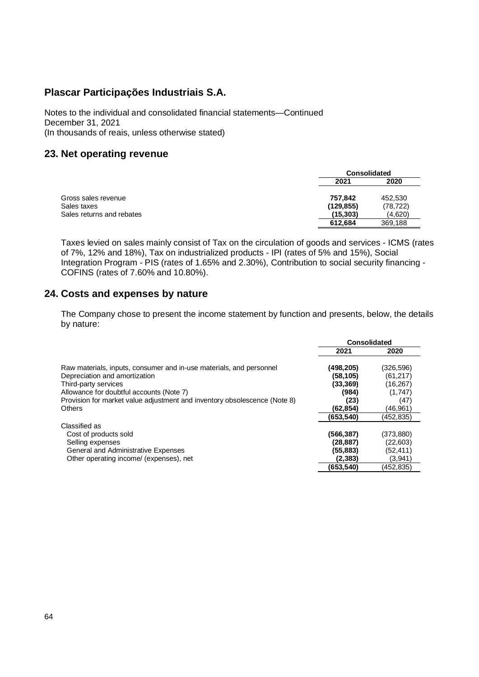Notes to the individual and consolidated financial statements—Continued December 31, 2021 (In thousands of reais, unless otherwise stated)

### **23. Net operating revenue**

|                           | <b>Consolidated</b> |           |
|---------------------------|---------------------|-----------|
|                           | 2021                | 2020      |
| Gross sales revenue       | 757.842             | 452.530   |
| Sales taxes               | (129, 855)          | (78, 722) |
| Sales returns and rebates | (15, 303)           | (4,620)   |
|                           | 612.684             | 369,188   |

Taxes levied on sales mainly consist of Tax on the circulation of goods and services - ICMS (rates of 7%, 12% and 18%), Tax on industrialized products - IPI (rates of 5% and 15%), Social Integration Program - PIS (rates of 1.65% and 2.30%), Contribution to social security financing - COFINS (rates of 7.60% and 10.80%).

### **24. Costs and expenses by nature**

The Company chose to present the income statement by function and presents, below, the details by nature:

|                                                                           | <b>Consolidated</b> |           |
|---------------------------------------------------------------------------|---------------------|-----------|
|                                                                           | 2021                | 2020      |
| Raw materials, inputs, consumer and in-use materials, and personnel       | (498,205)           | (326,596) |
| Depreciation and amortization                                             | (58,105)            | (61,217)  |
| Third-party services                                                      | (33, 369)           | (16,267)  |
| Allowance for doubtful accounts (Note 7)                                  | (984)               | (1,747)   |
| Provision for market value adjustment and inventory obsolescence (Note 8) | (23)                | (47)      |
| Others                                                                    | (62,854)            | (46.961)  |
|                                                                           | (653,540)           | (452.835) |
| Classified as                                                             |                     |           |
| Cost of products sold                                                     | (566,387)           | (373,880) |
| Selling expenses                                                          | (28, 887)           | (22,603)  |
| General and Administrative Expenses                                       | (55,883)            | (52,411)  |
| Other operating income/ (expenses), net                                   | (2.383)             | (3,941)   |
|                                                                           | (653,540)           | (452,835) |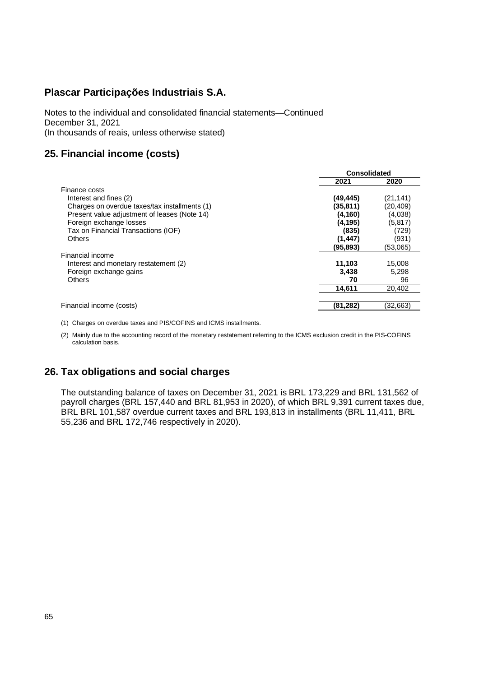Notes to the individual and consolidated financial statements—Continued December 31, 2021 (In thousands of reais, unless otherwise stated)

# **25. Financial income (costs)**

|                                               | <b>Consolidated</b> |           |
|-----------------------------------------------|---------------------|-----------|
|                                               | 2021                | 2020      |
| Finance costs                                 |                     |           |
| Interest and fines (2)                        | (49, 445)           | (21, 141) |
| Charges on overdue taxes/tax installments (1) | (35, 811)           | (20,409)  |
| Present value adjustment of leases (Note 14)  | (4, 160)            | (4,038)   |
| Foreign exchange losses                       | (4,195)             | (5, 817)  |
| Tax on Financial Transactions (IOF)           | (835)               | (729)     |
| <b>Others</b>                                 | (1,447)             | (931)     |
|                                               | (95,893)            | (53,065)  |
| Financial income                              |                     |           |
| Interest and monetary restatement (2)         | 11,103              | 15,008    |
| Foreign exchange gains                        | 3.438               | 5.298     |
| <b>Others</b>                                 | 70                  | 96        |
|                                               | 14.611              | 20,402    |
|                                               |                     |           |
| Financial income (costs)                      | (81, 282)           | (32,663)  |

(1) Charges on overdue taxes and PIS/COFINS and ICMS installments.

(2) Mainly due to the accounting record of the monetary restatement referring to the ICMS exclusion credit in the PIS-COFINS calculation basis.

# **26. Tax obligations and social charges**

The outstanding balance of taxes on December 31, 2021 is BRL 173,229 and BRL 131,562 of payroll charges (BRL 157,440 and BRL 81,953 in 2020), of which BRL 9,391 current taxes due, BRL BRL 101,587 overdue current taxes and BRL 193,813 in installments (BRL 11,411, BRL 55,236 and BRL 172,746 respectively in 2020).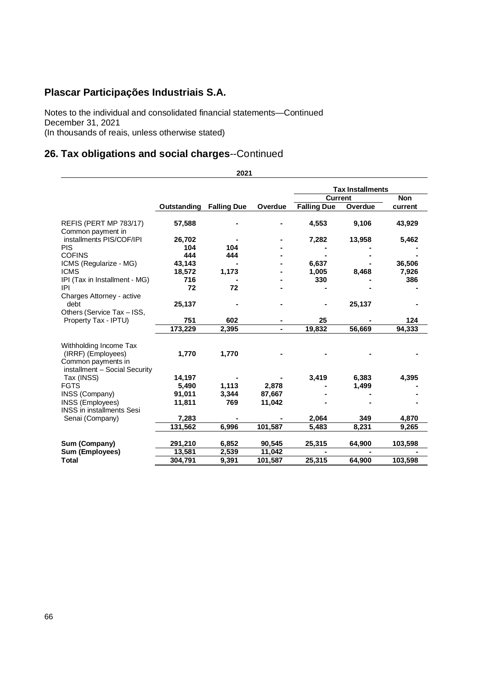Notes to the individual and consolidated financial statements—Continued December 31, 2021 (In thousands of reais, unless otherwise stated)

# **26. Tax obligations and social charges**--Continued

**2021 Tax Installments Current Non Outstanding Falling Due Overdue Falling Due Overdue current** REFIS (PERT MP 783/17) **57,588 - - 4,553 9,106 43,929** Common payment in installments PIS/COF/IPI **26,702 - - 7,282 13,958 5,462** PIS **104 104 - - - -** COFINS **444 444 - - - -** ICMS (Regularize - MG) **43,143 - - 6,637 - 36,506** ICMS **18,572 1,173 - 1,005 8,468 7,926** IPI (Tax in Installment - MG) **716 - - 330 - 386** IPI **72 72 - - - -** Charges Attorney - active debt **25,137 - - - 25,137 -** Others (Service Tax – ISS, Property Tax - IPTU) **751 602 - 25 - 124 173,229 2,395 - 19,832 56,669 94,333** Withholding Income Tax (IRRF) (Employees) **1,770 1,770 - - - -** Common payments in installment – Social Security Tax (INSS) **14,197 - - 3,419 6,383 4,395** FGTS **5,490 1,113 2,878 - 1,499 -** INSS (Company) **91,011 3,344 87,667 - - -** INSS (Employees) **11,811 769 11,042 - - -** INSS in installments Sesi Senai (Company) **7,283 - - 2,064 349 4,870 131,562 6,996 101,587 5,483 8,231 9,265 Sum (Company) 291,210 6,852 90,545 25,315 64,900 103,598 Sum** (Employees) **Total 304,791 9,391 101,587 25,315 64,900 103,598**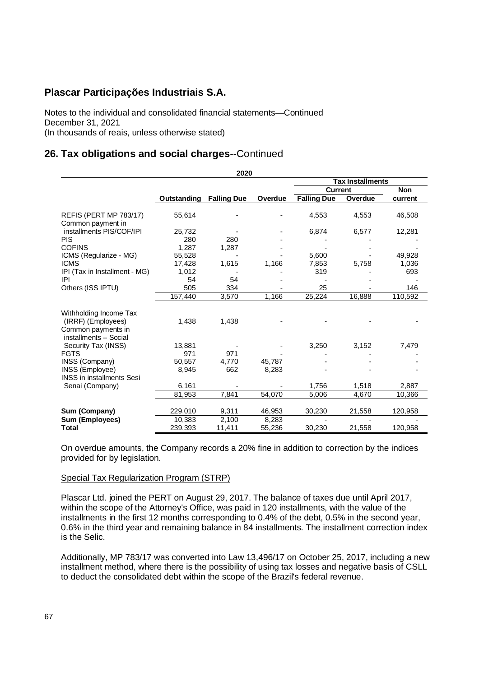Notes to the individual and consolidated financial statements—Continued December 31, 2021 (In thousands of reais, unless otherwise stated)

# **26. Tax obligations and social charges**--Continued

| 2020                                                                                        |             |                    |         |                         |         |            |  |  |
|---------------------------------------------------------------------------------------------|-------------|--------------------|---------|-------------------------|---------|------------|--|--|
|                                                                                             |             |                    |         | <b>Tax Installments</b> |         |            |  |  |
|                                                                                             |             |                    |         | <b>Current</b>          |         | <b>Non</b> |  |  |
|                                                                                             | Outstanding | <b>Falling Due</b> | Overdue | <b>Falling Due</b>      | Overdue | current    |  |  |
| REFIS (PERT MP 783/17)<br>Common payment in                                                 | 55,614      |                    |         | 4,553                   | 4,553   | 46,508     |  |  |
| installments PIS/COF/IPI                                                                    | 25,732      |                    |         | 6,874                   | 6,577   | 12,281     |  |  |
| <b>PIS</b>                                                                                  | 280         | 280                |         |                         |         |            |  |  |
| <b>COFINS</b>                                                                               | 1.287       | 1,287              |         |                         |         |            |  |  |
| ICMS (Regularize - MG)                                                                      | 55,528      |                    |         | 5.600                   |         | 49,928     |  |  |
| <b>ICMS</b>                                                                                 | 17,428      | 1,615              | 1,166   | 7,853                   | 5,758   | 1,036      |  |  |
| IPI (Tax in Installment - MG)                                                               | 1.012       |                    |         | 319                     |         | 693        |  |  |
| IPI                                                                                         | 54          | 54                 |         |                         |         |            |  |  |
| Others (ISS IPTU)                                                                           | 505         | 334                |         | 25                      |         | 146        |  |  |
|                                                                                             | 157,440     | 3,570              | 1,166   | 25,224                  | 16,888  | 110,592    |  |  |
| Withholding Income Tax<br>(IRRF) (Employees)<br>Common payments in<br>installments - Social | 1,438       | 1,438              |         |                         |         |            |  |  |
| Security Tax (INSS)                                                                         | 13,881      |                    |         | 3,250                   | 3,152   | 7,479      |  |  |
| <b>FGTS</b>                                                                                 | 971         | 971                |         |                         |         |            |  |  |
| INSS (Company)                                                                              | 50,557      | 4,770              | 45,787  |                         |         |            |  |  |
| INSS (Employee)<br><b>INSS</b> in installments Sesi                                         | 8,945       | 662                | 8,283   |                         |         |            |  |  |
| Senai (Company)                                                                             | 6,161       |                    |         | 1,756                   | 1,518   | 2,887      |  |  |
|                                                                                             | 81,953      | 7,841              | 54,070  | 5,006                   | 4,670   | 10,366     |  |  |
| Sum (Company)                                                                               | 229,010     | 9,311              | 46,953  | 30,230                  | 21,558  | 120,958    |  |  |
| Sum (Employees)                                                                             | 10,383      | 2,100              | 8,283   |                         |         |            |  |  |
| <b>Total</b>                                                                                | 239,393     | 11,411             | 55,236  | 30,230                  | 21,558  | 120,958    |  |  |

On overdue amounts, the Company records a 20% fine in addition to correction by the indices provided for by legislation.

### Special Tax Regularization Program (STRP)

Plascar Ltd. joined the PERT on August 29, 2017. The balance of taxes due until April 2017, within the scope of the Attorney's Office, was paid in 120 installments, with the value of the installments in the first 12 months corresponding to 0.4% of the debt, 0.5% in the second year, 0.6% in the third year and remaining balance in 84 installments. The installment correction index is the Selic.

Additionally, MP 783/17 was converted into Law 13,496/17 on October 25, 2017, including a new installment method, where there is the possibility of using tax losses and negative basis of CSLL to deduct the consolidated debt within the scope of the Brazil's federal revenue.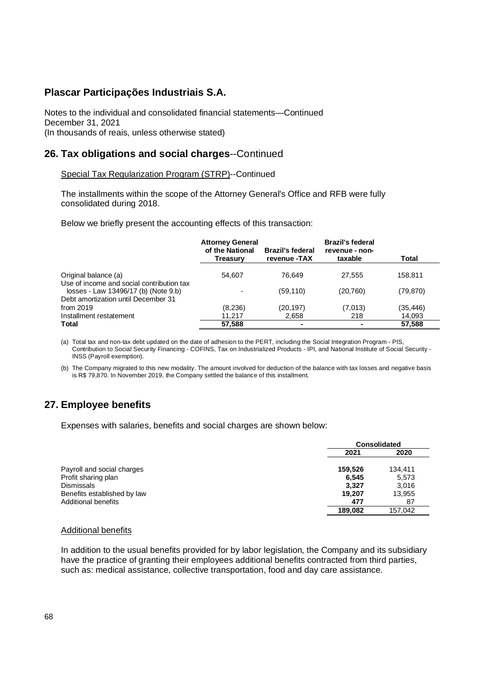Notes to the individual and consolidated financial statements—Continued December 31, 2021 (In thousands of reais, unless otherwise stated)

### **26. Tax obligations and social charges**--Continued

### Special Tax Regularization Program (STRP)--Continued

The installments within the scope of the Attorney General's Office and RFB were fully consolidated during 2018.

Below we briefly present the accounting effects of this transaction:

|                                                                                   | <b>Attorney General</b><br>of the National<br><b>Treasury</b> | <b>Brazil's federal</b><br>revenue -TAX | <b>Brazil's federal</b><br>revenue - non-<br>taxable | Total     |
|-----------------------------------------------------------------------------------|---------------------------------------------------------------|-----------------------------------------|------------------------------------------------------|-----------|
| Original balance (a)                                                              | 54.607                                                        | 76.649                                  | 27.555                                               | 158,811   |
| Use of income and social contribution tax<br>losses - Law 13496/17 (b) (Note 9.b) |                                                               | (59, 110)                               | (20,760)                                             | (79, 870) |
| Debt amortization until December 31                                               |                                                               |                                         |                                                      |           |
| from $2019$                                                                       | (8,236)                                                       | (20, 197)                               | (7,013)                                              | (35, 446) |
| Installment restatement                                                           | 11.217                                                        | 2,658                                   | 218                                                  | 14,093    |
| Total                                                                             | 57,588                                                        | -                                       |                                                      | 57,588    |

(a) Total tax and non-tax debt updated on the date of adhesion to the PERT, including the Social Integration Program - PIS, Contribution to Social Security Financing - COFINS, Tax on Industrialized Products - IPI, and National Institute of Social Security - INSS (Payroll exemption).

(b) The Company migrated to this new modality. The amount involved for deduction of the balance with tax losses and negative basis is R\$ 79,870. In November 2019, the Company settled the balance of this installment.

# **27. Employee benefits**

Expenses with salaries, benefits and social charges are shown below:

|                             |         | <b>Consolidated</b> |  |
|-----------------------------|---------|---------------------|--|
|                             | 2021    | 2020                |  |
| Payroll and social charges  | 159,526 | 134,411             |  |
| Profit sharing plan         | 6.545   | 5,573               |  |
| <b>Dismissals</b>           | 3,327   | 3,016               |  |
| Benefits established by law | 19.207  | 13,955              |  |
| <b>Additional benefits</b>  | 477     | 87                  |  |
|                             | 189,082 | 157.042             |  |

#### Additional benefits

In addition to the usual benefits provided for by labor legislation, the Company and its subsidiary have the practice of granting their employees additional benefits contracted from third parties, such as: medical assistance, collective transportation, food and day care assistance.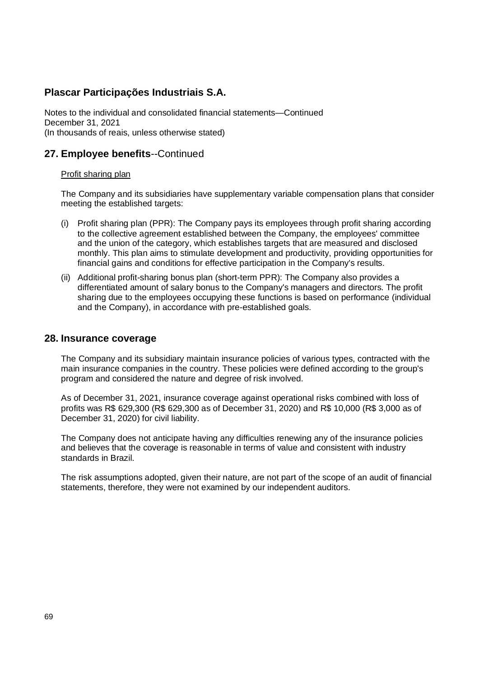Notes to the individual and consolidated financial statements—Continued December 31, 2021 (In thousands of reais, unless otherwise stated)

### **27. Employee benefits**--Continued

### Profit sharing plan

The Company and its subsidiaries have supplementary variable compensation plans that consider meeting the established targets:

- (i) Profit sharing plan (PPR): The Company pays its employees through profit sharing according to the collective agreement established between the Company, the employees' committee and the union of the category, which establishes targets that are measured and disclosed monthly. This plan aims to stimulate development and productivity, providing opportunities for financial gains and conditions for effective participation in the Company's results.
- (ii) Additional profit-sharing bonus plan (short-term PPR): The Company also provides a differentiated amount of salary bonus to the Company's managers and directors. The profit sharing due to the employees occupying these functions is based on performance (individual and the Company), in accordance with pre-established goals.

### **28. Insurance coverage**

The Company and its subsidiary maintain insurance policies of various types, contracted with the main insurance companies in the country. These policies were defined according to the group's program and considered the nature and degree of risk involved.

As of December 31, 2021, insurance coverage against operational risks combined with loss of profits was R\$ 629,300 (R\$ 629,300 as of December 31, 2020) and R\$ 10,000 (R\$ 3,000 as of December 31, 2020) for civil liability.

The Company does not anticipate having any difficulties renewing any of the insurance policies and believes that the coverage is reasonable in terms of value and consistent with industry standards in Brazil.

The risk assumptions adopted, given their nature, are not part of the scope of an audit of financial statements, therefore, they were not examined by our independent auditors.